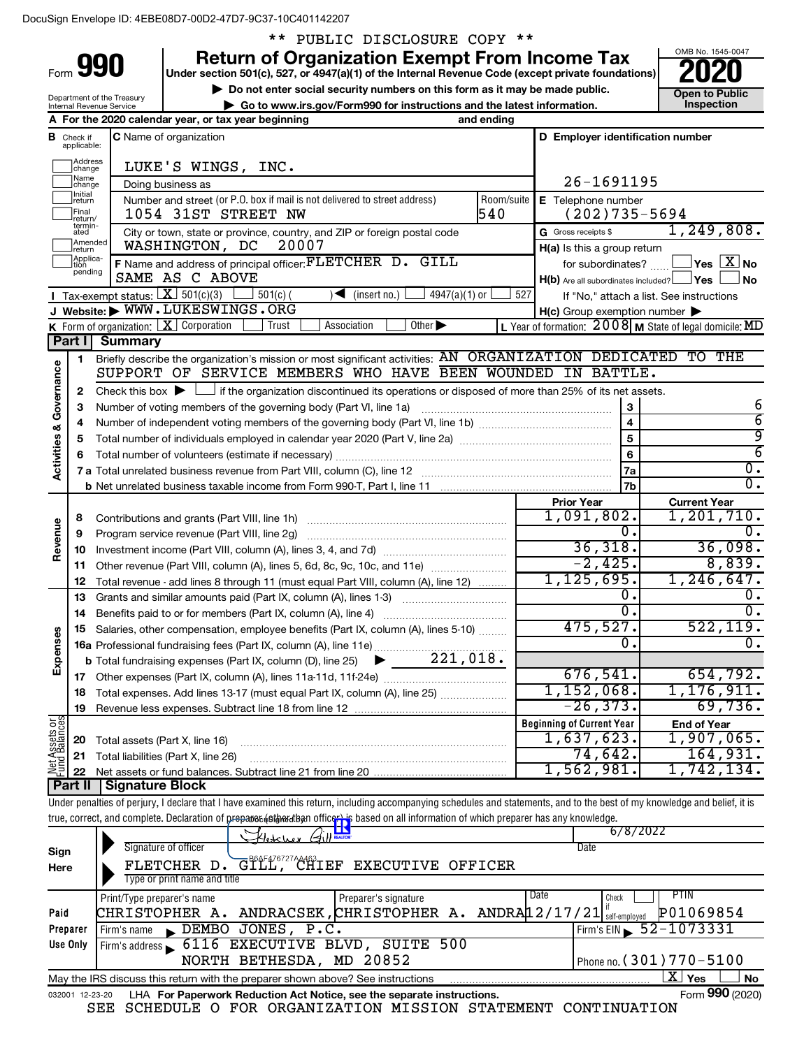|                         |                              |                                                                       |                               | uSign        Envelope ID: 4EBE08D7-00D2-47D7-9C37-10C401142207                                                                              |              |                                   |                             |            |      |                                                                       |                         |                                                                                                                                                                            |
|-------------------------|------------------------------|-----------------------------------------------------------------------|-------------------------------|---------------------------------------------------------------------------------------------------------------------------------------------|--------------|-----------------------------------|-----------------------------|------------|------|-----------------------------------------------------------------------|-------------------------|----------------------------------------------------------------------------------------------------------------------------------------------------------------------------|
|                         |                              |                                                                       |                               |                                                                                                                                             |              | ** PUBLIC DISCLOSURE COPY **      |                             |            |      |                                                                       |                         |                                                                                                                                                                            |
|                         | Form 990                     |                                                                       |                               | <b>Return of Organization Exempt From Income Tax</b>                                                                                        |              |                                   |                             |            |      |                                                                       |                         | OMB No. 1545-0047                                                                                                                                                          |
|                         |                              |                                                                       |                               | Under section 501(c), 527, or 4947(a)(1) of the Internal Revenue Code (except private foundations)                                          |              |                                   |                             |            |      |                                                                       |                         |                                                                                                                                                                            |
|                         |                              | Department of the Treasury                                            |                               | Do not enter social security numbers on this form as it may be made public.                                                                 |              |                                   |                             |            |      |                                                                       |                         | <b>Open to Public</b>                                                                                                                                                      |
|                         | Internal Revenue Service     |                                                                       |                               | Go to www.irs.gov/Form990 for instructions and the latest information.                                                                      |              |                                   |                             |            |      |                                                                       |                         | Inspection                                                                                                                                                                 |
|                         |                              |                                                                       |                               | A For the 2020 calendar year, or tax year beginning                                                                                         |              |                                   |                             | and ending |      |                                                                       |                         |                                                                                                                                                                            |
| в                       | Check if<br>applicable:      |                                                                       | <b>C</b> Name of organization |                                                                                                                                             |              |                                   |                             |            |      | D Employer identification number                                      |                         |                                                                                                                                                                            |
|                         | Address<br>change            |                                                                       |                               | LUKE'S WINGS, INC.                                                                                                                          |              |                                   |                             |            |      |                                                                       |                         |                                                                                                                                                                            |
|                         | Name<br>change               |                                                                       | Doing business as             |                                                                                                                                             |              |                                   |                             |            |      | 26-1691195                                                            |                         |                                                                                                                                                                            |
|                         | Initial<br>return            |                                                                       |                               | Number and street (or P.O. box if mail is not delivered to street address)                                                                  |              |                                   |                             | Room/suite |      | E Telephone number                                                    |                         |                                                                                                                                                                            |
|                         | Final<br>return/<br>termin-  |                                                                       |                               | 1054 31ST STREET NW                                                                                                                         |              |                                   |                             | 540        |      | $(202)735 - 5694$                                                     |                         |                                                                                                                                                                            |
|                         | ated<br>Amended              |                                                                       |                               | City or town, state or province, country, and ZIP or foreign postal code                                                                    |              |                                   |                             |            |      | G Gross receipts \$                                                   |                         | 1,249,808.                                                                                                                                                                 |
|                         | Ireturn<br>Applica-<br>Ition |                                                                       | WASHINGTON, DC                | F Name and address of principal officer: FLETCHER D. GILL                                                                                   | 20007        |                                   |                             |            |      | H(a) Is this a group return                                           |                         | $\overline{\ }$ Yes $\overline{\rm X}$ No                                                                                                                                  |
|                         | pending                      |                                                                       | SAME AS C ABOVE               |                                                                                                                                             |              |                                   |                             |            |      | for subordinates?<br>$H(b)$ Are all subordinates included? $\Box$ Yes |                         | ∫No                                                                                                                                                                        |
|                         |                              | <b>I</b> Tax-exempt status: $X \ 501(c)(3)$                           |                               | $501(c)$ (                                                                                                                                  |              | $\sqrt{\frac{1}{1}}$ (insert no.) | $4947(a)(1)$ or             | 527        |      |                                                                       |                         | If "No," attach a list. See instructions                                                                                                                                   |
|                         |                              |                                                                       |                               | J Website: WWW.LUKESWINGS.ORG                                                                                                               |              |                                   |                             |            |      | $H(c)$ Group exemption number $\blacktriangleright$                   |                         |                                                                                                                                                                            |
|                         |                              | <b>K</b> Form of organization: $\boxed{\mathbf{X}}$ Corporation       |                               | Trust                                                                                                                                       | Association  |                                   | Other $\blacktriangleright$ |            |      |                                                                       |                         | L Year of formation: $2008 \text{ M}$ State of legal domicile: $\overline{\text{MD}}$                                                                                      |
|                         |                              | Part I Summary                                                        |                               |                                                                                                                                             |              |                                   |                             |            |      |                                                                       |                         |                                                                                                                                                                            |
|                         | 1                            |                                                                       |                               |                                                                                                                                             |              |                                   |                             |            |      |                                                                       |                         | Briefly describe the organization's mission or most significant activities: AN ORGANIZATION DEDICATED TO THE                                                               |
|                         |                              |                                                                       |                               | SUPPORT OF SERVICE MEMBERS WHO HAVE BEEN WOUNDED IN BATTLE.                                                                                 |              |                                   |                             |            |      |                                                                       |                         |                                                                                                                                                                            |
|                         | 2                            |                                                                       |                               | Check this box $\blacktriangleright$ $\Box$ if the organization discontinued its operations or disposed of more than 25% of its net assets. |              |                                   |                             |            |      |                                                                       |                         |                                                                                                                                                                            |
| Activities & Governance | 3                            |                                                                       |                               | Number of voting members of the governing body (Part VI, line 1a)                                                                           |              |                                   |                             |            |      |                                                                       | 3                       | 6                                                                                                                                                                          |
|                         | 4                            |                                                                       |                               |                                                                                                                                             |              |                                   |                             |            |      |                                                                       | $\overline{\mathbf{4}}$ | $\overline{6}$                                                                                                                                                             |
|                         | 5                            |                                                                       |                               |                                                                                                                                             |              |                                   |                             |            |      |                                                                       | $\overline{5}$          | 9                                                                                                                                                                          |
|                         | 6                            |                                                                       |                               |                                                                                                                                             |              |                                   |                             |            |      |                                                                       | 6                       | $\overline{6}$                                                                                                                                                             |
|                         |                              |                                                                       |                               |                                                                                                                                             |              |                                   |                             |            |      |                                                                       | 7a                      | $\overline{0}$ .<br>$\overline{0}$ .                                                                                                                                       |
|                         |                              |                                                                       |                               |                                                                                                                                             |              |                                   |                             |            |      |                                                                       | 7b                      |                                                                                                                                                                            |
|                         | 8                            |                                                                       |                               | Contributions and grants (Part VIII, line 1h)                                                                                               |              |                                   |                             |            |      | <b>Prior Year</b><br>1,091,802.                                       |                         | <b>Current Year</b><br>1, 201, 710.                                                                                                                                        |
| Revenue                 | 9                            |                                                                       |                               | Program service revenue (Part VIII, line 2q)                                                                                                |              |                                   |                             |            |      | 0.                                                                    |                         | 0.                                                                                                                                                                         |
|                         | 10                           |                                                                       |                               |                                                                                                                                             |              |                                   |                             |            |      | 36,318.                                                               |                         | 36,098.                                                                                                                                                                    |
|                         | 11                           |                                                                       |                               | Other revenue (Part VIII, column (A), lines 5, 6d, 8c, 9c, 10c, and 11e)                                                                    |              |                                   |                             |            |      | $-2,425.$                                                             |                         | 8,839.                                                                                                                                                                     |
|                         | 12                           |                                                                       |                               | Total revenue - add lines 8 through 11 (must equal Part VIII, column (A), line 12)                                                          |              |                                   |                             |            |      | 1, 125, 695.                                                          |                         | 1, 246, 647.                                                                                                                                                               |
|                         | 13                           |                                                                       |                               | Grants and similar amounts paid (Part IX, column (A), lines 1-3)                                                                            |              |                                   |                             |            |      | $\overline{0}$ .                                                      |                         | 0.                                                                                                                                                                         |
|                         |                              |                                                                       |                               | Benefits paid to or for members (Part IX, column (A), line 4)                                                                               |              |                                   |                             |            |      | $\overline{\mathfrak{o}}$ .                                           |                         | $\overline{0}$ .                                                                                                                                                           |
|                         | 15                           |                                                                       |                               | Salaries, other compensation, employee benefits (Part IX, column (A), lines 5-10)                                                           |              |                                   |                             |            |      | 475,527.                                                              |                         | 522, 119.                                                                                                                                                                  |
| Expenses                |                              |                                                                       |                               |                                                                                                                                             |              |                                   |                             |            |      | О.                                                                    |                         | 0.                                                                                                                                                                         |
|                         |                              |                                                                       |                               | <b>b</b> Total fundraising expenses (Part IX, column (D), line 25)                                                                          |              |                                   | $221,018$ .                 |            |      |                                                                       |                         |                                                                                                                                                                            |
|                         |                              |                                                                       |                               |                                                                                                                                             |              |                                   |                             |            |      | 676,541.                                                              |                         | 654,792.                                                                                                                                                                   |
|                         | 18                           |                                                                       |                               | Total expenses. Add lines 13-17 (must equal Part IX, column (A), line 25)                                                                   |              |                                   |                             |            |      | 1,152,068.<br>$-26,373.$                                              |                         | 1,176,911.<br>69,736.                                                                                                                                                      |
|                         | 19                           |                                                                       |                               |                                                                                                                                             |              |                                   |                             |            |      | <b>Beginning of Current Year</b>                                      |                         |                                                                                                                                                                            |
| Net Assets or           |                              |                                                                       |                               |                                                                                                                                             |              |                                   |                             |            |      | 1,637,623.                                                            |                         | <b>End of Year</b><br>1,907,065.                                                                                                                                           |
|                         | 20<br>21                     | Total assets (Part X, line 16)<br>Total liabilities (Part X, line 26) |                               |                                                                                                                                             |              |                                   |                             |            |      | 74,642.                                                               |                         | 164,931.                                                                                                                                                                   |
|                         | 22                           |                                                                       |                               |                                                                                                                                             |              |                                   |                             |            |      | 1,562,981.                                                            |                         | 1,742,134.                                                                                                                                                                 |
|                         | <b>Part II</b>               | <b>Signature Block</b>                                                |                               |                                                                                                                                             |              |                                   |                             |            |      |                                                                       |                         |                                                                                                                                                                            |
|                         |                              |                                                                       |                               |                                                                                                                                             |              |                                   |                             |            |      |                                                                       |                         | Under penalties of perjury, I declare that I have examined this return, including accompanying schedules and statements, and to the best of my knowledge and belief, it is |
|                         |                              |                                                                       |                               | true, correct, and complete. Declaration of prepares (stheredban officer) is based on all information of which preparer has any knowledge.  |              |                                   |                             |            |      |                                                                       |                         |                                                                                                                                                                            |
|                         |                              |                                                                       |                               |                                                                                                                                             | Gill REALTOR |                                   |                             |            |      |                                                                       | 6/8/2022                |                                                                                                                                                                            |
| Sign                    |                              |                                                                       | Signature of officer          |                                                                                                                                             |              |                                   |                             |            |      | Date                                                                  |                         |                                                                                                                                                                            |
| Here                    |                              |                                                                       | FLETCHER D.                   | $\mathbf{G}^{\texttt{B6F476727}}$ $\mathbf{C}^{\texttt{H1}}$ EF                                                                             |              | <b>EXECUTIVE OFFICER</b>          |                             |            |      |                                                                       |                         |                                                                                                                                                                            |
|                         |                              |                                                                       | Type or print name and title  |                                                                                                                                             |              |                                   |                             |            |      |                                                                       |                         |                                                                                                                                                                            |
|                         |                              | Print/Type preparer's name                                            |                               |                                                                                                                                             |              | Preparer's signature              |                             |            | Date | Check<br>if                                                           |                         | <b>PTIN</b>                                                                                                                                                                |
| Paid                    |                              |                                                                       |                               | CHRISTOPHER A. ANDRACSEK, CHRISTOPHER A. ANDRA $12/17/21$ self-employed                                                                     |              |                                   |                             |            |      |                                                                       |                         | P01069854                                                                                                                                                                  |
|                         | Preparer                     | Firm's name                                                           |                               | DEMBO JONES, P.C.                                                                                                                           |              |                                   |                             |            |      | Firm's EIN                                                            |                         | 52-1073331                                                                                                                                                                 |
|                         | Use Only                     | Firm's address                                                        |                               | 6116 EXECUTIVE BLVD, SUITE 500                                                                                                              |              |                                   |                             |            |      |                                                                       |                         |                                                                                                                                                                            |

| Use Only | Firm's address $\blacksquare$ | 6116 | <b>EXECUTIVE BLVD, SUITE 500</b>                                                |  |  |           |                |  |
|----------|-------------------------------|------|---------------------------------------------------------------------------------|--|--|-----------|----------------|--|
|          |                               |      | NORTH BETHESDA, MD 20852                                                        |  |  | Phone no. | 301)770-5100 } |  |
|          |                               |      | May the IRS discuss this return with the preparer shown above? See instructions |  |  |           | Yes            |  |
|          |                               |      |                                                                                 |  |  |           |                |  |

 $\boxed{\text{X}}$   $\text{Yes}$   $\boxed{\phantom{1}}$  No

SEE SCHEDULE O FOR ORGANIZATION MISSION STATEMENT CONTINUATION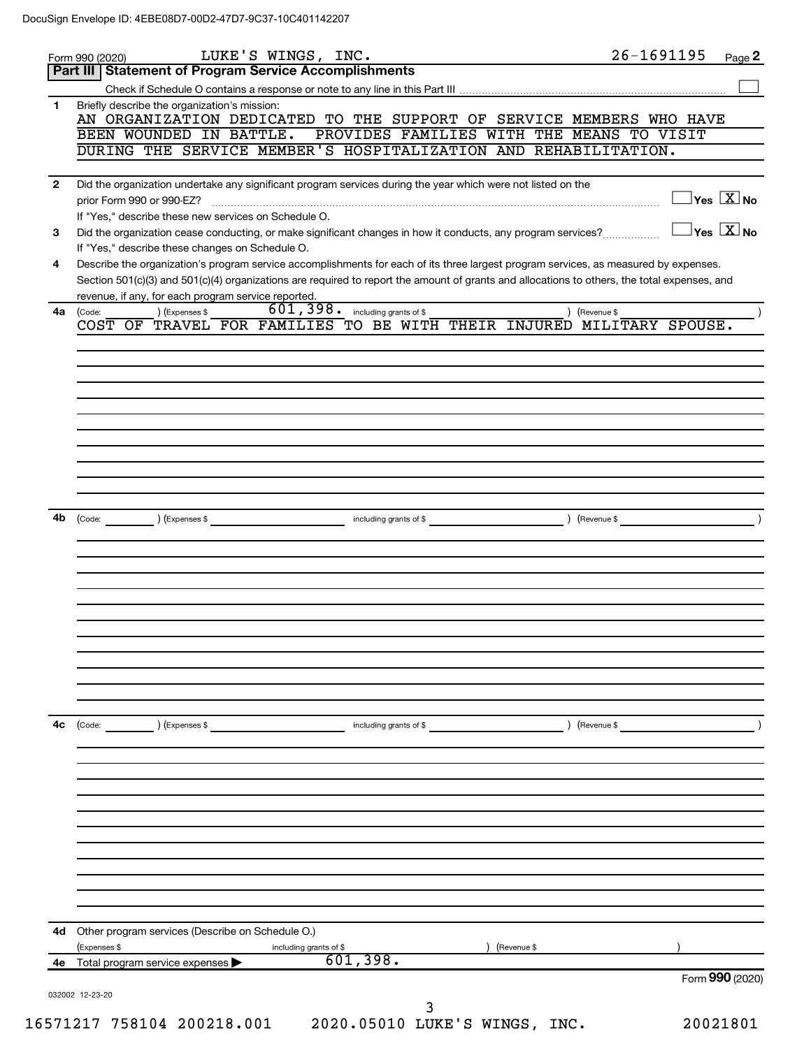|              | $26 - 1691195$<br>LUKE'S WINGS, INC.<br>Form 990 (2020)                                                                                                 | Page 2 |
|--------------|---------------------------------------------------------------------------------------------------------------------------------------------------------|--------|
|              | <b>Statement of Program Service Accomplishments</b><br>Part III                                                                                         |        |
|              |                                                                                                                                                         |        |
| 1            | Briefly describe the organization's mission:<br>AN ORGANIZATION DEDICATED TO THE SUPPORT OF SERVICE MEMBERS WHO HAVE                                    |        |
|              | BEEN WOUNDED IN BATTLE.<br>PROVIDES FAMILIES WITH THE MEANS TO VISIT                                                                                    |        |
|              | DURING THE SERVICE MEMBER'S HOSPITALIZATION AND REHABILITATION.                                                                                         |        |
|              |                                                                                                                                                         |        |
| $\mathbf{2}$ | Did the organization undertake any significant program services during the year which were not listed on the                                            |        |
|              | $\Box$ Yes $~\boxed{\text{X}}$ No<br>prior Form 990 or 990-EZ?<br>If "Yes," describe these new services on Schedule O.                                  |        |
| 3            | $\Box$ Yes $[\overline{\mathrm{X}}]$ No<br>Did the organization cease conducting, or make significant changes in how it conducts, any program services? |        |
|              | If "Yes," describe these changes on Schedule O.                                                                                                         |        |
| 4            | Describe the organization's program service accomplishments for each of its three largest program services, as measured by expenses.                    |        |
|              | Section 501(c)(3) and 501(c)(4) organizations are required to report the amount of grants and allocations to others, the total expenses, and            |        |
|              | revenue, if any, for each program service reported.<br>601, 398. including grants of \$                                                                 |        |
| 4a           | ) (Expenses \$<br>(Code:<br>) (Revenue \$<br>COST OF TRAVEL FOR FAMILIES TO BE WITH THEIR INJURED MILITARY SPOUSE.                                      |        |
|              |                                                                                                                                                         |        |
|              |                                                                                                                                                         |        |
|              |                                                                                                                                                         |        |
|              |                                                                                                                                                         |        |
|              |                                                                                                                                                         |        |
|              |                                                                                                                                                         |        |
|              |                                                                                                                                                         |        |
|              |                                                                                                                                                         |        |
|              |                                                                                                                                                         |        |
|              |                                                                                                                                                         |        |
| 4b           | including grants of \$ (Revenue \$)<br>(Code: ) (Expenses \$                                                                                            |        |
|              |                                                                                                                                                         |        |
|              |                                                                                                                                                         |        |
|              |                                                                                                                                                         |        |
|              |                                                                                                                                                         |        |
|              |                                                                                                                                                         |        |
|              |                                                                                                                                                         |        |
|              |                                                                                                                                                         |        |
|              |                                                                                                                                                         |        |
|              |                                                                                                                                                         |        |
|              |                                                                                                                                                         |        |
| 4c           | (Code:<br>) (Expenses \$<br>) (Revenue \$<br>including grants of \$                                                                                     |        |
|              |                                                                                                                                                         |        |
|              |                                                                                                                                                         |        |
|              |                                                                                                                                                         |        |
|              |                                                                                                                                                         |        |
|              |                                                                                                                                                         |        |
|              |                                                                                                                                                         |        |
|              |                                                                                                                                                         |        |
|              |                                                                                                                                                         |        |
|              |                                                                                                                                                         |        |
|              |                                                                                                                                                         |        |
|              | 4d Other program services (Describe on Schedule O.)                                                                                                     |        |
|              | (Expenses \$<br>(Revenue \$<br>including grants of \$                                                                                                   |        |
|              | 601,398.<br>4e Total program service expenses >                                                                                                         |        |
|              |                                                                                                                                                         |        |
|              | Form 990 (2020)                                                                                                                                         |        |
|              | 032002 12-23-20                                                                                                                                         |        |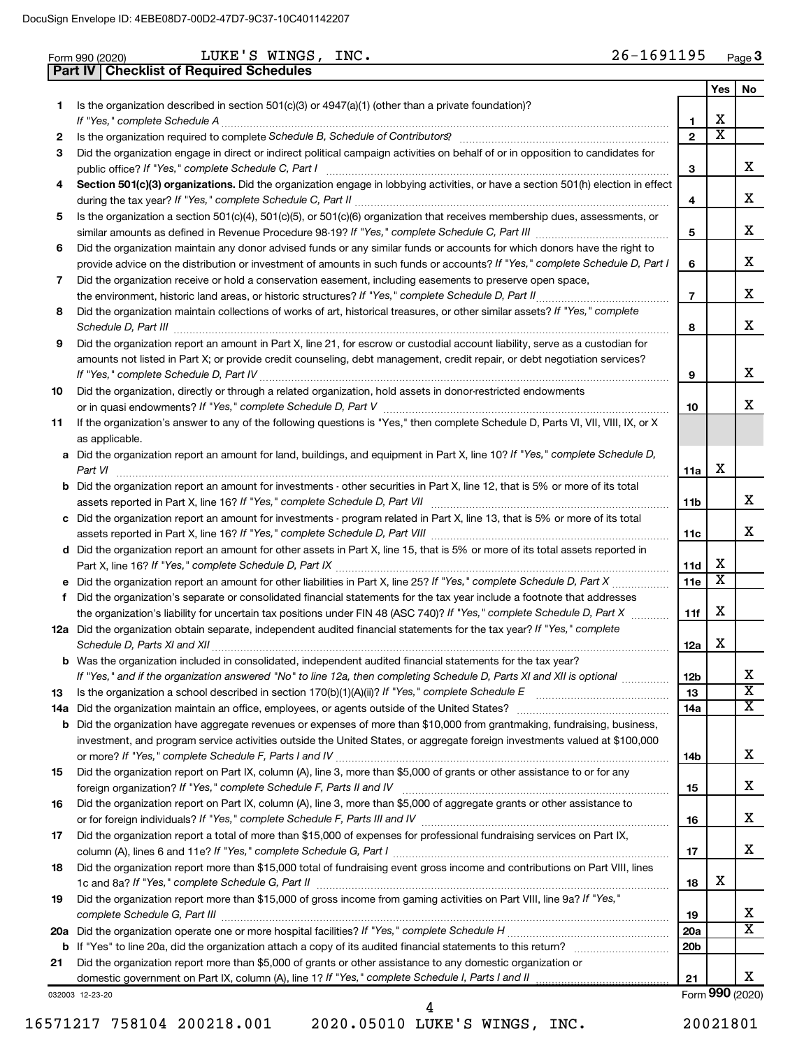|     | 26-1691195<br>LUKE'S WINGS, INC.<br>Form 990 (2020)                                                                                                                                                                                               |                 |                              | Page 3                  |
|-----|---------------------------------------------------------------------------------------------------------------------------------------------------------------------------------------------------------------------------------------------------|-----------------|------------------------------|-------------------------|
|     | <b>Part IV   Checklist of Required Schedules</b>                                                                                                                                                                                                  |                 |                              |                         |
|     |                                                                                                                                                                                                                                                   |                 | Yes                          | No                      |
| 1   | Is the organization described in section 501(c)(3) or 4947(a)(1) (other than a private foundation)?                                                                                                                                               |                 |                              |                         |
|     |                                                                                                                                                                                                                                                   | 1               | х<br>$\overline{\textbf{x}}$ |                         |
| 2   | Is the organization required to complete Schedule B, Schedule of Contributors? [11] the organization required to complete Schedule B, Schedule of Contributors?                                                                                   | $\overline{2}$  |                              |                         |
| 3   | Did the organization engage in direct or indirect political campaign activities on behalf of or in opposition to candidates for                                                                                                                   | 3               |                              | x                       |
| 4   | Section 501(c)(3) organizations. Did the organization engage in lobbying activities, or have a section 501(h) election in effect                                                                                                                  |                 |                              |                         |
|     |                                                                                                                                                                                                                                                   | 4               |                              | x                       |
| 5   | Is the organization a section 501(c)(4), 501(c)(5), or 501(c)(6) organization that receives membership dues, assessments, or                                                                                                                      |                 |                              |                         |
|     |                                                                                                                                                                                                                                                   | 5               |                              | x                       |
| 6   | Did the organization maintain any donor advised funds or any similar funds or accounts for which donors have the right to                                                                                                                         |                 |                              |                         |
|     | provide advice on the distribution or investment of amounts in such funds or accounts? If "Yes," complete Schedule D, Part I                                                                                                                      | 6               |                              | x                       |
| 7   | Did the organization receive or hold a conservation easement, including easements to preserve open space,                                                                                                                                         |                 |                              |                         |
|     |                                                                                                                                                                                                                                                   | $\overline{7}$  |                              | x                       |
| 8   | Did the organization maintain collections of works of art, historical treasures, or other similar assets? If "Yes," complete                                                                                                                      |                 |                              |                         |
|     | Schedule D, Part III <b>Marting Communities</b> and the contract of the contract of the contract of the contract of the contract of the contract of the contract of the contract of the contract of the contract of the contract of               | 8               |                              | x                       |
| 9   | Did the organization report an amount in Part X, line 21, for escrow or custodial account liability, serve as a custodian for                                                                                                                     |                 |                              |                         |
|     | amounts not listed in Part X; or provide credit counseling, debt management, credit repair, or debt negotiation services?                                                                                                                         | 9               |                              | x                       |
| 10  | Did the organization, directly or through a related organization, hold assets in donor-restricted endowments                                                                                                                                      |                 |                              |                         |
|     |                                                                                                                                                                                                                                                   | 10              |                              | x                       |
| 11  | If the organization's answer to any of the following questions is "Yes," then complete Schedule D, Parts VI, VII, VIII, IX, or X                                                                                                                  |                 |                              |                         |
|     | as applicable.                                                                                                                                                                                                                                    |                 |                              |                         |
|     | a Did the organization report an amount for land, buildings, and equipment in Part X, line 10? If "Yes," complete Schedule D,                                                                                                                     |                 |                              |                         |
|     |                                                                                                                                                                                                                                                   | 11a             | X                            |                         |
|     | <b>b</b> Did the organization report an amount for investments - other securities in Part X, line 12, that is 5% or more of its total                                                                                                             |                 |                              |                         |
|     |                                                                                                                                                                                                                                                   | 11 <sub>b</sub> |                              | x                       |
|     | c Did the organization report an amount for investments - program related in Part X, line 13, that is 5% or more of its total                                                                                                                     |                 |                              |                         |
|     |                                                                                                                                                                                                                                                   | 11c             |                              | x                       |
|     | d Did the organization report an amount for other assets in Part X, line 15, that is 5% or more of its total assets reported in                                                                                                                   |                 |                              |                         |
|     |                                                                                                                                                                                                                                                   | 11d             | x<br>$\overline{\textbf{X}}$ |                         |
|     |                                                                                                                                                                                                                                                   | 11e             |                              |                         |
| f.  | Did the organization's separate or consolidated financial statements for the tax year include a footnote that addresses<br>the organization's liability for uncertain tax positions under FIN 48 (ASC 740)? If "Yes," complete Schedule D, Part X | 11f             | х                            |                         |
|     | 12a Did the organization obtain separate, independent audited financial statements for the tax year? If "Yes," complete                                                                                                                           |                 |                              |                         |
|     |                                                                                                                                                                                                                                                   | 12a             | х                            |                         |
|     | b Was the organization included in consolidated, independent audited financial statements for the tax year?                                                                                                                                       |                 |                              |                         |
|     | If "Yes," and if the organization answered "No" to line 12a, then completing Schedule D, Parts XI and XII is optional <i>manumum</i>                                                                                                              | 12 <sub>b</sub> |                              | x                       |
| 13  |                                                                                                                                                                                                                                                   | 13              |                              | $\overline{\textbf{x}}$ |
| 14a |                                                                                                                                                                                                                                                   | 14a             |                              | $\overline{\mathbf{X}}$ |
| b   | Did the organization have aggregate revenues or expenses of more than \$10,000 from grantmaking, fundraising, business,                                                                                                                           |                 |                              |                         |
|     | investment, and program service activities outside the United States, or aggregate foreign investments valued at \$100,000                                                                                                                        |                 |                              |                         |
|     |                                                                                                                                                                                                                                                   | 14b             |                              | x                       |
| 15  | Did the organization report on Part IX, column (A), line 3, more than \$5,000 of grants or other assistance to or for any                                                                                                                         |                 |                              |                         |
|     |                                                                                                                                                                                                                                                   | 15              |                              | x                       |
| 16  | Did the organization report on Part IX, column (A), line 3, more than \$5,000 of aggregate grants or other assistance to                                                                                                                          |                 |                              | x                       |
|     | or for foreign individuals? If "Yes," complete Schedule F, Parts III and IV [11] mannon and intermediate and in<br>Did the organization report a total of more than \$15,000 of expenses for professional fundraising services on Part IX,        | 16              |                              |                         |
| 17  |                                                                                                                                                                                                                                                   | 17              |                              | x                       |
| 18  | Did the organization report more than \$15,000 total of fundraising event gross income and contributions on Part VIII, lines                                                                                                                      |                 |                              |                         |
|     |                                                                                                                                                                                                                                                   | 18              | х                            |                         |
| 19  | Did the organization report more than \$15,000 of gross income from gaming activities on Part VIII, line 9a? If "Yes,"                                                                                                                            |                 |                              |                         |
|     |                                                                                                                                                                                                                                                   | 19              |                              | х                       |
|     |                                                                                                                                                                                                                                                   | 20a             |                              | $\overline{\texttt{X}}$ |
| b   |                                                                                                                                                                                                                                                   | 20 <sub>b</sub> |                              |                         |
| 21  | Did the organization report more than \$5,000 of grants or other assistance to any domestic organization or                                                                                                                                       |                 |                              |                         |
|     |                                                                                                                                                                                                                                                   | 21              |                              | x                       |
|     | 032003 12-23-20                                                                                                                                                                                                                                   |                 |                              | Form 990 (2020)         |

16571217 758104 200218.001 2020.05010 LUKE'S WINGS, INC. 20021801

4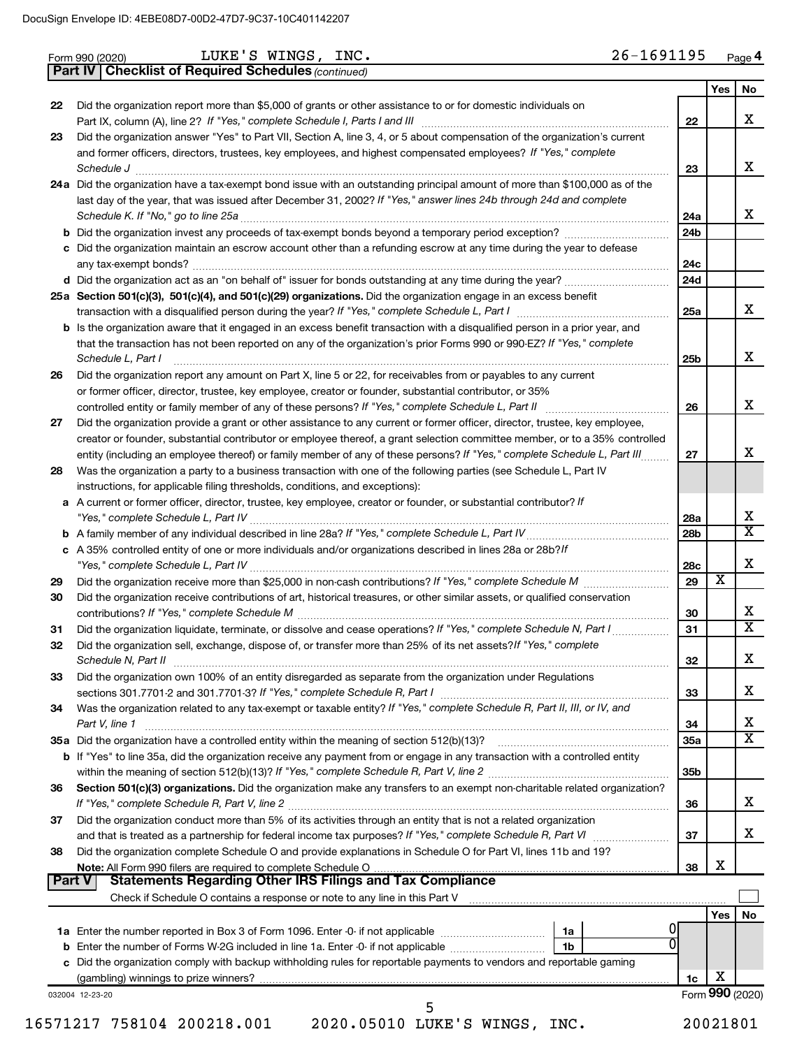| 22 | Did the organization report more than \$5,000 of grants or other assistance to or for domestic individuals on                                                                                                                                                                                                                                                                                                                                                                      |     | Yes                     | No |
|----|------------------------------------------------------------------------------------------------------------------------------------------------------------------------------------------------------------------------------------------------------------------------------------------------------------------------------------------------------------------------------------------------------------------------------------------------------------------------------------|-----|-------------------------|----|
|    |                                                                                                                                                                                                                                                                                                                                                                                                                                                                                    | 22  |                         | X  |
| 23 | Did the organization answer "Yes" to Part VII, Section A, line 3, 4, or 5 about compensation of the organization's current<br>and former officers, directors, trustees, key employees, and highest compensated employees? If "Yes," complete<br>Schedule J <b>Execute J Execute Constructs in the Construction of the Construction of the Construction of the Construction of the Construction of the Construction of the Construction of the Construction of the Construction</b> | 23  |                         |    |
|    | 24a Did the organization have a tax-exempt bond issue with an outstanding principal amount of more than \$100,000 as of the<br>last day of the year, that was issued after December 31, 2002? If "Yes," answer lines 24b through 24d and complete                                                                                                                                                                                                                                  |     |                         |    |
|    |                                                                                                                                                                                                                                                                                                                                                                                                                                                                                    | 24a |                         |    |
|    | c Did the organization maintain an escrow account other than a refunding escrow at any time during the year to defease                                                                                                                                                                                                                                                                                                                                                             | 24b |                         |    |
|    |                                                                                                                                                                                                                                                                                                                                                                                                                                                                                    | 24c |                         |    |
|    |                                                                                                                                                                                                                                                                                                                                                                                                                                                                                    | 24d |                         |    |
|    | 25a Section 501(c)(3), 501(c)(4), and 501(c)(29) organizations. Did the organization engage in an excess benefit                                                                                                                                                                                                                                                                                                                                                                   | 25a |                         |    |
|    | <b>b</b> Is the organization aware that it engaged in an excess benefit transaction with a disqualified person in a prior year, and<br>that the transaction has not been reported on any of the organization's prior Forms 990 or 990-EZ? If "Yes," complete                                                                                                                                                                                                                       |     |                         |    |
|    | Schedule L, Part I                                                                                                                                                                                                                                                                                                                                                                                                                                                                 | 25b |                         |    |
| 26 | Did the organization report any amount on Part X, line 5 or 22, for receivables from or payables to any current<br>or former officer, director, trustee, key employee, creator or founder, substantial contributor, or 35%                                                                                                                                                                                                                                                         |     |                         |    |
|    |                                                                                                                                                                                                                                                                                                                                                                                                                                                                                    | 26  |                         |    |
| 27 | Did the organization provide a grant or other assistance to any current or former officer, director, trustee, key employee,                                                                                                                                                                                                                                                                                                                                                        |     |                         |    |
|    | creator or founder, substantial contributor or employee thereof, a grant selection committee member, or to a 35% controlled                                                                                                                                                                                                                                                                                                                                                        |     |                         |    |
|    | entity (including an employee thereof) or family member of any of these persons? If "Yes," complete Schedule L, Part III                                                                                                                                                                                                                                                                                                                                                           | 27  |                         |    |
| 28 | Was the organization a party to a business transaction with one of the following parties (see Schedule L, Part IV                                                                                                                                                                                                                                                                                                                                                                  |     |                         |    |
|    | instructions, for applicable filing thresholds, conditions, and exceptions):                                                                                                                                                                                                                                                                                                                                                                                                       |     |                         |    |
|    | a A current or former officer, director, trustee, key employee, creator or founder, or substantial contributor? If                                                                                                                                                                                                                                                                                                                                                                 |     |                         |    |
|    |                                                                                                                                                                                                                                                                                                                                                                                                                                                                                    | 28a |                         |    |
|    |                                                                                                                                                                                                                                                                                                                                                                                                                                                                                    | 28b |                         |    |
|    | c A 35% controlled entity of one or more individuals and/or organizations described in lines 28a or 28b?If                                                                                                                                                                                                                                                                                                                                                                         | 28c |                         |    |
| 29 |                                                                                                                                                                                                                                                                                                                                                                                                                                                                                    | 29  | $\overline{\textbf{x}}$ |    |
| 30 | Did the organization receive contributions of art, historical treasures, or other similar assets, or qualified conservation                                                                                                                                                                                                                                                                                                                                                        | 30  |                         |    |
| 31 | Did the organization liquidate, terminate, or dissolve and cease operations? If "Yes," complete Schedule N, Part I                                                                                                                                                                                                                                                                                                                                                                 | 31  |                         |    |
| 32 | Did the organization sell, exchange, dispose of, or transfer more than 25% of its net assets? If "Yes," complete                                                                                                                                                                                                                                                                                                                                                                   |     |                         |    |
| 33 | Did the organization own 100% of an entity disregarded as separate from the organization under Regulations                                                                                                                                                                                                                                                                                                                                                                         | 32  |                         |    |
|    |                                                                                                                                                                                                                                                                                                                                                                                                                                                                                    | 33  |                         |    |
| 34 | Was the organization related to any tax-exempt or taxable entity? If "Yes," complete Schedule R, Part II, III, or IV, and                                                                                                                                                                                                                                                                                                                                                          |     |                         |    |
|    | Part V, line 1                                                                                                                                                                                                                                                                                                                                                                                                                                                                     | 34  |                         |    |
|    | b If "Yes" to line 35a, did the organization receive any payment from or engage in any transaction with a controlled entity                                                                                                                                                                                                                                                                                                                                                        | 35a |                         |    |
|    |                                                                                                                                                                                                                                                                                                                                                                                                                                                                                    | 35b |                         |    |
| 36 | Section 501(c)(3) organizations. Did the organization make any transfers to an exempt non-charitable related organization?                                                                                                                                                                                                                                                                                                                                                         |     |                         |    |
|    |                                                                                                                                                                                                                                                                                                                                                                                                                                                                                    | 36  |                         |    |
| 37 | Did the organization conduct more than 5% of its activities through an entity that is not a related organization                                                                                                                                                                                                                                                                                                                                                                   | 37  |                         |    |
| 38 | Did the organization complete Schedule O and provide explanations in Schedule O for Part VI, lines 11b and 19?                                                                                                                                                                                                                                                                                                                                                                     |     |                         |    |
|    |                                                                                                                                                                                                                                                                                                                                                                                                                                                                                    | 38  | X                       |    |
|    | <b>Statements Regarding Other IRS Filings and Tax Compliance</b><br>  Part V                                                                                                                                                                                                                                                                                                                                                                                                       |     |                         |    |
|    | Check if Schedule O contains a response or note to any line in this Part V [11] [12] [2] [2] [2] [2] [2] [3] [                                                                                                                                                                                                                                                                                                                                                                     |     | Yes                     |    |
|    |                                                                                                                                                                                                                                                                                                                                                                                                                                                                                    |     |                         |    |
|    |                                                                                                                                                                                                                                                                                                                                                                                                                                                                                    |     |                         |    |
|    | l 1b                                                                                                                                                                                                                                                                                                                                                                                                                                                                               |     |                         |    |
|    | c Did the organization comply with backup withholding rules for reportable payments to vendors and reportable gaming                                                                                                                                                                                                                                                                                                                                                               |     |                         |    |
|    |                                                                                                                                                                                                                                                                                                                                                                                                                                                                                    | 1c. | x                       |    |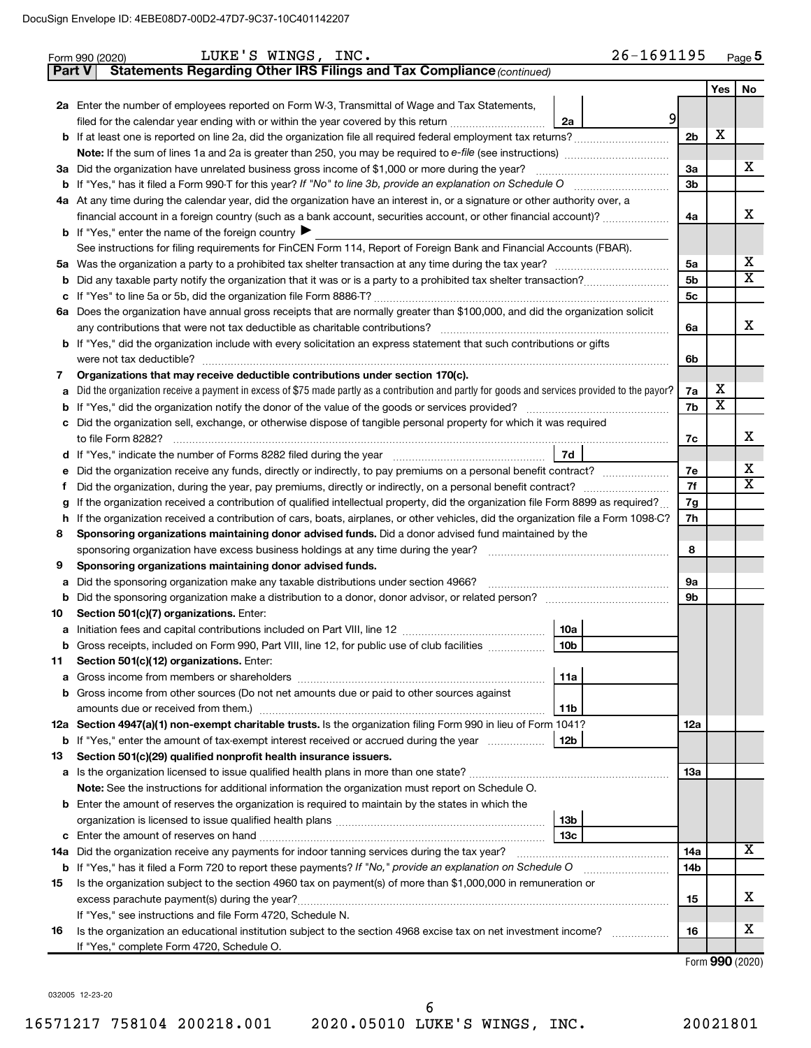|               | 26-1691195<br>LUKE'S WINGS, INC.<br>Form 990 (2020)                                                                                             |     |                         | Page 5          |
|---------------|-------------------------------------------------------------------------------------------------------------------------------------------------|-----|-------------------------|-----------------|
| <b>Part V</b> | Statements Regarding Other IRS Filings and Tax Compliance (continued)                                                                           |     |                         |                 |
|               |                                                                                                                                                 |     | Yes                     | No              |
|               | 2a Enter the number of employees reported on Form W-3, Transmittal of Wage and Tax Statements,                                                  |     |                         |                 |
|               | 9<br>filed for the calendar year ending with or within the year covered by this return<br>2a                                                    |     |                         |                 |
|               | b If at least one is reported on line 2a, did the organization file all required federal employment tax returns?                                | 2b  | х                       |                 |
|               |                                                                                                                                                 |     |                         |                 |
|               | 3a Did the organization have unrelated business gross income of \$1,000 or more during the year?                                                | За  |                         | х               |
|               |                                                                                                                                                 | Зb  |                         |                 |
|               | 4a At any time during the calendar year, did the organization have an interest in, or a signature or other authority over, a                    |     |                         |                 |
|               | financial account in a foreign country (such as a bank account, securities account, or other financial account)?                                | 4a  |                         | x               |
|               | <b>b</b> If "Yes," enter the name of the foreign country $\blacktriangleright$                                                                  |     |                         |                 |
|               | See instructions for filing requirements for FinCEN Form 114, Report of Foreign Bank and Financial Accounts (FBAR).                             |     |                         |                 |
| 5а            |                                                                                                                                                 | 5a  |                         | х               |
| b             |                                                                                                                                                 | 5b  |                         | X               |
|               |                                                                                                                                                 | 5c  |                         |                 |
|               | 6a Does the organization have annual gross receipts that are normally greater than \$100,000, and did the organization solicit                  |     |                         |                 |
|               |                                                                                                                                                 | 6a  |                         | х               |
|               | b If "Yes," did the organization include with every solicitation an express statement that such contributions or gifts                          |     |                         |                 |
|               |                                                                                                                                                 | 6b  |                         |                 |
| 7             | Organizations that may receive deductible contributions under section 170(c).                                                                   |     |                         |                 |
| a             | Did the organization receive a payment in excess of \$75 made partly as a contribution and partly for goods and services provided to the payor? | 7a  | x                       |                 |
|               |                                                                                                                                                 | 7b  | $\overline{\textbf{x}}$ |                 |
|               | c Did the organization sell, exchange, or otherwise dispose of tangible personal property for which it was required                             |     |                         |                 |
|               |                                                                                                                                                 | 7c  |                         | x               |
|               | 7d                                                                                                                                              |     |                         |                 |
| е             |                                                                                                                                                 | 7е  |                         | х               |
|               |                                                                                                                                                 | 7f  |                         | x               |
|               | If the organization received a contribution of qualified intellectual property, did the organization file Form 8899 as required?                | 7g  |                         |                 |
| h             | If the organization received a contribution of cars, boats, airplanes, or other vehicles, did the organization file a Form 1098-C?              | 7h  |                         |                 |
| 8             | Sponsoring organizations maintaining donor advised funds. Did a donor advised fund maintained by the                                            |     |                         |                 |
|               |                                                                                                                                                 | 8   |                         |                 |
| 9             | Sponsoring organizations maintaining donor advised funds.                                                                                       |     |                         |                 |
| а             | Did the sponsoring organization make any taxable distributions under section 4966?                                                              | 9a  |                         |                 |
| b             |                                                                                                                                                 | 9b  |                         |                 |
| 10            | Section 501(c)(7) organizations. Enter:                                                                                                         |     |                         |                 |
|               | 10a                                                                                                                                             |     |                         |                 |
|               | Gross receipts, included on Form 990, Part VIII, line 12, for public use of club facilities<br>10 <sub>b</sub>                                  |     |                         |                 |
| 11            | Section 501(c)(12) organizations. Enter:                                                                                                        |     |                         |                 |
| a             | 11a                                                                                                                                             |     |                         |                 |
|               | <b>b</b> Gross income from other sources (Do not net amounts due or paid to other sources against                                               |     |                         |                 |
|               | 11b                                                                                                                                             |     |                         |                 |
|               | 12a Section 4947(a)(1) non-exempt charitable trusts. Is the organization filing Form 990 in lieu of Form 1041?                                  | 12a |                         |                 |
|               | b If "Yes," enter the amount of tax-exempt interest received or accrued during the year<br>12b                                                  |     |                         |                 |
| 13            | Section 501(c)(29) qualified nonprofit health insurance issuers.                                                                                |     |                         |                 |
|               | a Is the organization licensed to issue qualified health plans in more than one state?                                                          | 13a |                         |                 |
|               | Note: See the instructions for additional information the organization must report on Schedule O.                                               |     |                         |                 |
|               | <b>b</b> Enter the amount of reserves the organization is required to maintain by the states in which the                                       |     |                         |                 |
|               | 13 <sub>b</sub>                                                                                                                                 |     |                         |                 |
| c             | 13 <sub>c</sub>                                                                                                                                 |     |                         |                 |
| 14a           | Did the organization receive any payments for indoor tanning services during the tax year?                                                      | 14a |                         | x               |
|               | <b>b</b> If "Yes," has it filed a Form 720 to report these payments? If "No," provide an explanation on Schedule O                              | 14b |                         |                 |
| 15            | Is the organization subject to the section 4960 tax on payment(s) of more than \$1,000,000 in remuneration or                                   |     |                         |                 |
|               | excess parachute payment(s) during the year?                                                                                                    | 15  |                         | x               |
|               | If "Yes," see instructions and file Form 4720, Schedule N.                                                                                      |     |                         |                 |
| 16            | Is the organization an educational institution subject to the section 4968 excise tax on net investment income?                                 | 16  |                         | х               |
|               | If "Yes," complete Form 4720, Schedule O.                                                                                                       |     |                         |                 |
|               |                                                                                                                                                 |     |                         | Form 990 (2020) |

032005 12-23-20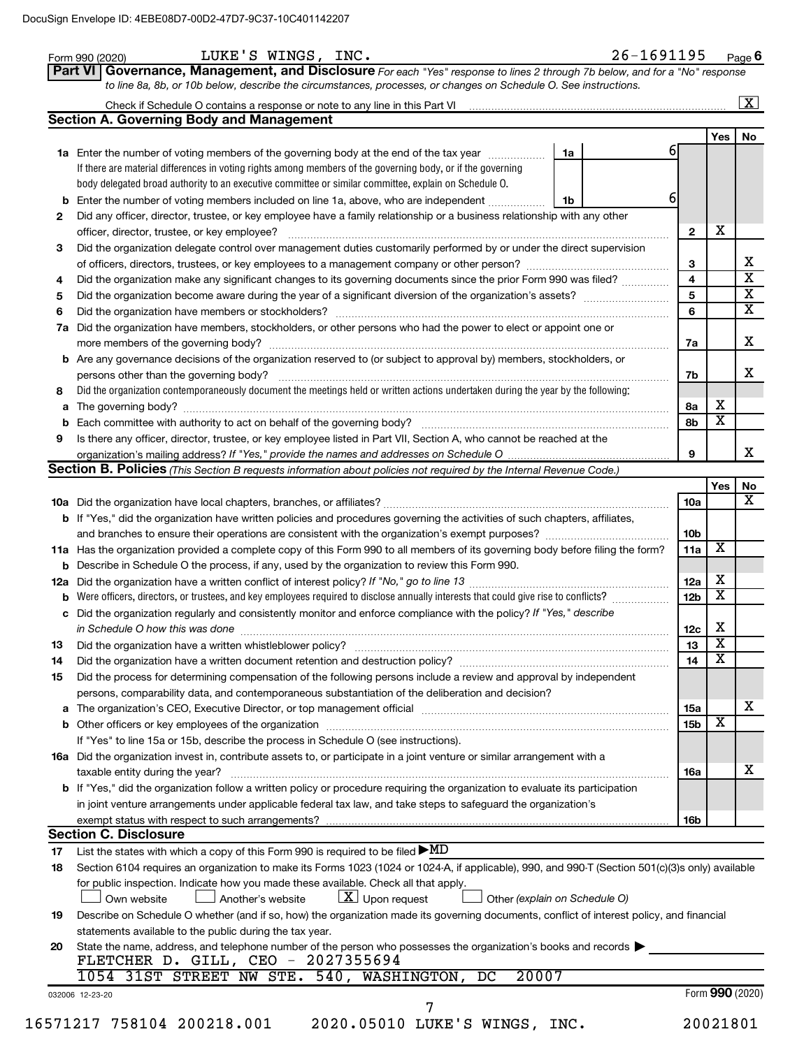|    | to line 8a, 8b, or 10b below, describe the circumstances, processes, or changes on Schedule O. See instructions.                                                                                                               |                 |                         | $\boxed{\textbf{X}}$ |
|----|--------------------------------------------------------------------------------------------------------------------------------------------------------------------------------------------------------------------------------|-----------------|-------------------------|----------------------|
|    | <b>Section A. Governing Body and Management</b>                                                                                                                                                                                |                 |                         |                      |
|    |                                                                                                                                                                                                                                |                 | Yes                     | No                   |
|    | 1a Enter the number of voting members of the governing body at the end of the tax year<br>1a                                                                                                                                   | 61              |                         |                      |
|    | If there are material differences in voting rights among members of the governing body, or if the governing                                                                                                                    |                 |                         |                      |
|    | body delegated broad authority to an executive committee or similar committee, explain on Schedule O.                                                                                                                          |                 |                         |                      |
| b  | Enter the number of voting members included on line 1a, above, who are independent<br>1b                                                                                                                                       | 6               |                         |                      |
| 2  | Did any officer, director, trustee, or key employee have a family relationship or a business relationship with any other                                                                                                       |                 |                         |                      |
|    |                                                                                                                                                                                                                                | $\mathbf{2}$    | X                       |                      |
| 3  | Did the organization delegate control over management duties customarily performed by or under the direct supervision                                                                                                          |                 |                         |                      |
|    |                                                                                                                                                                                                                                | 3               |                         |                      |
| 4  | Did the organization make any significant changes to its governing documents since the prior Form 990 was filed?                                                                                                               | 4               |                         |                      |
| 5  |                                                                                                                                                                                                                                | 5               |                         |                      |
| 6  |                                                                                                                                                                                                                                | 6               |                         |                      |
| 7a | Did the organization have members, stockholders, or other persons who had the power to elect or appoint one or                                                                                                                 |                 |                         |                      |
|    |                                                                                                                                                                                                                                | 7a              |                         |                      |
|    | b Are any governance decisions of the organization reserved to (or subject to approval by) members, stockholders, or                                                                                                           |                 |                         |                      |
|    |                                                                                                                                                                                                                                | 7b              |                         |                      |
| 8  | Did the organization contemporaneously document the meetings held or written actions undertaken during the year by the following:                                                                                              |                 |                         |                      |
| a  |                                                                                                                                                                                                                                | 8а              | х                       |                      |
|    |                                                                                                                                                                                                                                | 8b              | $\overline{\mathbf{x}}$ |                      |
| 9  | Is there any officer, director, trustee, or key employee listed in Part VII, Section A, who cannot be reached at the                                                                                                           |                 |                         |                      |
|    |                                                                                                                                                                                                                                | 9               |                         |                      |
|    | <b>Section B. Policies</b> (This Section B requests information about policies not required by the Internal Revenue Code.)                                                                                                     |                 |                         |                      |
|    |                                                                                                                                                                                                                                |                 | Yes                     |                      |
|    |                                                                                                                                                                                                                                | 10a             |                         |                      |
|    | b If "Yes," did the organization have written policies and procedures governing the activities of such chapters, affiliates,                                                                                                   |                 |                         |                      |
|    |                                                                                                                                                                                                                                | 10 <sub>b</sub> |                         |                      |
|    | 11a Has the organization provided a complete copy of this Form 990 to all members of its governing body before filing the form?                                                                                                | 11a             | X                       |                      |
|    | <b>b</b> Describe in Schedule O the process, if any, used by the organization to review this Form 990.                                                                                                                         |                 |                         |                      |
|    |                                                                                                                                                                                                                                | 12a             | х                       |                      |
|    | <b>b</b> Were officers, directors, or trustees, and key employees required to disclose annually interests that could give rise to conflicts?                                                                                   | 12 <sub>b</sub> | $\overline{\textbf{X}}$ |                      |
|    | c Did the organization regularly and consistently monitor and enforce compliance with the policy? If "Yes," describe                                                                                                           |                 |                         |                      |
|    | in Schedule O how this was done encourance and an according to the state of the state of the state of the state of the state of the state of the state of the state of the state of the state of the state of the state of the | 12c             | х                       |                      |
| 13 |                                                                                                                                                                                                                                | 13              | $\overline{\texttt{x}}$ |                      |
| 14 | Did the organization have a written document retention and destruction policy? [11] manuscription manuscription manuscription of the organization have a written document retention and destruction policy?                    | 14              | $\overline{\textbf{x}}$ |                      |
| 15 | Did the process for determining compensation of the following persons include a review and approval by independent                                                                                                             |                 |                         |                      |
|    | persons, comparability data, and contemporaneous substantiation of the deliberation and decision?                                                                                                                              |                 |                         |                      |
| a  |                                                                                                                                                                                                                                | 15a             |                         |                      |
|    |                                                                                                                                                                                                                                | 15 <sub>b</sub> | $\overline{\mathbf{X}}$ |                      |
|    | If "Yes" to line 15a or 15b, describe the process in Schedule O (see instructions).                                                                                                                                            |                 |                         |                      |
|    | 16a Did the organization invest in, contribute assets to, or participate in a joint venture or similar arrangement with a                                                                                                      |                 |                         |                      |
|    | taxable entity during the year?                                                                                                                                                                                                | 16a             |                         |                      |
|    | <b>b</b> If "Yes," did the organization follow a written policy or procedure requiring the organization to evaluate its participation                                                                                          |                 |                         |                      |
|    | in joint venture arrangements under applicable federal tax law, and take steps to safeguard the organization's                                                                                                                 |                 |                         |                      |
|    | exempt status with respect to such arrangements?                                                                                                                                                                               | 16b             |                         |                      |
|    | <b>Section C. Disclosure</b>                                                                                                                                                                                                   |                 |                         |                      |
| 17 | List the states with which a copy of this Form 990 is required to be filed $\blacktriangleright$ MD                                                                                                                            |                 |                         |                      |
| 18 | Section 6104 requires an organization to make its Forms 1023 (1024 or 1024-A, if applicable), 990, and 990-T (Section 501(c)(3)s only) available                                                                               |                 |                         |                      |
|    | for public inspection. Indicate how you made these available. Check all that apply.<br>$\lfloor x \rfloor$ Upon request                                                                                                        |                 |                         |                      |
|    | Another's website<br>Other (explain on Schedule O)<br>Own website                                                                                                                                                              |                 |                         |                      |
| 19 | Describe on Schedule O whether (and if so, how) the organization made its governing documents, conflict of interest policy, and financial                                                                                      |                 |                         |                      |
|    | statements available to the public during the tax year.                                                                                                                                                                        |                 |                         |                      |
|    | State the name, address, and telephone number of the person who possesses the organization's books and records<br>FLETCHER D. GILL, CEO - 2027355694                                                                           |                 |                         |                      |
| 20 |                                                                                                                                                                                                                                |                 |                         |                      |
|    |                                                                                                                                                                                                                                |                 |                         |                      |
|    | 1054 31ST STREET NW STE. 540, WASHINGTON, DC<br>20007                                                                                                                                                                          |                 |                         |                      |
|    | 032006 12-23-20                                                                                                                                                                                                                |                 | Form 990 (2020)         |                      |
|    | 7<br>16571217 758104 200218.001<br>2020.05010 LUKE'S WINGS, INC.                                                                                                                                                               |                 | 20021801                |                      |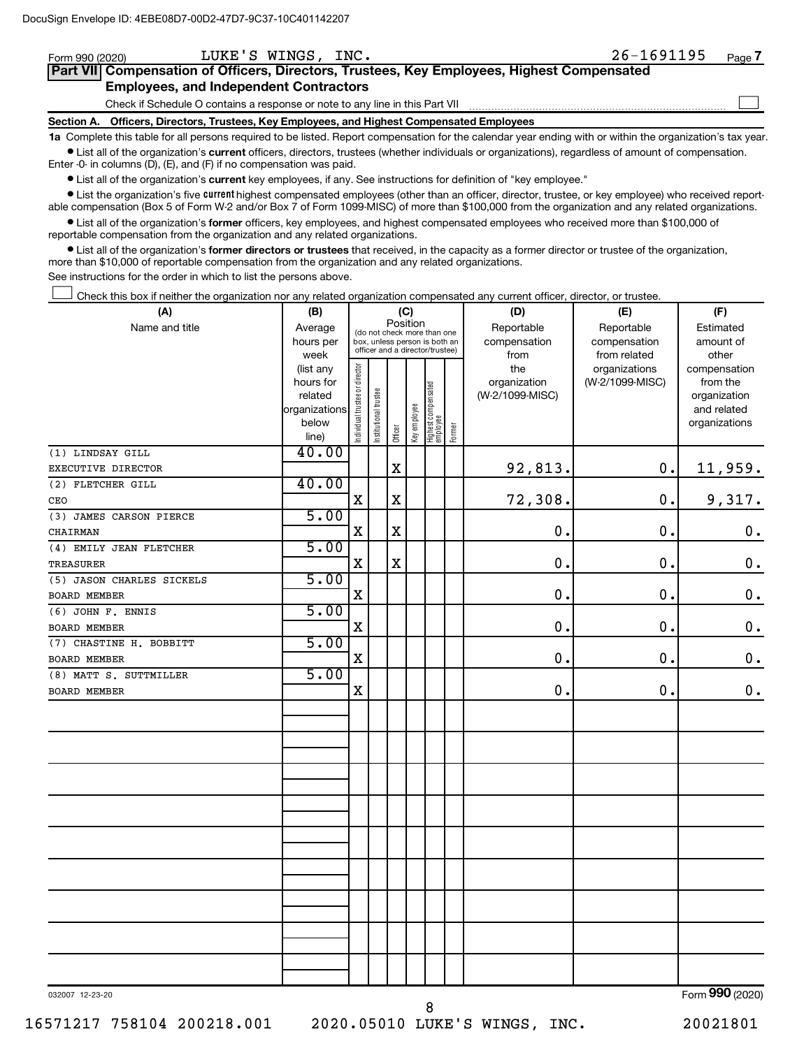| Section A.      | Officers, Directors, Trustees, Key Employees, and Highest Compensated Employees            |            |      |
|-----------------|--------------------------------------------------------------------------------------------|------------|------|
|                 | Check if Schedule O contains a response or note to any line in this Part VII               |            |      |
|                 | <b>Employees, and Independent Contractors</b>                                              |            |      |
|                 | Part VII Compensation of Officers, Directors, Trustees, Key Employees, Highest Compensated |            |      |
| Form 990 (2020) | LUKE'S WINGS, INC.                                                                         | 26-1691195 | Page |

**1a**  Complete this table for all persons required to be listed. Report compensation for the calendar year ending with or within the organization's tax year.  $\bullet$  List all of the organization's current officers, directors, trustees (whether individuals or organizations), regardless of amount of compensation.

Enter -0- in columns (D), (E), and (F) if no compensation was paid.

**•** List all of the organization's current key employees, if any. See instructions for definition of "key employee."

• List the organization's five *current* highest compensated employees (other than an officer, director, trustee, or key employee) who received reportable compensation (Box 5 of Form W-2 and/or Box 7 of Form 1099-MISC) of more than \$100,000 from the organization and any related organizations.

 $\bullet$  List all of the organization's former officers, key employees, and highest compensated employees who received more than \$100,000 of reportable compensation from the organization and any related organizations.

**•** List all of the organization's former directors or trustees that received, in the capacity as a former director or trustee of the organization, more than \$10,000 of reportable compensation from the organization and any related organizations.

See instructions for the order in which to list the persons above.

Check this box if neither the organization nor any related organization compensated any current officer, director, or trustee.  $\Box$ 

| (A)                       | (B)                    |                               |                                                                  | (C)         |              |                                   |        | (D)             | (E)             | (F)                |
|---------------------------|------------------------|-------------------------------|------------------------------------------------------------------|-------------|--------------|-----------------------------------|--------|-----------------|-----------------|--------------------|
| Name and title            | Average                |                               | Position<br>(do not check more than one                          |             |              |                                   |        | Reportable      | Reportable      | Estimated          |
|                           | hours per              |                               | box, unless person is both an<br>officer and a director/trustee) |             |              |                                   |        | compensation    | compensation    | amount of          |
|                           | week                   |                               |                                                                  |             |              |                                   |        | from            | from related    | other              |
|                           | (list any              |                               |                                                                  |             |              |                                   |        | the             | organizations   | compensation       |
|                           | hours for              |                               |                                                                  |             |              |                                   |        | organization    | (W-2/1099-MISC) | from the           |
|                           | related                |                               |                                                                  |             |              |                                   |        | (W-2/1099-MISC) |                 | organization       |
|                           | organizations<br>below |                               |                                                                  |             |              |                                   |        |                 |                 | and related        |
|                           | line)                  | ndividual trustee or director | Institutional trustee                                            | Officer     | Key employee | Highest compensated<br>  employee | Former |                 |                 | organizations      |
| (1) LINDSAY GILL          | 40.00                  |                               |                                                                  |             |              |                                   |        |                 |                 |                    |
| EXECUTIVE DIRECTOR        |                        |                               |                                                                  | $\mathbf X$ |              |                                   |        | 92,813.         | 0.              | 11,959.            |
| (2) FLETCHER GILL         | 40.00                  |                               |                                                                  |             |              |                                   |        |                 |                 |                    |
| $\mathtt{CEO}$            |                        | X                             |                                                                  | $\rm X$     |              |                                   |        | 72,308.         | 0.              | 9,317.             |
| (3) JAMES CARSON PIERCE   | 5.00                   |                               |                                                                  |             |              |                                   |        |                 |                 |                    |
| CHAIRMAN                  |                        | $\mathbf X$                   |                                                                  | $\mathbf X$ |              |                                   |        | $\mathbf 0$ .   | $\mathbf 0$ .   | $\boldsymbol{0}$ . |
| (4) EMILY JEAN FLETCHER   | 5.00                   |                               |                                                                  |             |              |                                   |        |                 |                 |                    |
| TREASURER                 |                        | X                             |                                                                  | $\mathbf X$ |              |                                   |        | $\mathbf 0$ .   | $\mathbf 0$ .   | $\mathbf 0$ .      |
| (5) JASON CHARLES SICKELS | 5.00                   |                               |                                                                  |             |              |                                   |        |                 |                 |                    |
| BOARD MEMBER              |                        | $\rm X$                       |                                                                  |             |              |                                   |        | $\mathbf 0$ .   | $\mathbf 0$ .   | $\mathbf 0$ .      |
| (6) JOHN F. ENNIS         | 5.00                   |                               |                                                                  |             |              |                                   |        |                 |                 |                    |
| <b>BOARD MEMBER</b>       |                        | X                             |                                                                  |             |              |                                   |        | $\mathbf 0$ .   | $\mathbf 0$ .   | $\boldsymbol{0}$ . |
| (7) CHASTINE H. BOBBITT   | 5.00                   |                               |                                                                  |             |              |                                   |        |                 |                 |                    |
| BOARD MEMBER              |                        | $\mathbf X$                   |                                                                  |             |              |                                   |        | $\mathbf 0$ .   | $\mathbf 0$ .   | $\mathbf 0$ .      |
| (8) MATT S. SUTTMILLER    | 5.00                   |                               |                                                                  |             |              |                                   |        |                 |                 |                    |
| BOARD MEMBER              |                        | X                             |                                                                  |             |              |                                   |        | $\mathbf 0$ .   | $\mathbf 0$ .   | 0.                 |
|                           |                        |                               |                                                                  |             |              |                                   |        |                 |                 |                    |
|                           |                        |                               |                                                                  |             |              |                                   |        |                 |                 |                    |
|                           |                        |                               |                                                                  |             |              |                                   |        |                 |                 |                    |
|                           |                        |                               |                                                                  |             |              |                                   |        |                 |                 |                    |
|                           |                        |                               |                                                                  |             |              |                                   |        |                 |                 |                    |
|                           |                        |                               |                                                                  |             |              |                                   |        |                 |                 |                    |
|                           |                        |                               |                                                                  |             |              |                                   |        |                 |                 |                    |
|                           |                        |                               |                                                                  |             |              |                                   |        |                 |                 |                    |
|                           |                        |                               |                                                                  |             |              |                                   |        |                 |                 |                    |
|                           |                        |                               |                                                                  |             |              |                                   |        |                 |                 |                    |
|                           |                        |                               |                                                                  |             |              |                                   |        |                 |                 |                    |
|                           |                        |                               |                                                                  |             |              |                                   |        |                 |                 |                    |
|                           |                        |                               |                                                                  |             |              |                                   |        |                 |                 |                    |
|                           |                        |                               |                                                                  |             |              |                                   |        |                 |                 |                    |
|                           |                        |                               |                                                                  |             |              |                                   |        |                 |                 |                    |
|                           |                        |                               |                                                                  |             |              |                                   |        |                 |                 |                    |
|                           |                        |                               |                                                                  |             |              |                                   |        |                 |                 |                    |
| 032007 12-23-20           |                        |                               |                                                                  |             |              |                                   |        |                 |                 | Form 990 (2020)    |

8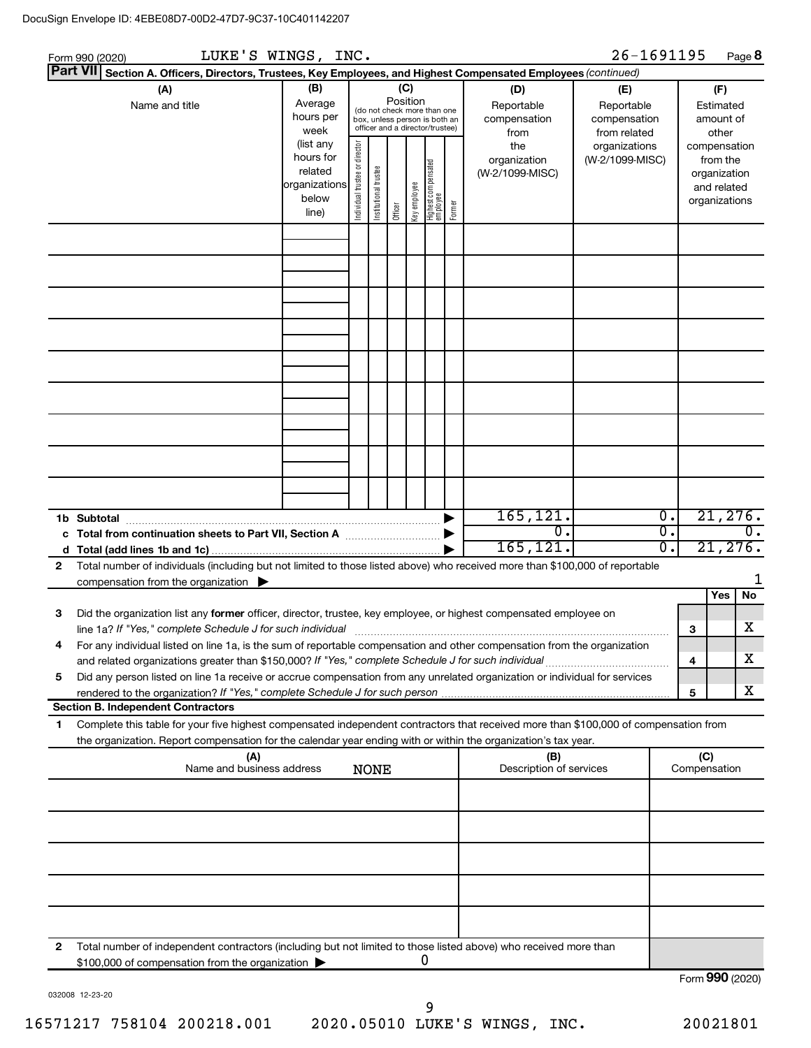|                                                                                                                           | LUKE'S WINGS, INC.<br>Form 990 (2020)                                                                                                                                                                                           |                                                                                                    |                                |                       |                 |              |                                                                                                                                        |        |                                                                                     | 26-1691195                                                                            |          |                     |                                                                                                                    | Page 8           |
|---------------------------------------------------------------------------------------------------------------------------|---------------------------------------------------------------------------------------------------------------------------------------------------------------------------------------------------------------------------------|----------------------------------------------------------------------------------------------------|--------------------------------|-----------------------|-----------------|--------------|----------------------------------------------------------------------------------------------------------------------------------------|--------|-------------------------------------------------------------------------------------|---------------------------------------------------------------------------------------|----------|---------------------|--------------------------------------------------------------------------------------------------------------------|------------------|
| <b>Part VII</b><br>Section A. Officers, Directors, Trustees, Key Employees, and Highest Compensated Employees (continued) |                                                                                                                                                                                                                                 |                                                                                                    |                                |                       |                 |              |                                                                                                                                        |        |                                                                                     |                                                                                       |          |                     |                                                                                                                    |                  |
|                                                                                                                           | (A)<br>Name and title                                                                                                                                                                                                           | (B)<br>Average<br>hours per<br>week<br>(list any<br>hours for<br>related<br>organizations<br>below | Individual trustee or director | Institutional trustee | (C)<br>Position | Key employee | (do not check more than one<br>box, unless person is both an<br>officer and a director/trustee)<br>  Highest compensated<br>  employee |        | (D)<br>Reportable<br>compensation<br>from<br>the<br>organization<br>(W-2/1099-MISC) | (E)<br>Reportable<br>compensation<br>from related<br>organizations<br>(W-2/1099-MISC) |          |                     | (F)<br>Estimated<br>amount of<br>other<br>compensation<br>from the<br>organization<br>and related<br>organizations |                  |
|                                                                                                                           |                                                                                                                                                                                                                                 | line)                                                                                              |                                |                       | Officer         |              |                                                                                                                                        | Former |                                                                                     |                                                                                       |          |                     |                                                                                                                    |                  |
|                                                                                                                           |                                                                                                                                                                                                                                 |                                                                                                    |                                |                       |                 |              |                                                                                                                                        |        |                                                                                     |                                                                                       |          |                     |                                                                                                                    |                  |
|                                                                                                                           |                                                                                                                                                                                                                                 |                                                                                                    |                                |                       |                 |              |                                                                                                                                        |        |                                                                                     |                                                                                       |          |                     |                                                                                                                    |                  |
|                                                                                                                           |                                                                                                                                                                                                                                 |                                                                                                    |                                |                       |                 |              |                                                                                                                                        |        |                                                                                     |                                                                                       |          |                     |                                                                                                                    |                  |
|                                                                                                                           |                                                                                                                                                                                                                                 |                                                                                                    |                                |                       |                 |              |                                                                                                                                        |        |                                                                                     |                                                                                       |          |                     |                                                                                                                    |                  |
|                                                                                                                           |                                                                                                                                                                                                                                 |                                                                                                    |                                |                       |                 |              |                                                                                                                                        |        |                                                                                     |                                                                                       |          |                     |                                                                                                                    |                  |
|                                                                                                                           |                                                                                                                                                                                                                                 |                                                                                                    |                                |                       |                 |              |                                                                                                                                        |        |                                                                                     |                                                                                       |          |                     |                                                                                                                    |                  |
|                                                                                                                           |                                                                                                                                                                                                                                 |                                                                                                    |                                |                       |                 |              |                                                                                                                                        |        |                                                                                     |                                                                                       |          |                     |                                                                                                                    |                  |
|                                                                                                                           | 1b Subtotal                                                                                                                                                                                                                     |                                                                                                    |                                |                       |                 |              |                                                                                                                                        |        | 165, 121.<br>σ.                                                                     |                                                                                       | 0.<br>σ. |                     | 21,276.                                                                                                            | $\overline{0}$ . |
|                                                                                                                           |                                                                                                                                                                                                                                 |                                                                                                    |                                |                       |                 |              |                                                                                                                                        |        | 165, 121.                                                                           |                                                                                       | σ.       |                     | 21,276.                                                                                                            |                  |
| $\mathbf{2}$                                                                                                              | Total number of individuals (including but not limited to those listed above) who received more than \$100,000 of reportable<br>compensation from the organization $\blacktriangleright$                                        |                                                                                                    |                                |                       |                 |              |                                                                                                                                        |        |                                                                                     |                                                                                       |          |                     |                                                                                                                    |                  |
|                                                                                                                           |                                                                                                                                                                                                                                 |                                                                                                    |                                |                       |                 |              |                                                                                                                                        |        |                                                                                     |                                                                                       |          |                     | Yes                                                                                                                | No               |
| 3                                                                                                                         | Did the organization list any former officer, director, trustee, key employee, or highest compensated employee on<br>line 1a? If "Yes," complete Schedule J for such individual                                                 |                                                                                                    |                                |                       |                 |              |                                                                                                                                        |        |                                                                                     |                                                                                       |          | 3                   |                                                                                                                    | х                |
| 4                                                                                                                         | For any individual listed on line 1a, is the sum of reportable compensation and other compensation from the organization<br>and related organizations greater than \$150,000? If "Yes," complete Schedule J for such individual |                                                                                                    |                                |                       |                 |              |                                                                                                                                        |        |                                                                                     |                                                                                       |          | 4                   |                                                                                                                    | х                |
| 5                                                                                                                         | Did any person listed on line 1a receive or accrue compensation from any unrelated organization or individual for services                                                                                                      |                                                                                                    |                                |                       |                 |              |                                                                                                                                        |        |                                                                                     |                                                                                       |          | 5                   |                                                                                                                    | X                |
| 1                                                                                                                         | <b>Section B. Independent Contractors</b><br>Complete this table for your five highest compensated independent contractors that received more than \$100,000 of compensation from                                               |                                                                                                    |                                |                       |                 |              |                                                                                                                                        |        |                                                                                     |                                                                                       |          |                     |                                                                                                                    |                  |
|                                                                                                                           | the organization. Report compensation for the calendar year ending with or within the organization's tax year.                                                                                                                  |                                                                                                    |                                |                       |                 |              |                                                                                                                                        |        |                                                                                     |                                                                                       |          |                     |                                                                                                                    |                  |
|                                                                                                                           | (A)<br>Name and business address                                                                                                                                                                                                |                                                                                                    |                                | <b>NONE</b>           |                 |              |                                                                                                                                        |        | (B)<br>Description of services                                                      |                                                                                       |          | (C)<br>Compensation |                                                                                                                    |                  |
|                                                                                                                           |                                                                                                                                                                                                                                 |                                                                                                    |                                |                       |                 |              |                                                                                                                                        |        |                                                                                     |                                                                                       |          |                     |                                                                                                                    |                  |
|                                                                                                                           |                                                                                                                                                                                                                                 |                                                                                                    |                                |                       |                 |              |                                                                                                                                        |        |                                                                                     |                                                                                       |          |                     |                                                                                                                    |                  |
|                                                                                                                           |                                                                                                                                                                                                                                 |                                                                                                    |                                |                       |                 |              |                                                                                                                                        |        |                                                                                     |                                                                                       |          |                     |                                                                                                                    |                  |
|                                                                                                                           |                                                                                                                                                                                                                                 |                                                                                                    |                                |                       |                 |              |                                                                                                                                        |        |                                                                                     |                                                                                       |          |                     |                                                                                                                    |                  |
| $\mathbf{2}$                                                                                                              | Total number of independent contractors (including but not limited to those listed above) who received more than<br>\$100,000 of compensation from the organization                                                             |                                                                                                    |                                |                       |                 |              | 0                                                                                                                                      |        |                                                                                     |                                                                                       |          |                     |                                                                                                                    |                  |
|                                                                                                                           |                                                                                                                                                                                                                                 |                                                                                                    |                                |                       |                 |              |                                                                                                                                        |        |                                                                                     |                                                                                       |          | Form 990 (2020)     |                                                                                                                    |                  |

032008 12-23-20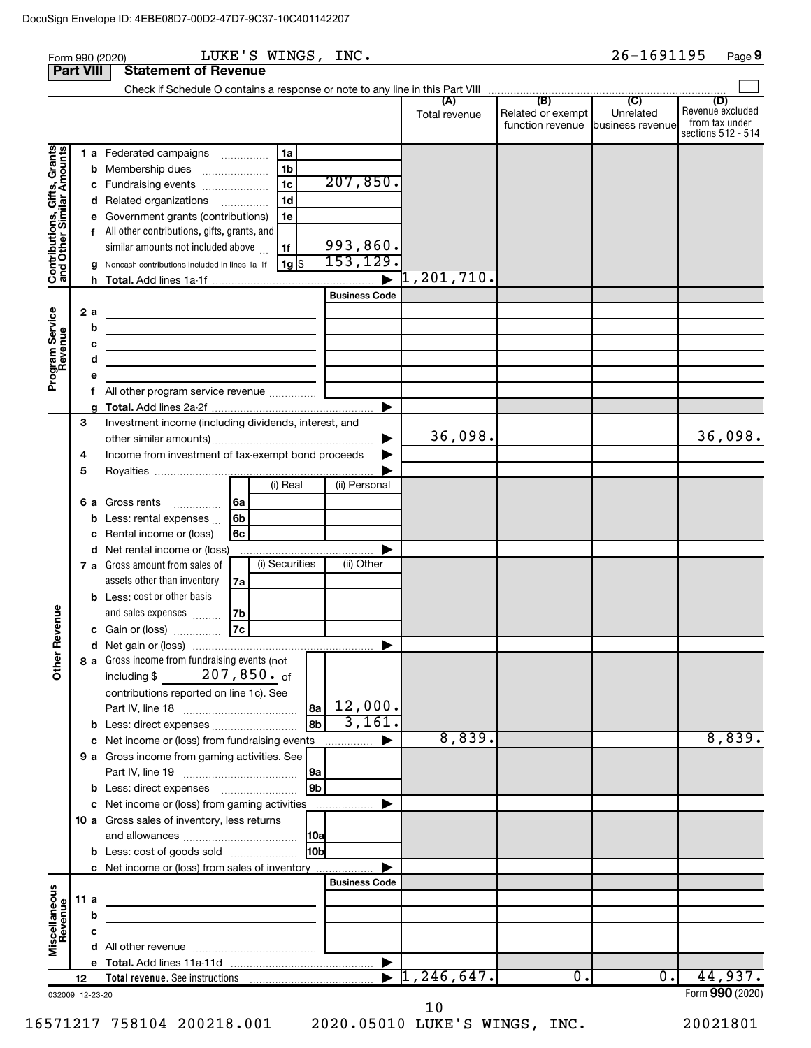|                                                           |                  |    | Form 990 (2020)                                                                                                                                                                                                                               | LUKE'S WINGS, INC.     |            |                      |                     |                                                        | 26-1691195           | Page 9                                                   |
|-----------------------------------------------------------|------------------|----|-----------------------------------------------------------------------------------------------------------------------------------------------------------------------------------------------------------------------------------------------|------------------------|------------|----------------------|---------------------|--------------------------------------------------------|----------------------|----------------------------------------------------------|
|                                                           | <b>Part VIII</b> |    | <b>Statement of Revenue</b>                                                                                                                                                                                                                   |                        |            |                      |                     |                                                        |                      |                                                          |
|                                                           |                  |    |                                                                                                                                                                                                                                               |                        |            |                      |                     |                                                        |                      | (D)                                                      |
|                                                           |                  |    |                                                                                                                                                                                                                                               |                        |            |                      | Total revenue       | Related or exempt<br>function revenue business revenue | Unrelated            | Revenue excluded<br>from tax under<br>sections 512 - 514 |
|                                                           |                  |    | 1a<br>1 a Federated campaigns                                                                                                                                                                                                                 |                        |            |                      |                     |                                                        |                      |                                                          |
| Contributions, Gifts, Grants<br>and Other Similar Amounts |                  | b  | Membership dues                                                                                                                                                                                                                               | 1 <sub>b</sub>         |            |                      |                     |                                                        |                      |                                                          |
|                                                           |                  | с  | Fundraising events                                                                                                                                                                                                                            | 1 <sub>c</sub>         |            | 207,850.             |                     |                                                        |                      |                                                          |
|                                                           |                  | d  | Related organizations                                                                                                                                                                                                                         | 1 <sub>d</sub>         |            |                      |                     |                                                        |                      |                                                          |
|                                                           |                  | е  | Government grants (contributions)                                                                                                                                                                                                             | 1e                     |            |                      |                     |                                                        |                      |                                                          |
|                                                           |                  |    | f All other contributions, gifts, grants, and                                                                                                                                                                                                 |                        |            |                      |                     |                                                        |                      |                                                          |
|                                                           |                  |    | similar amounts not included above                                                                                                                                                                                                            | 1f                     |            | 993,860.<br>153,129. |                     |                                                        |                      |                                                          |
|                                                           |                  | g  | Noncash contributions included in lines 1a-1f                                                                                                                                                                                                 | 1g                     |            |                      | $\rceil$ 1,201,710. |                                                        |                      |                                                          |
|                                                           |                  |    |                                                                                                                                                                                                                                               |                        |            | <b>Business Code</b> |                     |                                                        |                      |                                                          |
|                                                           |                  | 2a |                                                                                                                                                                                                                                               |                        |            |                      |                     |                                                        |                      |                                                          |
| Program Service<br>Revenue                                |                  | b  | <u> 1989 - Johann Barn, mars and de Branch Barn, mars and de Branch Barn, mars and de Branch Barn, mars and de Br</u>                                                                                                                         |                        |            |                      |                     |                                                        |                      |                                                          |
|                                                           |                  | c  | <u> 1989 - Johann Barn, mars ann an t-Amhain Aonaich an t-Aonaich an t-Aonaich ann an t-Aonaich ann an t-Aonaich</u><br><u> 1989 - Johann Barbara, martin a bhann an t-Alban an t-Alban an t-Alban an t-Alban an t-Alban an t-Alban an t-</u> |                        |            |                      |                     |                                                        |                      |                                                          |
|                                                           |                  | d  | <u> 1989 - Johann Barn, mars ann an t-Amhain Aonaich an t-Aonaich an t-Aonaich an t-Aonaich an t-Aonaich ann an t-</u>                                                                                                                        |                        |            |                      |                     |                                                        |                      |                                                          |
|                                                           |                  | е  |                                                                                                                                                                                                                                               |                        |            |                      |                     |                                                        |                      |                                                          |
|                                                           |                  | f  |                                                                                                                                                                                                                                               |                        |            |                      |                     |                                                        |                      |                                                          |
|                                                           |                  | g  |                                                                                                                                                                                                                                               |                        |            |                      |                     |                                                        |                      |                                                          |
|                                                           | 3                |    | Investment income (including dividends, interest, and                                                                                                                                                                                         |                        |            |                      |                     |                                                        |                      |                                                          |
|                                                           |                  |    |                                                                                                                                                                                                                                               |                        |            |                      | 36,098.             |                                                        |                      | 36,098.                                                  |
|                                                           | 4                |    | Income from investment of tax-exempt bond proceeds                                                                                                                                                                                            |                        |            |                      |                     |                                                        |                      |                                                          |
|                                                           | 5                |    |                                                                                                                                                                                                                                               | (i) Real               |            | (ii) Personal        |                     |                                                        |                      |                                                          |
|                                                           |                  | 6а | Gross rents                                                                                                                                                                                                                                   | 6а                     |            |                      |                     |                                                        |                      |                                                          |
|                                                           |                  | b  | Less: rental expenses                                                                                                                                                                                                                         | 6b                     |            |                      |                     |                                                        |                      |                                                          |
|                                                           |                  | с  | Rental income or (loss)                                                                                                                                                                                                                       | 6c                     |            |                      |                     |                                                        |                      |                                                          |
|                                                           |                  | d  | Net rental income or (loss)                                                                                                                                                                                                                   |                        |            |                      |                     |                                                        |                      |                                                          |
|                                                           |                  |    | 7 a Gross amount from sales of                                                                                                                                                                                                                | (i) Securities         |            | (ii) Other           |                     |                                                        |                      |                                                          |
|                                                           |                  |    | assets other than inventory                                                                                                                                                                                                                   | 7a                     |            |                      |                     |                                                        |                      |                                                          |
|                                                           |                  |    | <b>b</b> Less: cost or other basis                                                                                                                                                                                                            |                        |            |                      |                     |                                                        |                      |                                                          |
| evenue                                                    |                  |    | and sales expenses                                                                                                                                                                                                                            | 7b<br><b>7c</b>        |            |                      |                     |                                                        |                      |                                                          |
|                                                           |                  |    | c Gain or (loss)                                                                                                                                                                                                                              |                        |            |                      |                     |                                                        |                      |                                                          |
| Œ                                                         |                  |    | 8 a Gross income from fundraising events (not                                                                                                                                                                                                 |                        |            |                      |                     |                                                        |                      |                                                          |
| Other                                                     |                  |    | including \$                                                                                                                                                                                                                                  | 207,850. <sub>of</sub> |            |                      |                     |                                                        |                      |                                                          |
|                                                           |                  |    | contributions reported on line 1c). See                                                                                                                                                                                                       |                        |            |                      |                     |                                                        |                      |                                                          |
|                                                           |                  |    |                                                                                                                                                                                                                                               |                        | 8a         | 12,000.              |                     |                                                        |                      |                                                          |
|                                                           |                  | b  | Less: direct expenses                                                                                                                                                                                                                         |                        | 8b         | 3,161.               |                     |                                                        |                      |                                                          |
|                                                           |                  |    | c Net income or (loss) from fundraising events                                                                                                                                                                                                |                        |            |                      | 8,839.              |                                                        |                      | 8,839.                                                   |
|                                                           |                  |    | 9 a Gross income from gaming activities. See                                                                                                                                                                                                  |                        |            |                      |                     |                                                        |                      |                                                          |
|                                                           |                  |    |                                                                                                                                                                                                                                               |                        | 9a<br>l 9b |                      |                     |                                                        |                      |                                                          |
|                                                           |                  |    | c Net income or (loss) from gaming activities                                                                                                                                                                                                 |                        |            |                      |                     |                                                        |                      |                                                          |
|                                                           |                  |    | 10 a Gross sales of inventory, less returns                                                                                                                                                                                                   |                        |            |                      |                     |                                                        |                      |                                                          |
|                                                           |                  |    |                                                                                                                                                                                                                                               |                        |            |                      |                     |                                                        |                      |                                                          |
|                                                           |                  |    | <b>b</b> Less: cost of goods sold                                                                                                                                                                                                             |                        | 10bl       |                      |                     |                                                        |                      |                                                          |
|                                                           |                  |    | c Net income or (loss) from sales of inventory                                                                                                                                                                                                |                        |            |                      |                     |                                                        |                      |                                                          |
|                                                           |                  |    |                                                                                                                                                                                                                                               |                        |            | <b>Business Code</b> |                     |                                                        |                      |                                                          |
| Miscellaneous<br>Revenue                                  | 11a              |    | the control of the control of the control of the control of the control of                                                                                                                                                                    |                        |            |                      |                     |                                                        |                      |                                                          |
|                                                           |                  | b  |                                                                                                                                                                                                                                               |                        |            |                      |                     |                                                        |                      |                                                          |
|                                                           |                  | c  |                                                                                                                                                                                                                                               |                        |            |                      |                     |                                                        |                      |                                                          |
|                                                           |                  | d  |                                                                                                                                                                                                                                               |                        |            |                      |                     |                                                        |                      |                                                          |
|                                                           | 12               |    |                                                                                                                                                                                                                                               |                        |            |                      | 1,246,647.          | 0.                                                     | $\overline{\bullet}$ | 44,937.                                                  |
| 032009 12-23-20                                           |                  |    |                                                                                                                                                                                                                                               |                        |            |                      |                     |                                                        |                      | Form 990 (2020)                                          |
|                                                           |                  |    |                                                                                                                                                                                                                                               |                        |            |                      | 10                  |                                                        |                      |                                                          |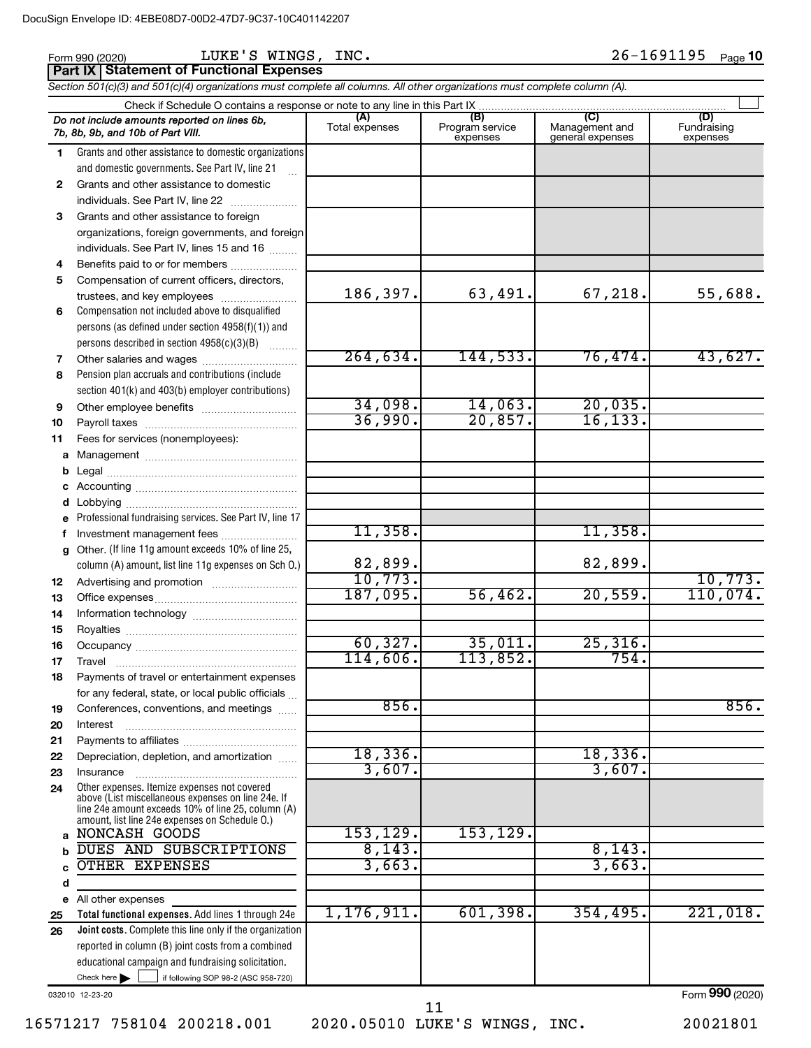|          | LUKE'S WINGS, INC.                                                                                                                                                                                         |                    |                 | 26-1691195       |                     |
|----------|------------------------------------------------------------------------------------------------------------------------------------------------------------------------------------------------------------|--------------------|-----------------|------------------|---------------------|
|          | Form 990 (2020)<br><b>Part IX Statement of Functional Expenses</b>                                                                                                                                         |                    |                 |                  | Page $10$           |
|          | Section 501(c)(3) and 501(c)(4) organizations must complete all columns. All other organizations must complete column (A).                                                                                 |                    |                 |                  |                     |
|          |                                                                                                                                                                                                            |                    |                 |                  |                     |
|          | Do not include amounts reported on lines 6b,                                                                                                                                                               |                    | Program service | Management and   | (D)<br>Fundraising  |
|          | 7b, 8b, 9b, and 10b of Part VIII.                                                                                                                                                                          | Total expenses     | expenses        | general expenses | expenses            |
| 1        | Grants and other assistance to domestic organizations                                                                                                                                                      |                    |                 |                  |                     |
|          | and domestic governments. See Part IV, line 21                                                                                                                                                             |                    |                 |                  |                     |
| 2        | Grants and other assistance to domestic                                                                                                                                                                    |                    |                 |                  |                     |
|          | individuals. See Part IV, line 22                                                                                                                                                                          |                    |                 |                  |                     |
| 3        | Grants and other assistance to foreign                                                                                                                                                                     |                    |                 |                  |                     |
|          | organizations, foreign governments, and foreign                                                                                                                                                            |                    |                 |                  |                     |
|          | individuals. See Part IV, lines 15 and 16                                                                                                                                                                  |                    |                 |                  |                     |
| 4        | Benefits paid to or for members                                                                                                                                                                            |                    |                 |                  |                     |
| 5        | Compensation of current officers, directors,                                                                                                                                                               | 186,397.           | 63,491.         | 67, 218.         | 55,688.             |
| 6        | trustees, and key employees<br>Compensation not included above to disqualified                                                                                                                             |                    |                 |                  |                     |
|          | persons (as defined under section 4958(f)(1)) and                                                                                                                                                          |                    |                 |                  |                     |
|          | persons described in section 4958(c)(3)(B)                                                                                                                                                                 |                    |                 |                  |                     |
| 7        | Other salaries and wages                                                                                                                                                                                   | 264, 634.          | 144,533.        | 76,474.          | 43,627.             |
| 8        | Pension plan accruals and contributions (include                                                                                                                                                           |                    |                 |                  |                     |
|          | section 401(k) and 403(b) employer contributions)                                                                                                                                                          |                    |                 |                  |                     |
| 9        |                                                                                                                                                                                                            | 34,098.            | 14,063.         | 20,035.          |                     |
| 10       |                                                                                                                                                                                                            | 36,990.            | 20,857.         | 16, 133.         |                     |
| 11       | Fees for services (nonemployees):                                                                                                                                                                          |                    |                 |                  |                     |
| а        |                                                                                                                                                                                                            |                    |                 |                  |                     |
| b        |                                                                                                                                                                                                            |                    |                 |                  |                     |
|          |                                                                                                                                                                                                            |                    |                 |                  |                     |
| d        |                                                                                                                                                                                                            |                    |                 |                  |                     |
|          | Professional fundraising services. See Part IV, line 17                                                                                                                                                    |                    |                 |                  |                     |
| f        | Investment management fees                                                                                                                                                                                 | 11,358.            |                 | 11,358.          |                     |
| a        | Other. (If line 11g amount exceeds 10% of line 25,                                                                                                                                                         |                    |                 |                  |                     |
|          | column (A) amount, list line 11g expenses on Sch O.)                                                                                                                                                       | 82,899.<br>10,773. |                 | 82,899.          |                     |
|          |                                                                                                                                                                                                            | 187,095.           | 56,462.         | 20,559.          | 10,773.<br>110,074. |
| 13       |                                                                                                                                                                                                            |                    |                 |                  |                     |
| 14       |                                                                                                                                                                                                            |                    |                 |                  |                     |
| 15<br>16 |                                                                                                                                                                                                            | 60, 327.           | 35,011.         | 25,316.          |                     |
| 17       |                                                                                                                                                                                                            | 114,606.           | 113,852.        | 754.             |                     |
| 18       | Payments of travel or entertainment expenses                                                                                                                                                               |                    |                 |                  |                     |
|          | for any federal, state, or local public officials                                                                                                                                                          |                    |                 |                  |                     |
| 19       | Conferences, conventions, and meetings                                                                                                                                                                     | 856.               |                 |                  | 856.                |
| 20       | Interest                                                                                                                                                                                                   |                    |                 |                  |                     |
| 21       |                                                                                                                                                                                                            |                    |                 |                  |                     |
| 22       | Depreciation, depletion, and amortization                                                                                                                                                                  | 18,336.            |                 | 18,336.          |                     |
| 23       | Insurance                                                                                                                                                                                                  | 3,607.             |                 | 3,607.           |                     |
| 24       | Other expenses. Itemize expenses not covered<br>above (List miscellaneous expenses on line 24e. If<br>line 24e amount exceeds 10% of line 25, column (A)<br>amount, list line 24e expenses on Schedule O.) |                    |                 |                  |                     |
|          | a NONCASH GOODS                                                                                                                                                                                            | 153, 129.          | 153, 129.       |                  |                     |

|    | פעטטט חפרטוועות מ                                  | <b>⊥JJ,⊥</b> ∠J• | <b>⊥</b> しし 」 エ ム フ • I |          |
|----|----------------------------------------------------|------------------|-------------------------|----------|
|    | <b>b DUES AND SUBSCRIPTIONS</b>                    | 8.143.           |                         | 8.143.   |
|    | . OTHER EXPENSES                                   | 3.663            |                         | 3.663.   |
|    |                                                    |                  |                         |          |
|    | <b>e</b> All other expenses                        |                  |                         |          |
| 25 | Total functional expenses. Add lines 1 through 24e | 1.176,911.       | 601,398.                | 354,495. |

Check here  $\begin{array}{c} \begin{array}{|c} \hline \end{array} \end{array}$  if following SOP 98-2 (ASC 958-720)

reported in column (B) joint costs from a combined educational campaign and fundraising solicitation.

**Joint costs.** Complete this line only if the organization

032010 12-23-20

Check here |

**26**

16571217 758104 200218.001 2020.05010 LUKE'S WINGS, INC. 20021801 11

Form (2020) **990**

1,176,911. 601,398. 354,495. 221,018.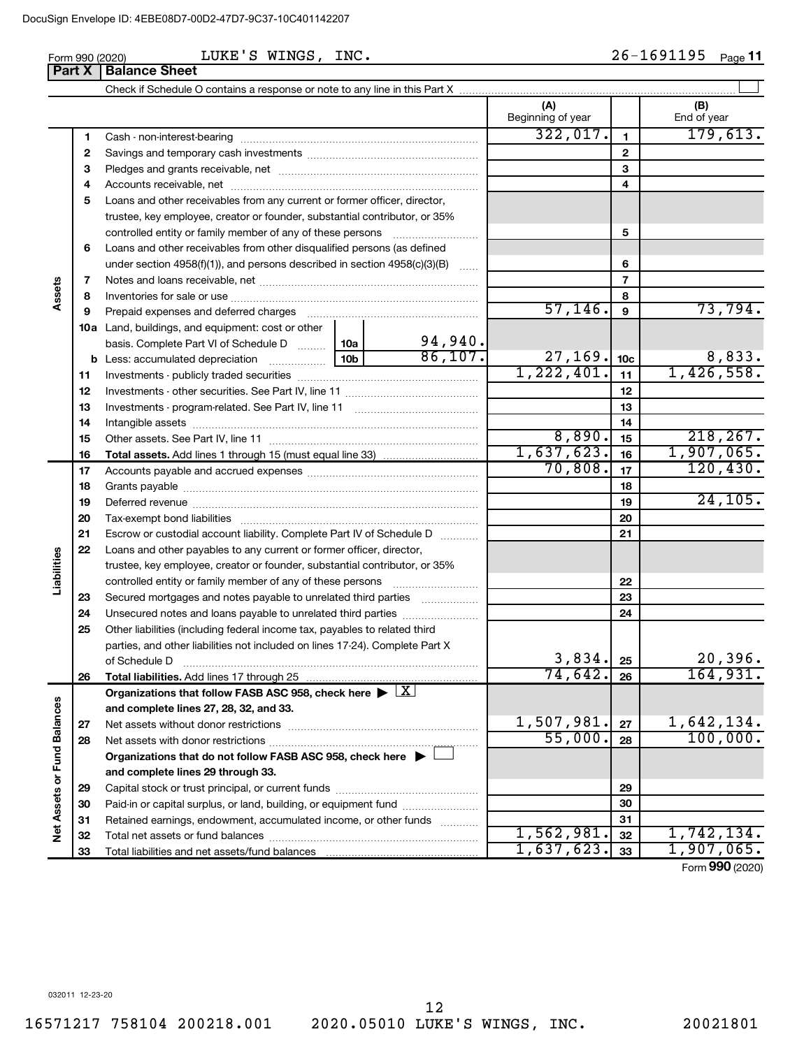### Form 990 (2020)  $LUKE'S~WINGS,~INC.$

|                             | Part X | <b>Balance Sheet</b>                                                                                                                                                                                                           |             |                         |                              |                 |                           |
|-----------------------------|--------|--------------------------------------------------------------------------------------------------------------------------------------------------------------------------------------------------------------------------------|-------------|-------------------------|------------------------------|-----------------|---------------------------|
|                             |        |                                                                                                                                                                                                                                |             |                         |                              |                 |                           |
|                             |        |                                                                                                                                                                                                                                |             |                         | (A)<br>Beginning of year     |                 | (B)<br>End of year        |
|                             | 1      |                                                                                                                                                                                                                                |             |                         | 322,017.                     | 1               | 179,613.                  |
|                             | 2      |                                                                                                                                                                                                                                |             |                         |                              | 2               |                           |
|                             | З      |                                                                                                                                                                                                                                |             |                         |                              | 3               |                           |
|                             | 4      |                                                                                                                                                                                                                                |             |                         |                              | 4               |                           |
|                             | 5      | Loans and other receivables from any current or former officer, director,                                                                                                                                                      |             |                         |                              |                 |                           |
|                             |        | trustee, key employee, creator or founder, substantial contributor, or 35%                                                                                                                                                     |             |                         |                              |                 |                           |
|                             |        | controlled entity or family member of any of these persons                                                                                                                                                                     |             |                         |                              | 5               |                           |
|                             | 6      | Loans and other receivables from other disqualified persons (as defined                                                                                                                                                        |             |                         |                              |                 |                           |
|                             |        | under section 4958(f)(1)), and persons described in section 4958(c)(3)(B)                                                                                                                                                      |             |                         |                              | 6               |                           |
|                             | 7      |                                                                                                                                                                                                                                |             |                         |                              | $\overline{7}$  |                           |
| Assets                      | 8      |                                                                                                                                                                                                                                |             |                         |                              | 8               |                           |
|                             | 9      | Prepaid expenses and deferred charges [11] matter continuum matter and referred charges [11] matter continuum matter continuum matter and continuum matter continuum matter continuum matter continuum matter continuum matter |             |                         | 57,146.                      | 9               | 73,794.                   |
|                             |        | <b>10a</b> Land, buildings, and equipment: cost or other                                                                                                                                                                       |             |                         |                              |                 |                           |
|                             |        | basis. Complete Part VI of Schedule D                                                                                                                                                                                          | 10a $\vert$ | $\frac{94,940}{86,107}$ |                              |                 |                           |
|                             |        |                                                                                                                                                                                                                                |             |                         | $\frac{27,169.}{1,222,401.}$ | 10 <sub>c</sub> | $\frac{8,833}{1,426,558}$ |
|                             | 11     |                                                                                                                                                                                                                                |             |                         |                              | 11              |                           |
|                             | 12     |                                                                                                                                                                                                                                |             |                         |                              | 12              |                           |
|                             | 13     |                                                                                                                                                                                                                                |             |                         |                              | 13              |                           |
|                             | 14     |                                                                                                                                                                                                                                |             |                         |                              | 14              |                           |
|                             | 15     |                                                                                                                                                                                                                                |             |                         | 8,890.                       | 15              | 218, 267.                 |
|                             | 16     |                                                                                                                                                                                                                                |             |                         | 1,637,623.                   | 16              | 1,907,065.                |
|                             | 17     |                                                                                                                                                                                                                                |             |                         | 70,808.                      | 17              | 120, 430.                 |
|                             | 18     |                                                                                                                                                                                                                                |             |                         | 18                           |                 |                           |
|                             | 19     |                                                                                                                                                                                                                                |             |                         |                              | 19              | 24, 105.                  |
|                             | 20     |                                                                                                                                                                                                                                |             |                         |                              | 20              |                           |
|                             | 21     | Escrow or custodial account liability. Complete Part IV of Schedule D                                                                                                                                                          |             |                         |                              | 21              |                           |
|                             | 22     | Loans and other payables to any current or former officer, director,                                                                                                                                                           |             |                         |                              |                 |                           |
| Liabilities                 |        | trustee, key employee, creator or founder, substantial contributor, or 35%                                                                                                                                                     |             |                         |                              |                 |                           |
|                             |        | controlled entity or family member of any of these persons                                                                                                                                                                     |             |                         |                              | 22              |                           |
|                             | 23     | Secured mortgages and notes payable to unrelated third parties                                                                                                                                                                 |             |                         |                              | 23              |                           |
|                             | 24     | Unsecured notes and loans payable to unrelated third parties                                                                                                                                                                   |             |                         |                              | 24              |                           |
|                             | 25     | Other liabilities (including federal income tax, payables to related third                                                                                                                                                     |             |                         |                              |                 |                           |
|                             |        | parties, and other liabilities not included on lines 17-24). Complete Part X                                                                                                                                                   |             |                         |                              |                 |                           |
|                             |        | of Schedule D                                                                                                                                                                                                                  |             |                         | 3,834.                       | 25              | 20,396.                   |
|                             | 26     | Total liabilities. Add lines 17 through 25                                                                                                                                                                                     |             |                         | 74,642.                      | 26              | 164,931.                  |
|                             |        | Organizations that follow FASB ASC 958, check here $\blacktriangleright \lfloor \underline{X} \rfloor$                                                                                                                         |             |                         |                              |                 |                           |
|                             |        | and complete lines 27, 28, 32, and 33.                                                                                                                                                                                         |             |                         |                              |                 |                           |
|                             | 27     |                                                                                                                                                                                                                                |             |                         | 1,507,981.<br>55,000.        | 27              | 1,642,134.<br>100,000.    |
|                             | 28     | Net assets with donor restrictions                                                                                                                                                                                             |             |                         |                              | 28              |                           |
|                             |        | Organizations that do not follow FASB ASC 958, check here $\blacktriangleright$                                                                                                                                                |             |                         |                              |                 |                           |
|                             |        | and complete lines 29 through 33.                                                                                                                                                                                              |             |                         |                              |                 |                           |
|                             | 29     |                                                                                                                                                                                                                                |             |                         |                              | 29              |                           |
|                             | 30     | Paid-in or capital surplus, or land, building, or equipment fund                                                                                                                                                               |             |                         |                              | 30              |                           |
| Net Assets or Fund Balances | 31     | Retained earnings, endowment, accumulated income, or other funds                                                                                                                                                               |             |                         | 1,562,981.                   | 31              | 1,742,134.                |
|                             | 32     |                                                                                                                                                                                                                                |             |                         | 1,637,623.                   | 32              | 1,907,065.                |
|                             | 33     |                                                                                                                                                                                                                                |             |                         |                              | 33              |                           |

Form (2020) **990**

032011 12-23-20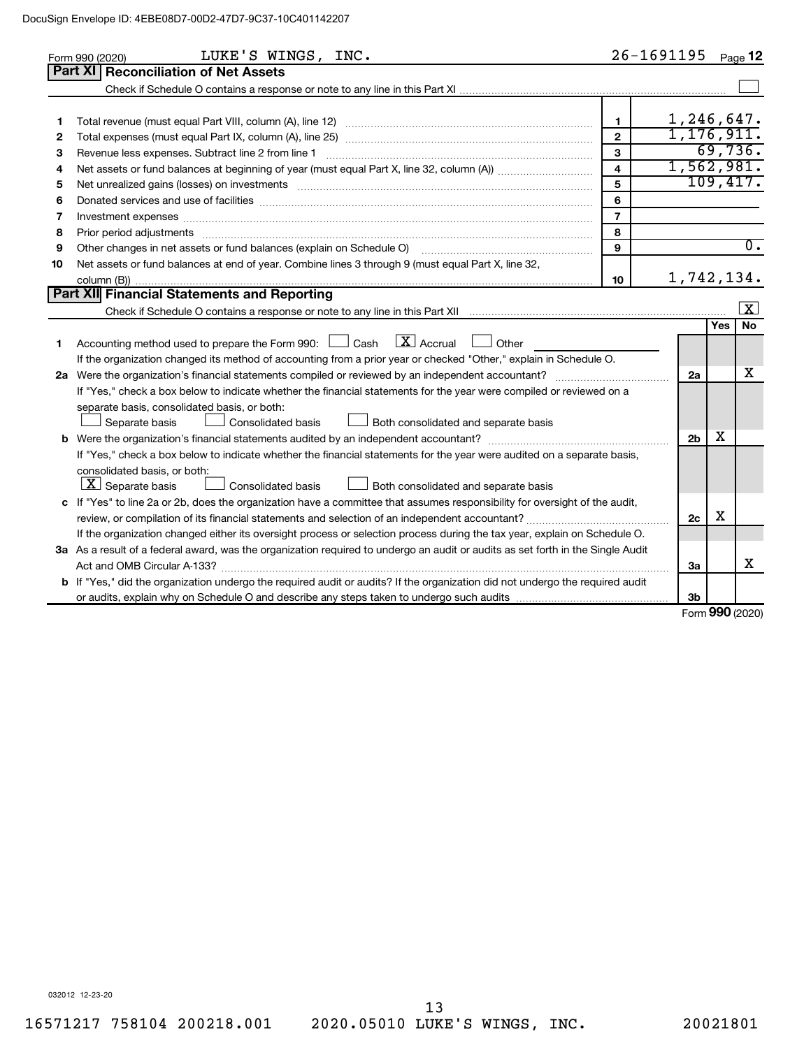|    | LUKE'S WINGS, INC.<br>Form 990 (2020)                                                                                                                                                                                          | $26 - 1691195$          |                |            | Page 12                 |
|----|--------------------------------------------------------------------------------------------------------------------------------------------------------------------------------------------------------------------------------|-------------------------|----------------|------------|-------------------------|
|    | <b>Part XI</b><br><b>Reconciliation of Net Assets</b>                                                                                                                                                                          |                         |                |            |                         |
|    |                                                                                                                                                                                                                                |                         |                |            |                         |
| 1  |                                                                                                                                                                                                                                | $\mathbf{1}$            | 1,246,647.     |            |                         |
| 2  |                                                                                                                                                                                                                                | $\overline{2}$          | 1, 176, 911.   |            |                         |
| З  | Revenue less expenses. Subtract line 2 from line 1                                                                                                                                                                             | $\mathbf{3}$            |                |            | 69,736.                 |
| 4  |                                                                                                                                                                                                                                | $\overline{\mathbf{4}}$ | 1,562,981.     |            |                         |
| 5  | Net unrealized gains (losses) on investments [11] matter in the content of the state of the state of the state of the state of the state of the state of the state of the state of the state of the state of the state of the  | 5                       |                |            | 109,417.                |
| 6  |                                                                                                                                                                                                                                | 6                       |                |            |                         |
| 7  |                                                                                                                                                                                                                                | $\overline{7}$          |                |            |                         |
| 8  | Prior period adjustments material contents and content of the content of the content of the content of the content of the content of the content of the content of the content of the content of the content of the content of | 8                       |                |            |                         |
| 9  | Other changes in net assets or fund balances (explain on Schedule O) manufactured controller changes in net assets or fund balances (explain on Schedule O)                                                                    | 9                       |                |            | $\overline{0}$ .        |
| 10 | Net assets or fund balances at end of year. Combine lines 3 through 9 (must equal Part X, line 32,                                                                                                                             |                         |                |            |                         |
|    |                                                                                                                                                                                                                                | 10                      | 1,742,134.     |            |                         |
|    | <b>Part XII Financial Statements and Reporting</b>                                                                                                                                                                             |                         |                |            |                         |
|    |                                                                                                                                                                                                                                |                         |                |            | $\overline{\mathbf{X}}$ |
|    |                                                                                                                                                                                                                                |                         |                | <b>Yes</b> | No                      |
| 1. | $\mathbf{X}$ Accrual<br>Accounting method used to prepare the Form 990: [130] Cash<br>Other                                                                                                                                    |                         |                |            |                         |
|    | If the organization changed its method of accounting from a prior year or checked "Other," explain in Schedule O.                                                                                                              |                         |                |            |                         |
|    | 2a Were the organization's financial statements compiled or reviewed by an independent accountant?                                                                                                                             |                         | 2a             |            | x                       |
|    | If "Yes," check a box below to indicate whether the financial statements for the year were compiled or reviewed on a                                                                                                           |                         |                |            |                         |
|    | separate basis, consolidated basis, or both:                                                                                                                                                                                   |                         |                |            |                         |
|    | Separate basis<br>Consolidated basis<br>Both consolidated and separate basis                                                                                                                                                   |                         |                |            |                         |
|    |                                                                                                                                                                                                                                |                         | 2 <sub>b</sub> | х          |                         |
|    | If "Yes," check a box below to indicate whether the financial statements for the year were audited on a separate basis,                                                                                                        |                         |                |            |                         |
|    | consolidated basis, or both:                                                                                                                                                                                                   |                         |                |            |                         |
|    | $ \mathbf{X} $ Separate basis<br>Consolidated basis<br>Both consolidated and separate basis                                                                                                                                    |                         |                |            |                         |
|    | c If "Yes" to line 2a or 2b, does the organization have a committee that assumes responsibility for oversight of the audit,                                                                                                    |                         |                |            |                         |
|    | review, or compilation of its financial statements and selection of an independent accountant?                                                                                                                                 |                         | 2c             | х          |                         |
|    | If the organization changed either its oversight process or selection process during the tax year, explain on Schedule O.                                                                                                      |                         |                |            |                         |
|    | 3a As a result of a federal award, was the organization required to undergo an audit or audits as set forth in the Single Audit                                                                                                |                         |                |            |                         |
|    |                                                                                                                                                                                                                                |                         | За             |            | x                       |
|    | b If "Yes," did the organization undergo the required audit or audits? If the organization did not undergo the required audit                                                                                                  |                         |                |            |                         |
|    |                                                                                                                                                                                                                                |                         | 3b             | <b>000</b> |                         |

Form (2020) **990**

032012 12-23-20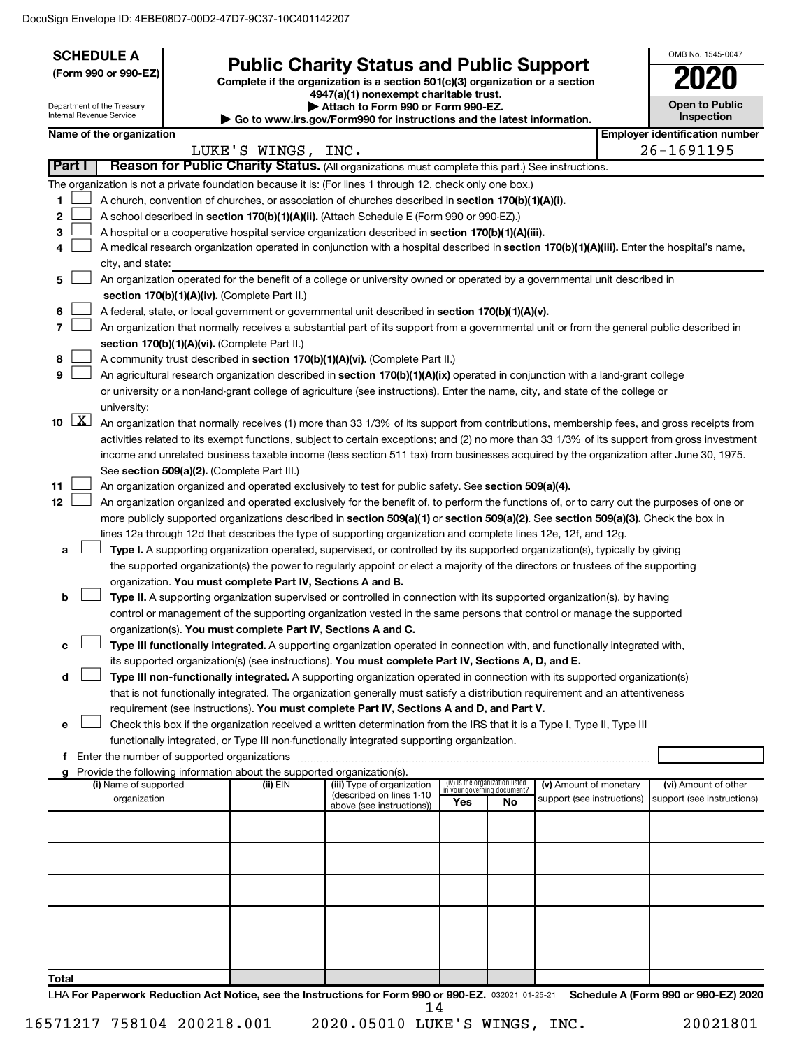DocuSign Envelope ID: 4EBE08D7-00D2-47D7-9C37-10C401142207

| <b>SCHEDULE A</b>                                      |                                                                                                                                                                                                                                                                                  |                                                                                                                                  |                                 |                                   |                            | OMB No. 1545-0047                     |
|--------------------------------------------------------|----------------------------------------------------------------------------------------------------------------------------------------------------------------------------------------------------------------------------------------------------------------------------------|----------------------------------------------------------------------------------------------------------------------------------|---------------------------------|-----------------------------------|----------------------------|---------------------------------------|
| (Form 990 or 990-EZ)                                   |                                                                                                                                                                                                                                                                                  | <b>Public Charity Status and Public Support</b><br>Complete if the organization is a section 501(c)(3) organization or a section |                                 |                                   |                            |                                       |
|                                                        |                                                                                                                                                                                                                                                                                  | 4947(a)(1) nonexempt charitable trust.                                                                                           |                                 |                                   |                            |                                       |
| Department of the Treasury<br>Internal Revenue Service |                                                                                                                                                                                                                                                                                  | Attach to Form 990 or Form 990-EZ.<br>Go to www.irs.gov/Form990 for instructions and the latest information.                     |                                 |                                   |                            | <b>Open to Public</b><br>Inspection   |
| Name of the organization                               |                                                                                                                                                                                                                                                                                  |                                                                                                                                  |                                 |                                   |                            | <b>Employer identification number</b> |
|                                                        | LUKE'S WINGS, INC.                                                                                                                                                                                                                                                               |                                                                                                                                  |                                 |                                   |                            | 26-1691195                            |
| Part I                                                 | Reason for Public Charity Status. (All organizations must complete this part.) See instructions.                                                                                                                                                                                 |                                                                                                                                  |                                 |                                   |                            |                                       |
|                                                        | The organization is not a private foundation because it is: (For lines 1 through 12, check only one box.)                                                                                                                                                                        |                                                                                                                                  |                                 |                                   |                            |                                       |
| 1                                                      | A church, convention of churches, or association of churches described in section 170(b)(1)(A)(i).                                                                                                                                                                               |                                                                                                                                  |                                 |                                   |                            |                                       |
| $\mathbf{2}$                                           | A school described in section 170(b)(1)(A)(ii). (Attach Schedule E (Form 990 or 990-EZ).)                                                                                                                                                                                        |                                                                                                                                  |                                 |                                   |                            |                                       |
| 3<br>4                                                 | A hospital or a cooperative hospital service organization described in section 170(b)(1)(A)(iii).<br>A medical research organization operated in conjunction with a hospital described in section 170(b)(1)(A)(iii). Enter the hospital's name,                                  |                                                                                                                                  |                                 |                                   |                            |                                       |
| city, and state:                                       |                                                                                                                                                                                                                                                                                  |                                                                                                                                  |                                 |                                   |                            |                                       |
| 5                                                      | An organization operated for the benefit of a college or university owned or operated by a governmental unit described in                                                                                                                                                        |                                                                                                                                  |                                 |                                   |                            |                                       |
|                                                        | section 170(b)(1)(A)(iv). (Complete Part II.)                                                                                                                                                                                                                                    |                                                                                                                                  |                                 |                                   |                            |                                       |
| 6                                                      | A federal, state, or local government or governmental unit described in section 170(b)(1)(A)(v).                                                                                                                                                                                 |                                                                                                                                  |                                 |                                   |                            |                                       |
| 7                                                      | An organization that normally receives a substantial part of its support from a governmental unit or from the general public described in                                                                                                                                        |                                                                                                                                  |                                 |                                   |                            |                                       |
|                                                        | section 170(b)(1)(A)(vi). (Complete Part II.)                                                                                                                                                                                                                                    |                                                                                                                                  |                                 |                                   |                            |                                       |
| 8                                                      | A community trust described in section 170(b)(1)(A)(vi). (Complete Part II.)                                                                                                                                                                                                     |                                                                                                                                  |                                 |                                   |                            |                                       |
| 9                                                      | An agricultural research organization described in section 170(b)(1)(A)(ix) operated in conjunction with a land-grant college<br>or university or a non-land-grant college of agriculture (see instructions). Enter the name, city, and state of the college or                  |                                                                                                                                  |                                 |                                   |                            |                                       |
| university:                                            |                                                                                                                                                                                                                                                                                  |                                                                                                                                  |                                 |                                   |                            |                                       |
| $\boxed{\mathbf{X}}$<br>10                             | An organization that normally receives (1) more than 33 1/3% of its support from contributions, membership fees, and gross receipts from                                                                                                                                         |                                                                                                                                  |                                 |                                   |                            |                                       |
|                                                        | activities related to its exempt functions, subject to certain exceptions; and (2) no more than 33 1/3% of its support from gross investment                                                                                                                                     |                                                                                                                                  |                                 |                                   |                            |                                       |
|                                                        | income and unrelated business taxable income (less section 511 tax) from businesses acquired by the organization after June 30, 1975.                                                                                                                                            |                                                                                                                                  |                                 |                                   |                            |                                       |
|                                                        | See section 509(a)(2). (Complete Part III.)                                                                                                                                                                                                                                      |                                                                                                                                  |                                 |                                   |                            |                                       |
| 11                                                     | An organization organized and operated exclusively to test for public safety. See section 509(a)(4).                                                                                                                                                                             |                                                                                                                                  |                                 |                                   |                            |                                       |
| 12                                                     | An organization organized and operated exclusively for the benefit of, to perform the functions of, or to carry out the purposes of one or<br>more publicly supported organizations described in section 509(a)(1) or section 509(a)(2). See section 509(a)(3). Check the box in |                                                                                                                                  |                                 |                                   |                            |                                       |
|                                                        | lines 12a through 12d that describes the type of supporting organization and complete lines 12e, 12f, and 12g.                                                                                                                                                                   |                                                                                                                                  |                                 |                                   |                            |                                       |
| а                                                      | Type I. A supporting organization operated, supervised, or controlled by its supported organization(s), typically by giving                                                                                                                                                      |                                                                                                                                  |                                 |                                   |                            |                                       |
|                                                        | the supported organization(s) the power to regularly appoint or elect a majority of the directors or trustees of the supporting                                                                                                                                                  |                                                                                                                                  |                                 |                                   |                            |                                       |
|                                                        | organization. You must complete Part IV, Sections A and B.                                                                                                                                                                                                                       |                                                                                                                                  |                                 |                                   |                            |                                       |
| b                                                      | Type II. A supporting organization supervised or controlled in connection with its supported organization(s), by having                                                                                                                                                          |                                                                                                                                  |                                 |                                   |                            |                                       |
|                                                        | control or management of the supporting organization vested in the same persons that control or manage the supported                                                                                                                                                             |                                                                                                                                  |                                 |                                   |                            |                                       |
|                                                        | organization(s). You must complete Part IV, Sections A and C.<br>Type III functionally integrated. A supporting organization operated in connection with, and functionally integrated with,                                                                                      |                                                                                                                                  |                                 |                                   |                            |                                       |
| c                                                      | its supported organization(s) (see instructions). You must complete Part IV, Sections A, D, and E.                                                                                                                                                                               |                                                                                                                                  |                                 |                                   |                            |                                       |
| d                                                      | Type III non-functionally integrated. A supporting organization operated in connection with its supported organization(s)                                                                                                                                                        |                                                                                                                                  |                                 |                                   |                            |                                       |
|                                                        | that is not functionally integrated. The organization generally must satisfy a distribution requirement and an attentiveness                                                                                                                                                     |                                                                                                                                  |                                 |                                   |                            |                                       |
|                                                        | requirement (see instructions). You must complete Part IV, Sections A and D, and Part V.                                                                                                                                                                                         |                                                                                                                                  |                                 |                                   |                            |                                       |
| е                                                      | Check this box if the organization received a written determination from the IRS that it is a Type I, Type II, Type III                                                                                                                                                          |                                                                                                                                  |                                 |                                   |                            |                                       |
|                                                        | functionally integrated, or Type III non-functionally integrated supporting organization.                                                                                                                                                                                        |                                                                                                                                  |                                 |                                   |                            |                                       |
| f.                                                     | Enter the number of supported organizations<br>Provide the following information about the supported organization(s).                                                                                                                                                            |                                                                                                                                  |                                 |                                   |                            |                                       |
| g<br>(i) Name of supported                             | $(ii)$ EIN                                                                                                                                                                                                                                                                       | (iii) Type of organization                                                                                                       | (iv) Is the organization listed |                                   | (v) Amount of monetary     | (vi) Amount of other                  |
| organization                                           |                                                                                                                                                                                                                                                                                  | (described on lines 1-10<br>above (see instructions))                                                                            | Yes                             | in vour governing document?<br>No | support (see instructions) | support (see instructions)            |
|                                                        |                                                                                                                                                                                                                                                                                  |                                                                                                                                  |                                 |                                   |                            |                                       |
|                                                        |                                                                                                                                                                                                                                                                                  |                                                                                                                                  |                                 |                                   |                            |                                       |
|                                                        |                                                                                                                                                                                                                                                                                  |                                                                                                                                  |                                 |                                   |                            |                                       |
|                                                        |                                                                                                                                                                                                                                                                                  |                                                                                                                                  |                                 |                                   |                            |                                       |
|                                                        |                                                                                                                                                                                                                                                                                  |                                                                                                                                  |                                 |                                   |                            |                                       |
|                                                        |                                                                                                                                                                                                                                                                                  |                                                                                                                                  |                                 |                                   |                            |                                       |
|                                                        |                                                                                                                                                                                                                                                                                  |                                                                                                                                  |                                 |                                   |                            |                                       |
|                                                        |                                                                                                                                                                                                                                                                                  |                                                                                                                                  |                                 |                                   |                            |                                       |
|                                                        |                                                                                                                                                                                                                                                                                  |                                                                                                                                  |                                 |                                   |                            |                                       |
| Total                                                  |                                                                                                                                                                                                                                                                                  |                                                                                                                                  |                                 |                                   |                            |                                       |
|                                                        | LHA For Paperwork Reduction Act Notice, see the Instructions for Form 990 or 990-EZ. 032021 01-25-21                                                                                                                                                                             | 14                                                                                                                               |                                 |                                   |                            | Schedule A (Form 990 or 990-EZ) 2020  |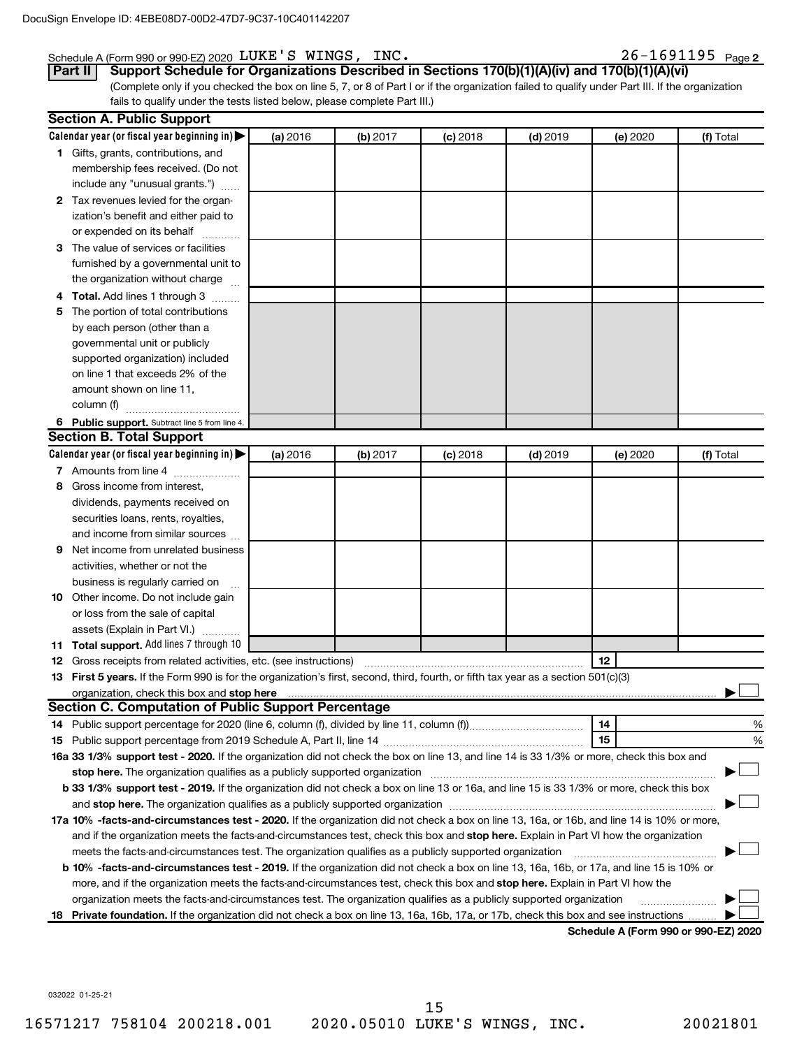26-1691195 Page 2

(Complete only if you checked the box on line 5, 7, or 8 of Part I or if the organization failed to qualify under Part III. If the organization fails to qualify under the tests listed below, please complete Part III.) **Part II Support Schedule for Organizations Described in Sections 170(b)(1)(A)(iv) and 170(b)(1)(A)(vi)**

|    | <b>Section A. Public Support</b>                                                                                                                                                                                                                                                                  |          |          |            |            |          |                                      |
|----|---------------------------------------------------------------------------------------------------------------------------------------------------------------------------------------------------------------------------------------------------------------------------------------------------|----------|----------|------------|------------|----------|--------------------------------------|
|    | Calendar year (or fiscal year beginning in) $\blacktriangleright$                                                                                                                                                                                                                                 | (a) 2016 | (b) 2017 | $(c)$ 2018 | $(d)$ 2019 | (e) 2020 | (f) Total                            |
|    | 1 Gifts, grants, contributions, and                                                                                                                                                                                                                                                               |          |          |            |            |          |                                      |
|    | membership fees received. (Do not                                                                                                                                                                                                                                                                 |          |          |            |            |          |                                      |
|    | include any "unusual grants.")                                                                                                                                                                                                                                                                    |          |          |            |            |          |                                      |
|    | 2 Tax revenues levied for the organ-                                                                                                                                                                                                                                                              |          |          |            |            |          |                                      |
|    | ization's benefit and either paid to                                                                                                                                                                                                                                                              |          |          |            |            |          |                                      |
|    | or expended on its behalf                                                                                                                                                                                                                                                                         |          |          |            |            |          |                                      |
|    | 3 The value of services or facilities                                                                                                                                                                                                                                                             |          |          |            |            |          |                                      |
|    | furnished by a governmental unit to                                                                                                                                                                                                                                                               |          |          |            |            |          |                                      |
|    | the organization without charge                                                                                                                                                                                                                                                                   |          |          |            |            |          |                                      |
|    | 4 Total. Add lines 1 through 3                                                                                                                                                                                                                                                                    |          |          |            |            |          |                                      |
| 5. | The portion of total contributions                                                                                                                                                                                                                                                                |          |          |            |            |          |                                      |
|    | by each person (other than a                                                                                                                                                                                                                                                                      |          |          |            |            |          |                                      |
|    | governmental unit or publicly                                                                                                                                                                                                                                                                     |          |          |            |            |          |                                      |
|    | supported organization) included                                                                                                                                                                                                                                                                  |          |          |            |            |          |                                      |
|    | on line 1 that exceeds 2% of the                                                                                                                                                                                                                                                                  |          |          |            |            |          |                                      |
|    | amount shown on line 11,                                                                                                                                                                                                                                                                          |          |          |            |            |          |                                      |
|    | column (f)                                                                                                                                                                                                                                                                                        |          |          |            |            |          |                                      |
|    | 6 Public support. Subtract line 5 from line 4.                                                                                                                                                                                                                                                    |          |          |            |            |          |                                      |
|    | <b>Section B. Total Support</b>                                                                                                                                                                                                                                                                   |          |          |            |            |          |                                      |
|    | Calendar year (or fiscal year beginning in)                                                                                                                                                                                                                                                       | (a) 2016 | (b) 2017 | $(c)$ 2018 | $(d)$ 2019 | (e) 2020 | (f) Total                            |
|    | 7 Amounts from line 4                                                                                                                                                                                                                                                                             |          |          |            |            |          |                                      |
| 8  | Gross income from interest,                                                                                                                                                                                                                                                                       |          |          |            |            |          |                                      |
|    | dividends, payments received on                                                                                                                                                                                                                                                                   |          |          |            |            |          |                                      |
|    | securities loans, rents, royalties,                                                                                                                                                                                                                                                               |          |          |            |            |          |                                      |
|    | and income from similar sources                                                                                                                                                                                                                                                                   |          |          |            |            |          |                                      |
| 9. | Net income from unrelated business                                                                                                                                                                                                                                                                |          |          |            |            |          |                                      |
|    | activities, whether or not the                                                                                                                                                                                                                                                                    |          |          |            |            |          |                                      |
|    | business is regularly carried on                                                                                                                                                                                                                                                                  |          |          |            |            |          |                                      |
|    | 10 Other income. Do not include gain                                                                                                                                                                                                                                                              |          |          |            |            |          |                                      |
|    | or loss from the sale of capital                                                                                                                                                                                                                                                                  |          |          |            |            |          |                                      |
|    | assets (Explain in Part VI.).                                                                                                                                                                                                                                                                     |          |          |            |            |          |                                      |
|    | 11 Total support. Add lines 7 through 10                                                                                                                                                                                                                                                          |          |          |            |            |          |                                      |
|    | <b>12</b> Gross receipts from related activities, etc. (see instructions)                                                                                                                                                                                                                         |          |          |            |            | 12       |                                      |
|    | 13 First 5 years. If the Form 990 is for the organization's first, second, third, fourth, or fifth tax year as a section 501(c)(3)                                                                                                                                                                |          |          |            |            |          |                                      |
|    | organization, check this box and stop here <b>construction and construction</b> construction of the state of the state of the state of the state of the state of the state of the state of the state of the state of the state of t<br><b>Section C. Computation of Public Support Percentage</b> |          |          |            |            |          |                                      |
|    |                                                                                                                                                                                                                                                                                                   |          |          |            |            |          |                                      |
|    |                                                                                                                                                                                                                                                                                                   |          |          |            |            | 14<br>15 | %<br>%                               |
|    | 16a 33 1/3% support test - 2020. If the organization did not check the box on line 13, and line 14 is 33 1/3% or more, check this box and                                                                                                                                                         |          |          |            |            |          |                                      |
|    |                                                                                                                                                                                                                                                                                                   |          |          |            |            |          |                                      |
|    | stop here. The organization qualifies as a publicly supported organization manufactured content and the content of the state of the state of the state of the state of the state of the state of the state of the state of the                                                                    |          |          |            |            |          |                                      |
|    | b 33 1/3% support test - 2019. If the organization did not check a box on line 13 or 16a, and line 15 is 33 1/3% or more, check this box                                                                                                                                                          |          |          |            |            |          |                                      |
|    |                                                                                                                                                                                                                                                                                                   |          |          |            |            |          |                                      |
|    | 17a 10% -facts-and-circumstances test - 2020. If the organization did not check a box on line 13, 16a, or 16b, and line 14 is 10% or more,                                                                                                                                                        |          |          |            |            |          |                                      |
|    | and if the organization meets the facts-and-circumstances test, check this box and stop here. Explain in Part VI how the organization                                                                                                                                                             |          |          |            |            |          |                                      |
|    | meets the facts-and-circumstances test. The organization qualifies as a publicly supported organization                                                                                                                                                                                           |          |          |            |            |          |                                      |
|    | <b>b 10%</b> -facts-and-circumstances test - 2019. If the organization did not check a box on line 13, 16a, 16b, or 17a, and line 15 is 10% or                                                                                                                                                    |          |          |            |            |          |                                      |
|    | more, and if the organization meets the facts-and-circumstances test, check this box and stop here. Explain in Part VI how the                                                                                                                                                                    |          |          |            |            |          |                                      |
|    | organization meets the facts-and-circumstances test. The organization qualifies as a publicly supported organization                                                                                                                                                                              |          |          |            |            |          |                                      |
|    | 18 Private foundation. If the organization did not check a box on line 13, 16a, 16b, 17a, or 17b, check this box and see instructions                                                                                                                                                             |          |          |            |            |          | Schedule A (Form 990 or 990-F7) 2020 |

**Schedule A (Form 990 or 990-EZ) 2020**

032022 01-25-21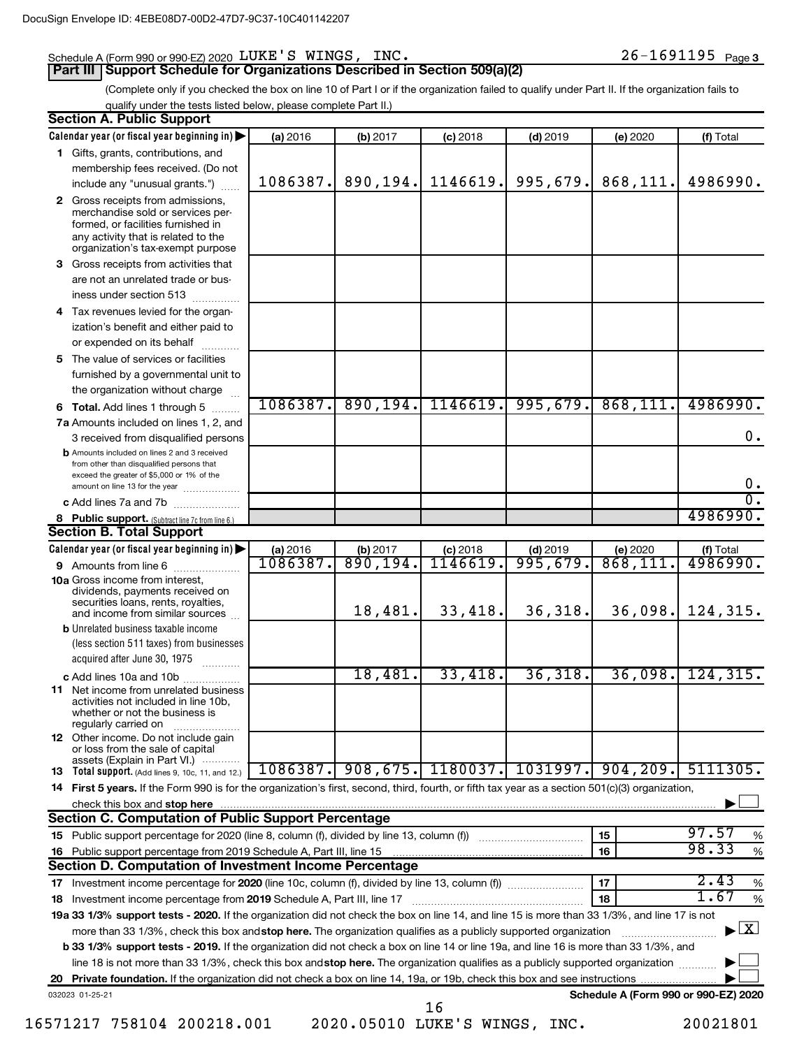**Part III Support Schedule for Organizations Described in Section 509(a)(2)** 

(Complete only if you checked the box on line 10 of Part I or if the organization failed to qualify under Part II. If the organization fails to qualify under the tests listed below, please complete Part II.)

|    | Calendar year (or fiscal year beginning in)                                                                                                                                                                                                                                     | (a) 2016             | (b) 2017                      | $(c)$ 2018            | $(d)$ 2019             | (e) 2020                                       | (f) Total                                |
|----|---------------------------------------------------------------------------------------------------------------------------------------------------------------------------------------------------------------------------------------------------------------------------------|----------------------|-------------------------------|-----------------------|------------------------|------------------------------------------------|------------------------------------------|
|    | 1 Gifts, grants, contributions, and                                                                                                                                                                                                                                             |                      |                               |                       |                        |                                                |                                          |
|    | membership fees received. (Do not                                                                                                                                                                                                                                               |                      |                               |                       |                        |                                                |                                          |
|    | include any "unusual grants.")                                                                                                                                                                                                                                                  | 1086387.             | 890,194.                      | 1146619.              | 995,679.               | 868,111.                                       | 4986990.                                 |
|    | 2 Gross receipts from admissions,<br>merchandise sold or services per-<br>formed, or facilities furnished in<br>any activity that is related to the<br>organization's tax-exempt purpose                                                                                        |                      |                               |                       |                        |                                                |                                          |
|    | 3 Gross receipts from activities that                                                                                                                                                                                                                                           |                      |                               |                       |                        |                                                |                                          |
|    | are not an unrelated trade or bus-                                                                                                                                                                                                                                              |                      |                               |                       |                        |                                                |                                          |
|    | iness under section 513                                                                                                                                                                                                                                                         |                      |                               |                       |                        |                                                |                                          |
| 4  | Tax revenues levied for the organ-                                                                                                                                                                                                                                              |                      |                               |                       |                        |                                                |                                          |
|    | ization's benefit and either paid to<br>or expended on its behalf<br>.                                                                                                                                                                                                          |                      |                               |                       |                        |                                                |                                          |
|    | 5 The value of services or facilities                                                                                                                                                                                                                                           |                      |                               |                       |                        |                                                |                                          |
|    | furnished by a governmental unit to<br>the organization without charge                                                                                                                                                                                                          |                      |                               |                       |                        |                                                |                                          |
|    | 6 Total. Add lines 1 through 5                                                                                                                                                                                                                                                  | 1086387.             | 890, 194.                     | 1146619.              | 995,679.               | 868, 111.                                      | 4986990.                                 |
|    | 7a Amounts included on lines 1, 2, and                                                                                                                                                                                                                                          |                      |                               |                       |                        |                                                |                                          |
|    | 3 received from disqualified persons                                                                                                                                                                                                                                            |                      |                               |                       |                        |                                                | 0.                                       |
|    | <b>b</b> Amounts included on lines 2 and 3 received<br>from other than disqualified persons that<br>exceed the greater of \$5,000 or 1% of the                                                                                                                                  |                      |                               |                       |                        |                                                |                                          |
|    | amount on line 13 for the year                                                                                                                                                                                                                                                  |                      |                               |                       |                        |                                                | 0.<br>σ.                                 |
|    | c Add lines 7a and 7b                                                                                                                                                                                                                                                           |                      |                               |                       |                        |                                                | 4986990.                                 |
|    | 8 Public support. (Subtract line 7c from line 6.)<br><b>Section B. Total Support</b>                                                                                                                                                                                            |                      |                               |                       |                        |                                                |                                          |
|    | Calendar year (or fiscal year beginning in)                                                                                                                                                                                                                                     |                      |                               |                       |                        |                                                |                                          |
|    | <b>9</b> Amounts from line 6                                                                                                                                                                                                                                                    | (a) 2016<br>1086387. | (b) 2017<br>890,194.          | $(c)$ 2018<br>1146619 | $(d)$ 2019<br>995,679. | (e) 2020<br>868,111.                           | (f) Total<br>4986990.                    |
|    | <b>10a</b> Gross income from interest,<br>dividends, payments received on<br>securities loans, rents, royalties,<br>and income from similar sources                                                                                                                             |                      | 18,481.                       | 33,418.               | 36,318.                | 36,098.                                        | 124,315.                                 |
|    | <b>b</b> Unrelated business taxable income                                                                                                                                                                                                                                      |                      |                               |                       |                        |                                                |                                          |
|    | (less section 511 taxes) from businesses<br>acquired after June 30, 1975                                                                                                                                                                                                        |                      |                               |                       |                        |                                                |                                          |
|    | c Add lines 10a and 10b                                                                                                                                                                                                                                                         |                      | 18,481.                       | 33,418.               | 36,318.                | 36,098.                                        | 124, 315.                                |
|    | 11 Net income from unrelated business<br>activities not included in line 10b,<br>whether or not the business is<br>regularly carried on                                                                                                                                         |                      |                               |                       |                        |                                                |                                          |
|    | <b>12</b> Other income. Do not include gain<br>or loss from the sale of capital<br>assets (Explain in Part VI.)                                                                                                                                                                 |                      |                               |                       |                        |                                                |                                          |
|    | <b>13</b> Total support. (Add lines 9, 10c, 11, and 12.)                                                                                                                                                                                                                        |                      |                               |                       |                        | 1086387. 908, 675. 1180037. 1031997. 904, 209. | 5111305.                                 |
|    | 14 First 5 years. If the Form 990 is for the organization's first, second, third, fourth, or fifth tax year as a section 501(c)(3) organization,                                                                                                                                |                      |                               |                       |                        |                                                |                                          |
|    | check this box and stop here                                                                                                                                                                                                                                                    |                      |                               |                       |                        |                                                |                                          |
|    | <b>Section C. Computation of Public Support Percentage</b>                                                                                                                                                                                                                      |                      |                               |                       |                        |                                                |                                          |
|    |                                                                                                                                                                                                                                                                                 |                      |                               |                       |                        | 15                                             | 97.57<br>%                               |
|    |                                                                                                                                                                                                                                                                                 |                      |                               |                       |                        | 16                                             | 98.33<br>$\%$                            |
|    | Section D. Computation of Investment Income Percentage                                                                                                                                                                                                                          |                      |                               |                       |                        |                                                |                                          |
|    | 17 Investment income percentage for 2020 (line 10c, column (f), divided by line 13, column (f))                                                                                                                                                                                 |                      |                               |                       |                        | 17                                             | 2.43<br>%                                |
| 18 | Investment income percentage from 2019 Schedule A, Part III, line 17                                                                                                                                                                                                            |                      |                               |                       |                        | 18                                             | 1.67<br>$\%$                             |
|    | 19a 33 1/3% support tests - 2020. If the organization did not check the box on line 14, and line 15 is more than 33 1/3%, and line 17 is not                                                                                                                                    |                      |                               |                       |                        |                                                |                                          |
|    | more than 33 1/3%, check this box and stop here. The organization qualifies as a publicly supported organization                                                                                                                                                                |                      |                               |                       |                        |                                                | $\blacktriangleright$ $\boxed{\text{X}}$ |
|    | <b>b 33 1/3% support tests - 2019.</b> If the organization did not check a box on line 14 or line 19a, and line 16 is more than 33 1/3%, and<br>line 18 is not more than 33 1/3%, check this box and stop here. The organization qualifies as a publicly supported organization |                      |                               |                       |                        |                                                |                                          |
|    |                                                                                                                                                                                                                                                                                 |                      |                               |                       |                        |                                                |                                          |
|    | 032023 01-25-21                                                                                                                                                                                                                                                                 |                      |                               |                       |                        | Schedule A (Form 990 or 990-EZ) 2020           |                                          |
|    |                                                                                                                                                                                                                                                                                 |                      |                               | 16                    |                        |                                                |                                          |
|    | 16571217 758104 200218.001                                                                                                                                                                                                                                                      |                      | 2020.05010 LUKE'S WINGS, INC. |                       |                        |                                                | 20021801                                 |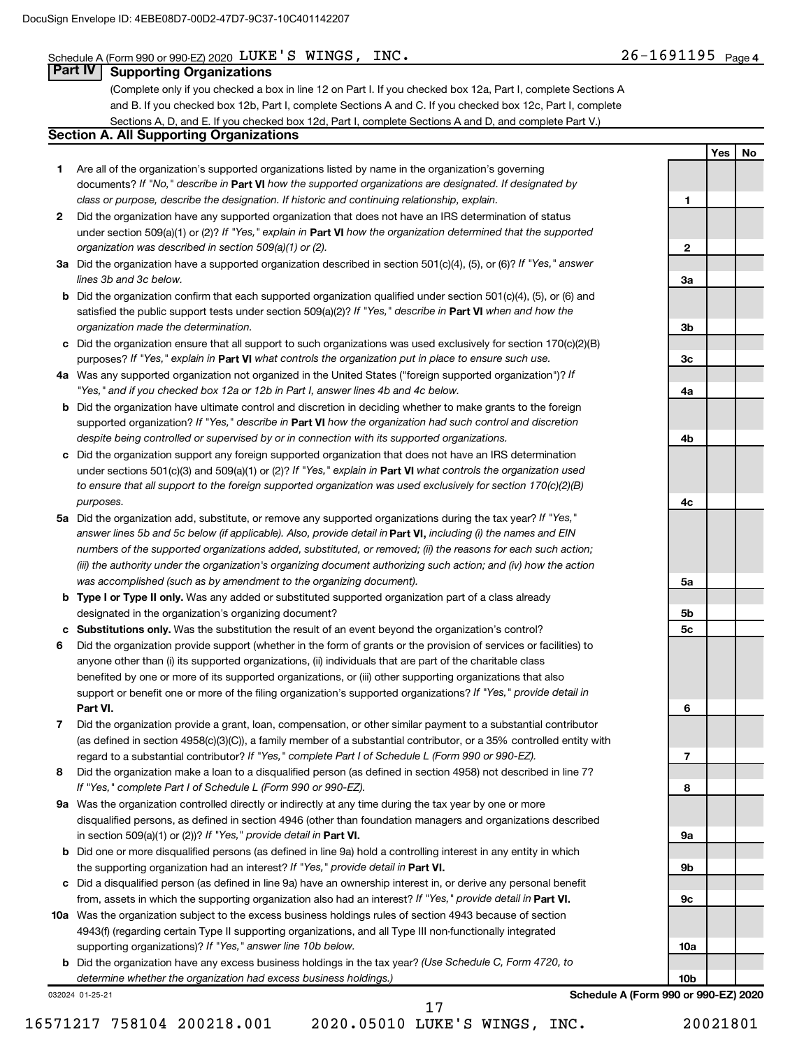**1**

**2**

**3a**

**3b**

**3c**

**4a**

**4b**

**4c**

**5a**

**5b 5c**

**6**

**7**

**8**

**9a**

**9b**

**9c**

**10a**

**10b**

**Yes No**

(Complete only if you checked a box in line 12 on Part I. If you checked box 12a, Part I, complete Sections A and B. If you checked box 12b, Part I, complete Sections A and C. If you checked box 12c, Part I, complete Sections A, D, and E. If you checked box 12d, Part I, complete Sections A and D, and complete Part V.) **Part IV Supporting Organizations**

### **Section A. All Supporting Organizations**

- **1** Are all of the organization's supported organizations listed by name in the organization's governing documents? If "No," describe in Part VI how the supported organizations are designated. If designated by *class or purpose, describe the designation. If historic and continuing relationship, explain.*
- **2** Did the organization have any supported organization that does not have an IRS determination of status under section 509(a)(1) or (2)? If "Yes," explain in Part **VI** how the organization determined that the supported *organization was described in section 509(a)(1) or (2).*
- **3a** Did the organization have a supported organization described in section 501(c)(4), (5), or (6)? If "Yes," answer *lines 3b and 3c below.*
- **b** Did the organization confirm that each supported organization qualified under section 501(c)(4), (5), or (6) and satisfied the public support tests under section 509(a)(2)? If "Yes," describe in Part VI when and how the *organization made the determination.*
- **c** Did the organization ensure that all support to such organizations was used exclusively for section 170(c)(2)(B) purposes? If "Yes," explain in Part VI what controls the organization put in place to ensure such use.
- **4 a** *If* Was any supported organization not organized in the United States ("foreign supported organization")? *"Yes," and if you checked box 12a or 12b in Part I, answer lines 4b and 4c below.*
- **b** Did the organization have ultimate control and discretion in deciding whether to make grants to the foreign supported organization? If "Yes," describe in Part VI how the organization had such control and discretion *despite being controlled or supervised by or in connection with its supported organizations.*
- **c** Did the organization support any foreign supported organization that does not have an IRS determination under sections 501(c)(3) and 509(a)(1) or (2)? If "Yes," explain in Part VI what controls the organization used *to ensure that all support to the foreign supported organization was used exclusively for section 170(c)(2)(B) purposes.*
- **5a** Did the organization add, substitute, or remove any supported organizations during the tax year? If "Yes," answer lines 5b and 5c below (if applicable). Also, provide detail in **Part VI,** including (i) the names and EIN *numbers of the supported organizations added, substituted, or removed; (ii) the reasons for each such action; (iii) the authority under the organization's organizing document authorizing such action; and (iv) how the action was accomplished (such as by amendment to the organizing document).*
- **b Type I or Type II only.** Was any added or substituted supported organization part of a class already designated in the organization's organizing document?
- **c Substitutions only.**  Was the substitution the result of an event beyond the organization's control?
- **6** Did the organization provide support (whether in the form of grants or the provision of services or facilities) to **Part VI.** support or benefit one or more of the filing organization's supported organizations? If "Yes," provide detail in anyone other than (i) its supported organizations, (ii) individuals that are part of the charitable class benefited by one or more of its supported organizations, or (iii) other supporting organizations that also
- **7** Did the organization provide a grant, loan, compensation, or other similar payment to a substantial contributor regard to a substantial contributor? If "Yes," complete Part I of Schedule L (Form 990 or 990-EZ). (as defined in section 4958(c)(3)(C)), a family member of a substantial contributor, or a 35% controlled entity with
- **8** Did the organization make a loan to a disqualified person (as defined in section 4958) not described in line 7? *If "Yes," complete Part I of Schedule L (Form 990 or 990-EZ).*
- **9 a** Was the organization controlled directly or indirectly at any time during the tax year by one or more in section 509(a)(1) or (2))? If "Yes," provide detail in **Part VI.** disqualified persons, as defined in section 4946 (other than foundation managers and organizations described
- **b** Did one or more disqualified persons (as defined in line 9a) hold a controlling interest in any entity in which the supporting organization had an interest? If "Yes," provide detail in Part VI.
- **c** Did a disqualified person (as defined in line 9a) have an ownership interest in, or derive any personal benefit from, assets in which the supporting organization also had an interest? If "Yes," provide detail in Part VI.
- **10 a** Was the organization subject to the excess business holdings rules of section 4943 because of section supporting organizations)? If "Yes," answer line 10b below. 4943(f) (regarding certain Type II supporting organizations, and all Type III non-functionally integrated
	- **b** Did the organization have any excess business holdings in the tax year? (Use Schedule C, Form 4720, to *determine whether the organization had excess business holdings.)*

032024 01-25-21

**Schedule A (Form 990 or 990-EZ) 2020**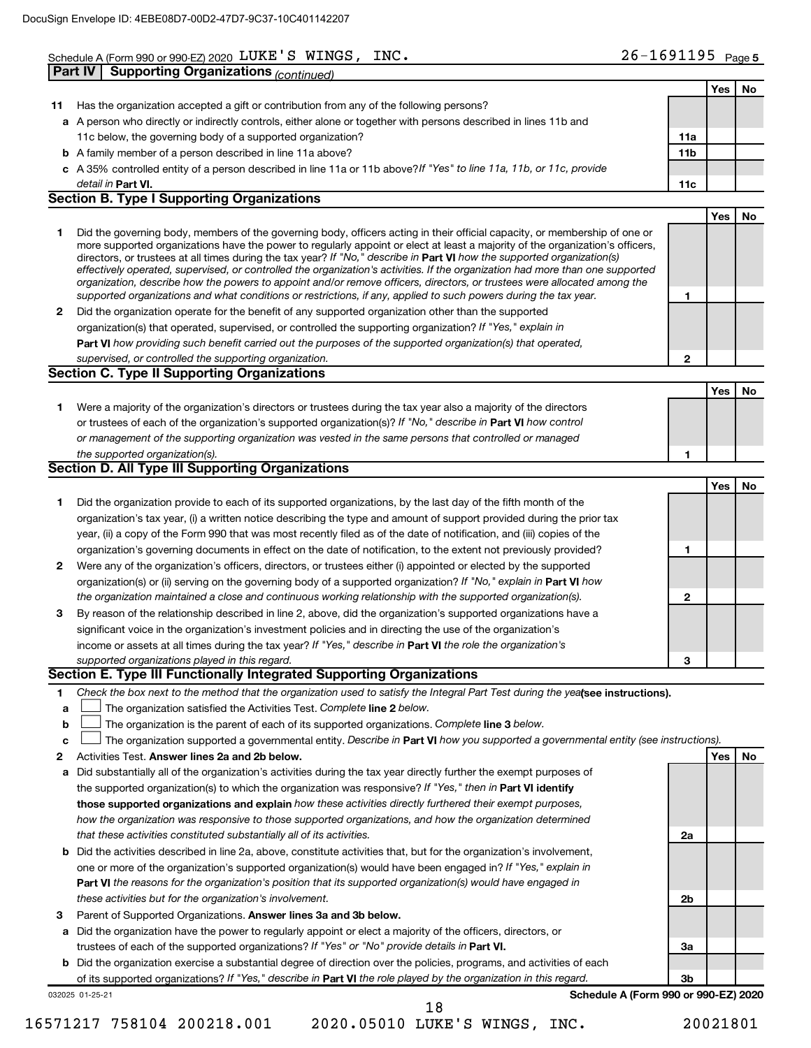|              | <b>Supporting Organizations (continued)</b><br>Part IV                                                                                                                                                                                                    |              |     |    |
|--------------|-----------------------------------------------------------------------------------------------------------------------------------------------------------------------------------------------------------------------------------------------------------|--------------|-----|----|
|              |                                                                                                                                                                                                                                                           |              | Yes | No |
| 11           | Has the organization accepted a gift or contribution from any of the following persons?                                                                                                                                                                   |              |     |    |
|              | a A person who directly or indirectly controls, either alone or together with persons described in lines 11b and                                                                                                                                          |              |     |    |
|              | 11c below, the governing body of a supported organization?                                                                                                                                                                                                | 11a          |     |    |
|              | <b>b</b> A family member of a person described in line 11a above?                                                                                                                                                                                         | 11b          |     |    |
|              | c A 35% controlled entity of a person described in line 11a or 11b above?If "Yes" to line 11a, 11b, or 11c, provide                                                                                                                                       |              |     |    |
|              | detail in Part VI.                                                                                                                                                                                                                                        | 11c          |     |    |
|              | <b>Section B. Type I Supporting Organizations</b>                                                                                                                                                                                                         |              |     |    |
|              |                                                                                                                                                                                                                                                           |              | Yes | No |
| 1            | Did the governing body, members of the governing body, officers acting in their official capacity, or membership of one or                                                                                                                                |              |     |    |
|              | more supported organizations have the power to regularly appoint or elect at least a majority of the organization's officers,                                                                                                                             |              |     |    |
|              | directors, or trustees at all times during the tax year? If "No," describe in Part VI how the supported organization(s)<br>effectively operated, supervised, or controlled the organization's activities. If the organization had more than one supported |              |     |    |
|              | organization, describe how the powers to appoint and/or remove officers, directors, or trustees were allocated among the                                                                                                                                  |              |     |    |
|              | supported organizations and what conditions or restrictions, if any, applied to such powers during the tax year.                                                                                                                                          | 1            |     |    |
| $\mathbf{2}$ | Did the organization operate for the benefit of any supported organization other than the supported                                                                                                                                                       |              |     |    |
|              | organization(s) that operated, supervised, or controlled the supporting organization? If "Yes," explain in                                                                                                                                                |              |     |    |
|              | Part VI how providing such benefit carried out the purposes of the supported organization(s) that operated,                                                                                                                                               |              |     |    |
|              | supervised, or controlled the supporting organization.                                                                                                                                                                                                    | 2            |     |    |
|              | <b>Section C. Type II Supporting Organizations</b>                                                                                                                                                                                                        |              |     |    |
|              |                                                                                                                                                                                                                                                           |              | Yes | No |
| 1            | Were a majority of the organization's directors or trustees during the tax year also a majority of the directors                                                                                                                                          |              |     |    |
|              | or trustees of each of the organization's supported organization(s)? If "No," describe in Part VI how control                                                                                                                                             |              |     |    |
|              | or management of the supporting organization was vested in the same persons that controlled or managed                                                                                                                                                    |              |     |    |
|              | the supported organization(s).                                                                                                                                                                                                                            | 1            |     |    |
|              | <b>Section D. All Type III Supporting Organizations</b>                                                                                                                                                                                                   |              |     |    |
|              |                                                                                                                                                                                                                                                           |              | Yes | No |
| 1            | Did the organization provide to each of its supported organizations, by the last day of the fifth month of the                                                                                                                                            |              |     |    |
|              | organization's tax year, (i) a written notice describing the type and amount of support provided during the prior tax                                                                                                                                     |              |     |    |
|              | year, (ii) a copy of the Form 990 that was most recently filed as of the date of notification, and (iii) copies of the                                                                                                                                    |              |     |    |
|              | organization's governing documents in effect on the date of notification, to the extent not previously provided?                                                                                                                                          | 1            |     |    |
| 2            | Were any of the organization's officers, directors, or trustees either (i) appointed or elected by the supported                                                                                                                                          |              |     |    |
|              | organization(s) or (ii) serving on the governing body of a supported organization? If "No," explain in Part VI how                                                                                                                                        |              |     |    |
|              | the organization maintained a close and continuous working relationship with the supported organization(s).                                                                                                                                               | $\mathbf{2}$ |     |    |
| 3            | By reason of the relationship described in line 2, above, did the organization's supported organizations have a                                                                                                                                           |              |     |    |
|              | significant voice in the organization's investment policies and in directing the use of the organization's                                                                                                                                                |              |     |    |
|              | income or assets at all times during the tax year? If "Yes," describe in Part VI the role the organization's                                                                                                                                              |              |     |    |
|              | supported organizations played in this regard.                                                                                                                                                                                                            | 3            |     |    |
|              | Section E. Type III Functionally Integrated Supporting Organizations                                                                                                                                                                                      |              |     |    |
| 1            | Check the box next to the method that the organization used to satisfy the Integral Part Test during the yealsee instructions).                                                                                                                           |              |     |    |
| а            | The organization satisfied the Activities Test. Complete line 2 below.                                                                                                                                                                                    |              |     |    |
| b            | The organization is the parent of each of its supported organizations. Complete line 3 below.                                                                                                                                                             |              |     |    |
| c            | The organization supported a governmental entity. Describe in Part VI how you supported a governmental entity (see instructions).                                                                                                                         |              |     |    |
| 2            | Activities Test. Answer lines 2a and 2b below.                                                                                                                                                                                                            |              | Yes | No |
| а            | Did substantially all of the organization's activities during the tax year directly further the exempt purposes of                                                                                                                                        |              |     |    |
|              | the supported organization(s) to which the organization was responsive? If "Yes," then in Part VI identify                                                                                                                                                |              |     |    |
|              | those supported organizations and explain how these activities directly furthered their exempt purposes,                                                                                                                                                  |              |     |    |
|              | how the organization was responsive to those supported organizations, and how the organization determined                                                                                                                                                 |              |     |    |
|              | that these activities constituted substantially all of its activities.                                                                                                                                                                                    | 2a           |     |    |
| b            | Did the activities described in line 2a, above, constitute activities that, but for the organization's involvement,                                                                                                                                       |              |     |    |
|              | one or more of the organization's supported organization(s) would have been engaged in? If "Yes," explain in                                                                                                                                              |              |     |    |
|              | <b>Part VI</b> the reasons for the organization's position that its supported organization(s) would have engaged in                                                                                                                                       |              |     |    |
|              | these activities but for the organization's involvement.                                                                                                                                                                                                  | 2b           |     |    |
| з            | Parent of Supported Organizations. Answer lines 3a and 3b below.                                                                                                                                                                                          |              |     |    |
| а            | Did the organization have the power to regularly appoint or elect a majority of the officers, directors, or                                                                                                                                               |              |     |    |
|              | trustees of each of the supported organizations? If "Yes" or "No" provide details in Part VI.                                                                                                                                                             | За           |     |    |
|              | <b>b</b> Did the organization exercise a substantial degree of direction over the policies, programs, and activities of each                                                                                                                              |              |     |    |
|              | of its supported organizations? If "Yes," describe in Part VI the role played by the organization in this regard.<br>Schedule A (Form 990 or 990-EZ) 2020                                                                                                 | Зb           |     |    |
|              | 032025 01-25-21<br>18                                                                                                                                                                                                                                     |              |     |    |

<sup>16571217 758104 200218.001 2020.05010</sup> LUKE'S WINGS, INC. 20021801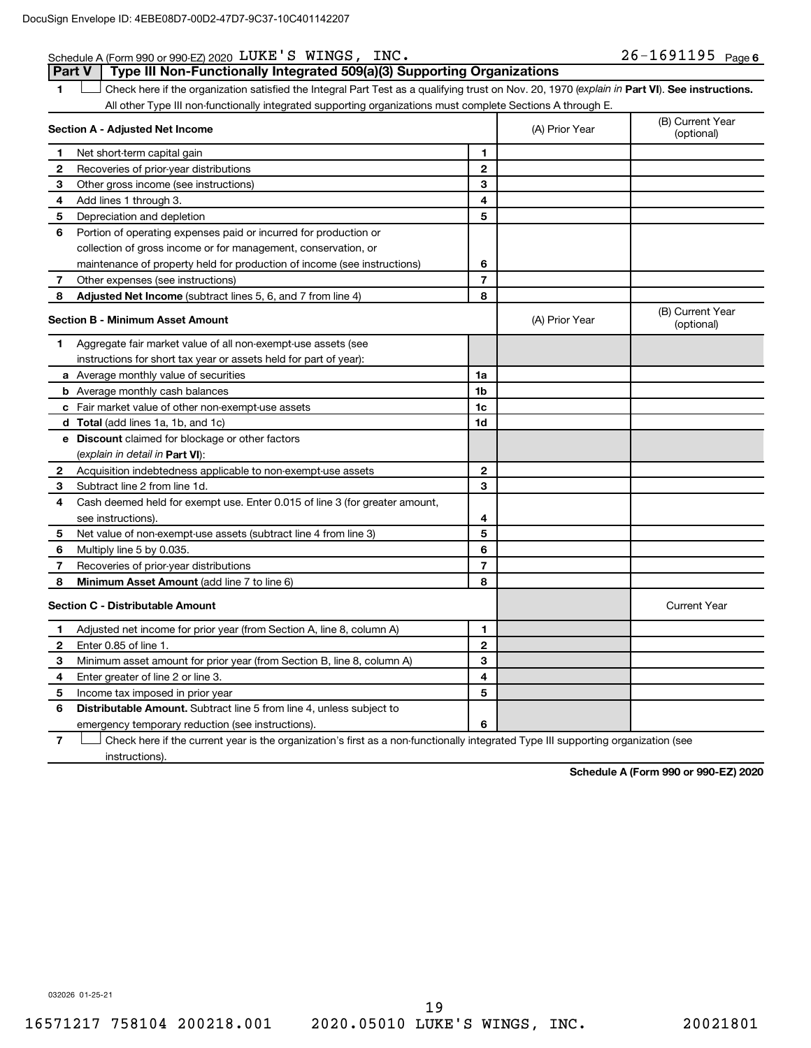26-1691195 Page 6

1 **Letter See instructions.** Check here if the organization satisfied the Integral Part Test as a qualifying trust on Nov. 20, 1970 (*explain in* Part **VI**). See instructions. All other Type III non-functionally integrated supporting organizations must complete Sections A through E. **Part V Type III Non-Functionally Integrated 509(a)(3) Supporting Organizations** 

| Section A - Adjusted Net Income |                                                                                                                                   |                | (A) Prior Year | (B) Current Year<br>(optional) |
|---------------------------------|-----------------------------------------------------------------------------------------------------------------------------------|----------------|----------------|--------------------------------|
| 1                               | Net short-term capital gain                                                                                                       | $\blacksquare$ |                |                                |
| $\mathbf{2}$                    | Recoveries of prior-year distributions                                                                                            | $\mathbf{2}$   |                |                                |
| 3                               | Other gross income (see instructions)                                                                                             | 3              |                |                                |
| 4                               | Add lines 1 through 3.                                                                                                            | 4              |                |                                |
| 5                               | Depreciation and depletion                                                                                                        | 5              |                |                                |
| 6                               | Portion of operating expenses paid or incurred for production or                                                                  |                |                |                                |
|                                 | collection of gross income or for management, conservation, or                                                                    |                |                |                                |
|                                 | maintenance of property held for production of income (see instructions)                                                          | 6              |                |                                |
| 7                               | Other expenses (see instructions)                                                                                                 | $\overline{7}$ |                |                                |
| 8                               | Adjusted Net Income (subtract lines 5, 6, and 7 from line 4)                                                                      | 8              |                |                                |
|                                 | <b>Section B - Minimum Asset Amount</b>                                                                                           |                | (A) Prior Year | (B) Current Year<br>(optional) |
| 1                               | Aggregate fair market value of all non-exempt-use assets (see                                                                     |                |                |                                |
|                                 | instructions for short tax year or assets held for part of year):                                                                 |                |                |                                |
|                                 | <b>a</b> Average monthly value of securities                                                                                      | 1a             |                |                                |
|                                 | <b>b</b> Average monthly cash balances                                                                                            | 1b             |                |                                |
|                                 | <b>c</b> Fair market value of other non-exempt-use assets                                                                         | 1c             |                |                                |
|                                 | <b>d</b> Total (add lines 1a, 1b, and 1c)                                                                                         | 1d             |                |                                |
|                                 | <b>e</b> Discount claimed for blockage or other factors                                                                           |                |                |                                |
|                                 | (explain in detail in <b>Part VI</b> ):                                                                                           |                |                |                                |
| 2                               | Acquisition indebtedness applicable to non-exempt-use assets                                                                      | $\mathbf{2}$   |                |                                |
| З                               | Subtract line 2 from line 1d                                                                                                      | 3              |                |                                |
| 4                               | Cash deemed held for exempt use. Enter 0.015 of line 3 (for greater amount,                                                       |                |                |                                |
|                                 | see instructions).                                                                                                                | 4              |                |                                |
| 5                               | Net value of non-exempt-use assets (subtract line 4 from line 3)                                                                  | 5              |                |                                |
| 6                               | Multiply line 5 by 0.035.                                                                                                         | 6              |                |                                |
| 7                               | Recoveries of prior-year distributions                                                                                            | $\overline{7}$ |                |                                |
| 8                               | <b>Minimum Asset Amount (add line 7 to line 6)</b>                                                                                | 8              |                |                                |
|                                 | <b>Section C - Distributable Amount</b>                                                                                           |                |                | <b>Current Year</b>            |
| 1                               | Adjusted net income for prior year (from Section A, line 8, column A)                                                             | 1              |                |                                |
| 2                               | Enter 0.85 of line 1.                                                                                                             | $\mathbf{2}$   |                |                                |
| з                               | Minimum asset amount for prior year (from Section B, line 8, column A)                                                            | 3              |                |                                |
| 4                               | Enter greater of line 2 or line 3.                                                                                                | 4              |                |                                |
| 5                               | Income tax imposed in prior year                                                                                                  | 5              |                |                                |
| 6                               | <b>Distributable Amount.</b> Subtract line 5 from line 4, unless subject to                                                       |                |                |                                |
|                                 | emergency temporary reduction (see instructions).                                                                                 | 6              |                |                                |
| 7                               | Check here if the current year is the organization's first as a non-functionally integrated Type III supporting organization (see |                |                |                                |

**7** instructions).

**Schedule A (Form 990 or 990-EZ) 2020**

032026 01-25-21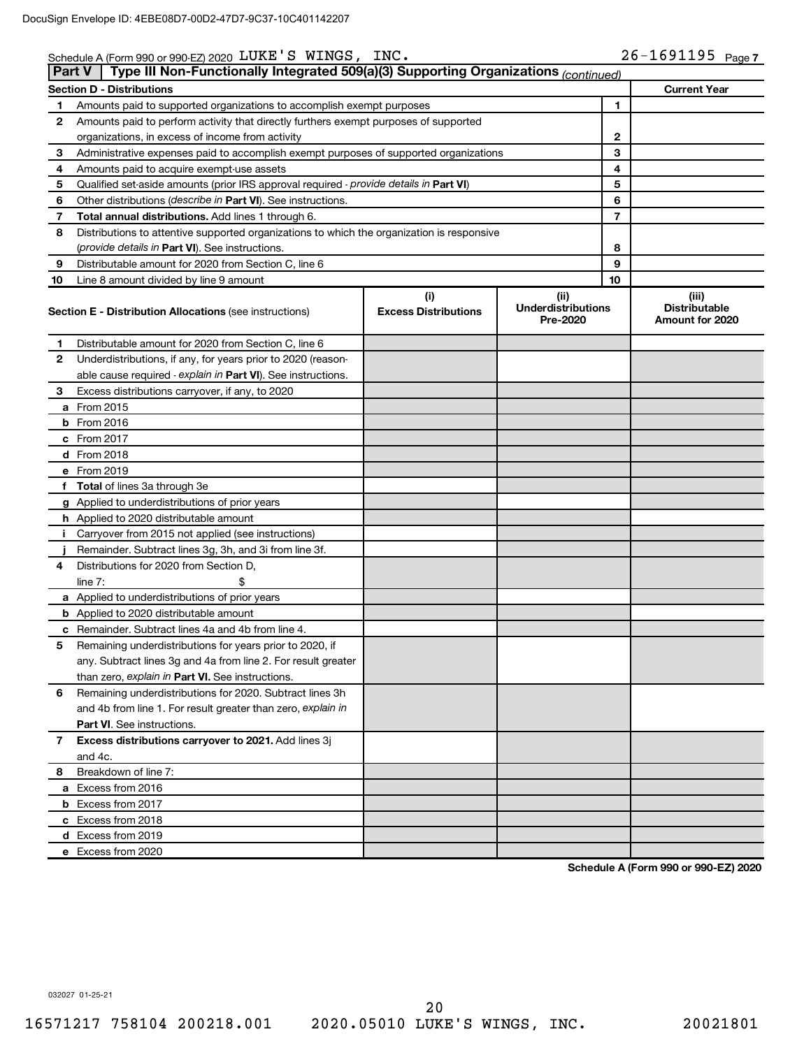| Schedule A (Form 990 or 990-EZ) 2020 $\,$ $\rm LUKE$ $\,^\prime\, S$ $\,$ $\rm WINGS$ , $\,$ $\,$ $\rm INC$ . |  | $26 - 1691195$ Page 7 |
|---------------------------------------------------------------------------------------------------------------|--|-----------------------|
|---------------------------------------------------------------------------------------------------------------|--|-----------------------|

| Part V | Type III Non-Functionally Integrated 509(a)(3) Supporting Organizations (continued)        |                                    |                                               |                                                  |
|--------|--------------------------------------------------------------------------------------------|------------------------------------|-----------------------------------------------|--------------------------------------------------|
|        | <b>Section D - Distributions</b>                                                           |                                    |                                               | <b>Current Year</b>                              |
| 1      | Amounts paid to supported organizations to accomplish exempt purposes                      |                                    | 1                                             |                                                  |
| 2      | Amounts paid to perform activity that directly furthers exempt purposes of supported       |                                    |                                               |                                                  |
|        | organizations, in excess of income from activity                                           |                                    | 2                                             |                                                  |
| 3      | Administrative expenses paid to accomplish exempt purposes of supported organizations      |                                    | 3                                             |                                                  |
| 4      | Amounts paid to acquire exempt-use assets                                                  |                                    | 4                                             |                                                  |
| 5      | Qualified set-aside amounts (prior IRS approval required - provide details in Part VI)     |                                    | 5                                             |                                                  |
| 6      | Other distributions ( <i>describe in Part VI</i> ). See instructions.                      |                                    | 6                                             |                                                  |
| 7      | Total annual distributions. Add lines 1 through 6.                                         |                                    | $\overline{\phantom{a}}$                      |                                                  |
| 8      | Distributions to attentive supported organizations to which the organization is responsive |                                    |                                               |                                                  |
|        | ( <i>provide details in Part VI</i> ). See instructions.                                   |                                    | 8                                             |                                                  |
| 9      | Distributable amount for 2020 from Section C, line 6                                       |                                    | 9                                             |                                                  |
| 10     | Line 8 amount divided by line 9 amount                                                     |                                    | 10                                            |                                                  |
|        | <b>Section E - Distribution Allocations (see instructions)</b>                             | (i)<br><b>Excess Distributions</b> | (ii)<br><b>Underdistributions</b><br>Pre-2020 | (iii)<br><b>Distributable</b><br>Amount for 2020 |
| 1      | Distributable amount for 2020 from Section C, line 6                                       |                                    |                                               |                                                  |
| 2      | Underdistributions, if any, for years prior to 2020 (reason-                               |                                    |                                               |                                                  |
|        | able cause required - explain in Part VI). See instructions.                               |                                    |                                               |                                                  |
| 3      | Excess distributions carryover, if any, to 2020                                            |                                    |                                               |                                                  |
|        | a From 2015                                                                                |                                    |                                               |                                                  |
|        | $b$ From 2016                                                                              |                                    |                                               |                                                  |
|        | c From 2017                                                                                |                                    |                                               |                                                  |
|        | <b>d</b> From 2018                                                                         |                                    |                                               |                                                  |
|        | e From 2019                                                                                |                                    |                                               |                                                  |
|        | f Total of lines 3a through 3e                                                             |                                    |                                               |                                                  |
|        | g Applied to underdistributions of prior years                                             |                                    |                                               |                                                  |
|        | h Applied to 2020 distributable amount                                                     |                                    |                                               |                                                  |
| Ť.     | Carryover from 2015 not applied (see instructions)                                         |                                    |                                               |                                                  |
|        | Remainder. Subtract lines 3g, 3h, and 3i from line 3f.                                     |                                    |                                               |                                                  |
| 4      | Distributions for 2020 from Section D,                                                     |                                    |                                               |                                                  |
|        | line $7:$                                                                                  |                                    |                                               |                                                  |
|        | a Applied to underdistributions of prior years                                             |                                    |                                               |                                                  |
|        | <b>b</b> Applied to 2020 distributable amount                                              |                                    |                                               |                                                  |
|        | <b>c</b> Remainder. Subtract lines 4a and 4b from line 4.                                  |                                    |                                               |                                                  |
| 5      | Remaining underdistributions for years prior to 2020, if                                   |                                    |                                               |                                                  |
|        | any. Subtract lines 3g and 4a from line 2. For result greater                              |                                    |                                               |                                                  |
|        | than zero, explain in Part VI. See instructions.                                           |                                    |                                               |                                                  |
| 6      | Remaining underdistributions for 2020. Subtract lines 3h                                   |                                    |                                               |                                                  |
|        | and 4b from line 1. For result greater than zero, explain in                               |                                    |                                               |                                                  |
|        | <b>Part VI.</b> See instructions.                                                          |                                    |                                               |                                                  |
| 7      | Excess distributions carryover to 2021. Add lines 3j                                       |                                    |                                               |                                                  |
|        | and 4c.                                                                                    |                                    |                                               |                                                  |
| 8      | Breakdown of line 7:                                                                       |                                    |                                               |                                                  |
|        | a Excess from 2016                                                                         |                                    |                                               |                                                  |
|        | <b>b</b> Excess from 2017                                                                  |                                    |                                               |                                                  |
|        | c Excess from 2018                                                                         |                                    |                                               |                                                  |
|        | d Excess from 2019                                                                         |                                    |                                               |                                                  |
|        | e Excess from 2020                                                                         |                                    |                                               |                                                  |

**Schedule A (Form 990 or 990-EZ) 2020**

032027 01-25-21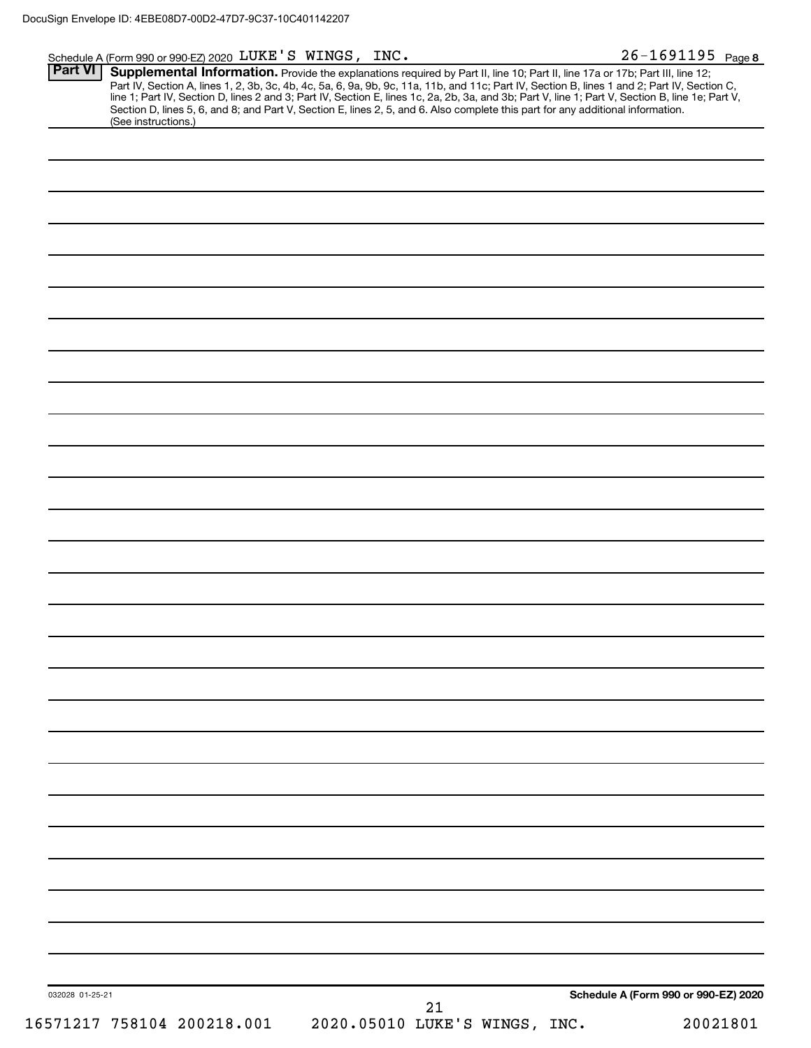| SCREAME A (FORM 390 OF 990-EZ) ZUZU ED TALET DE WILLIOD TERMINE.                                                                                                                                                                                                                                                                                                                                                                                                                                                                                                                                              | $20 + 22 + 27 = 0$ |
|---------------------------------------------------------------------------------------------------------------------------------------------------------------------------------------------------------------------------------------------------------------------------------------------------------------------------------------------------------------------------------------------------------------------------------------------------------------------------------------------------------------------------------------------------------------------------------------------------------------|--------------------|
| <b>Part VI</b><br>Supplemental Information. Provide the explanations required by Part II, line 10; Part II, line 17a or 17b; Part III, line 12;<br>Part IV, Section A, lines 1, 2, 3b, 3c, 4b, 4c, 5a, 6, 9a, 9b, 9c, 11a, 11b, and 11c; Part IV, Section B, lines 1 and 2; Part IV, Section C,<br>line 1; Part IV, Section D, lines 2 and 3; Part IV, Section E, lines 1c, 2a, 2b, 3a, and 3b; Part V, line 1; Part V, Section B, line 1e; Part V,<br>Section D, lines 5, 6, and 8; and Part V, Section E, lines 2, 5, and 6. Also complete this part for any additional information.<br>(See instructions.) |                    |
|                                                                                                                                                                                                                                                                                                                                                                                                                                                                                                                                                                                                               |                    |
|                                                                                                                                                                                                                                                                                                                                                                                                                                                                                                                                                                                                               |                    |
|                                                                                                                                                                                                                                                                                                                                                                                                                                                                                                                                                                                                               |                    |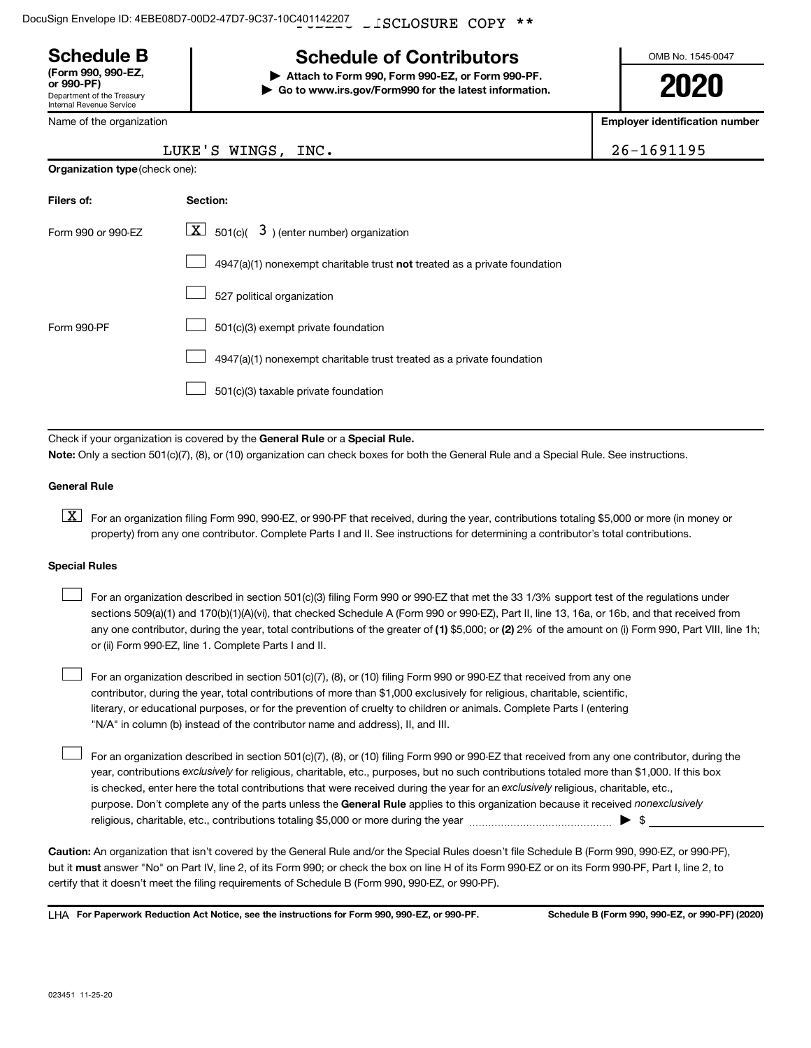\*\* PUBLIC DISCLOSURE COPY \*\* DocuSign Envelope ID: 4EBE08D7-00D2-47D7-9C37-10C401142207

Department of the Treasury Internal Revenue Service **(Form 990, 990-EZ,**

Name of the organization

**Organization type** (check one):

# **Schedule B Schedule of Contributors**

**or 990-PF) | Attach to Form 990, Form 990-EZ, or Form 990-PF. | Go to www.irs.gov/Form990 for the latest information.** OMB No. 1545-0047

**2020**

**Employer identification number**

| LUKE'S WINGS, | INC. | 26-1691195 |
|---------------|------|------------|
|               |      |            |

|--|

| Filers of:         | Section:                                                                           |  |
|--------------------|------------------------------------------------------------------------------------|--|
| Form 990 or 990-FZ | $\boxed{\textbf{X}}$ 501(c)( 3) (enter number) organization                        |  |
|                    | $4947(a)(1)$ nonexempt charitable trust <b>not</b> treated as a private foundation |  |
|                    | 527 political organization                                                         |  |
| Form 990-PF        | 501(c)(3) exempt private foundation                                                |  |
|                    | 4947(a)(1) nonexempt charitable trust treated as a private foundation              |  |
|                    | 501(c)(3) taxable private foundation                                               |  |

Check if your organization is covered by the General Rule or a Special Rule.

**Note:**  Only a section 501(c)(7), (8), or (10) organization can check boxes for both the General Rule and a Special Rule. See instructions.

### **General Rule**

**K** For an organization filing Form 990, 990-EZ, or 990-PF that received, during the year, contributions totaling \$5,000 or more (in money or property) from any one contributor. Complete Parts I and II. See instructions for determining a contributor's total contributions.

### **Special Rules**

 $\Box$ 

any one contributor, during the year, total contributions of the greater of (1) \$5,000; or (2) 2% of the amount on (i) Form 990, Part VIII, line 1h; For an organization described in section 501(c)(3) filing Form 990 or 990-EZ that met the 33 1/3% support test of the regulations under sections 509(a)(1) and 170(b)(1)(A)(vi), that checked Schedule A (Form 990 or 990-EZ), Part II, line 13, 16a, or 16b, and that received from or (ii) Form 990-EZ, line 1. Complete Parts I and II.  $\Box$ 

For an organization described in section 501(c)(7), (8), or (10) filing Form 990 or 990-EZ that received from any one contributor, during the year, total contributions of more than \$1,000 exclusively for religious, charitable, scientific, literary, or educational purposes, or for the prevention of cruelty to children or animals. Complete Parts I (entering "N/A" in column (b) instead of the contributor name and address), II, and III.  $\Box$ 

purpose. Don't complete any of the parts unless the General Rule applies to this organization because it received nonexclusively year, contributions exclusively for religious, charitable, etc., purposes, but no such contributions totaled more than \$1,000. If this box is checked, enter here the total contributions that were received during the year for an exclusively religious, charitable, etc., For an organization described in section 501(c)(7), (8), or (10) filing Form 990 or 990-EZ that received from any one contributor, during the religious, charitable, etc., contributions totaling \$5,000 or more during the year  $\ldots$  $\ldots$  $\ldots$  $\ldots$  $\ldots$  $\ldots$ 

**Caution:**  An organization that isn't covered by the General Rule and/or the Special Rules doesn't file Schedule B (Form 990, 990-EZ, or 990-PF),  **must** but it answer "No" on Part IV, line 2, of its Form 990; or check the box on line H of its Form 990-EZ or on its Form 990-PF, Part I, line 2, to certify that it doesn't meet the filing requirements of Schedule B (Form 990, 990-EZ, or 990-PF).

**For Paperwork Reduction Act Notice, see the instructions for Form 990, 990-EZ, or 990-PF. Schedule B (Form 990, 990-EZ, or 990-PF) (2020)** LHA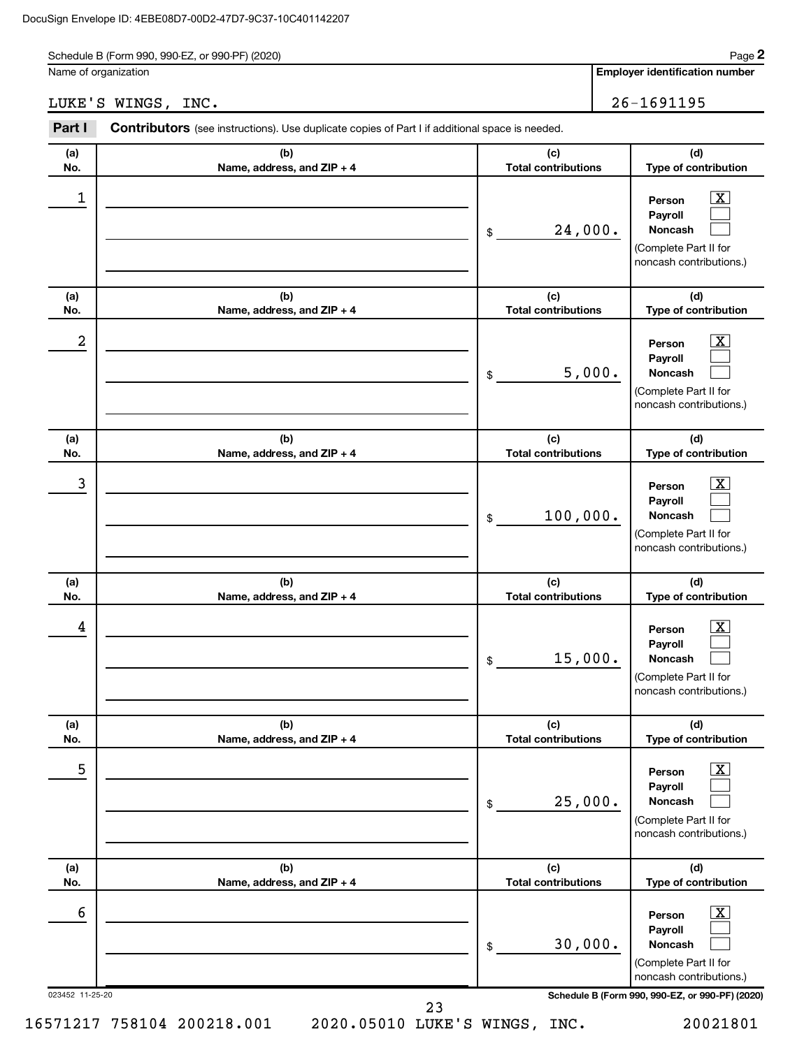**Employer identification number**

LUKE'S WINGS, INC. 26-1691195

| Part I               | <b>Contributors</b> (see instructions). Use duplicate copies of Part I if additional space is needed. |                                   |                                                                                                                                                     |
|----------------------|-------------------------------------------------------------------------------------------------------|-----------------------------------|-----------------------------------------------------------------------------------------------------------------------------------------------------|
| (a)<br>No.           | (b)<br>Name, address, and ZIP + 4                                                                     | (c)<br><b>Total contributions</b> | (d)<br>Type of contribution                                                                                                                         |
| 1                    |                                                                                                       | 24,000.<br>\$                     | $\mathbf{X}$<br>Person<br>Payroll<br>Noncash<br>(Complete Part II for<br>noncash contributions.)                                                    |
| (a)<br>No.           | (b)<br>Name, address, and ZIP + 4                                                                     | (c)<br><b>Total contributions</b> | (d)<br>Type of contribution                                                                                                                         |
| 2                    |                                                                                                       | 5,000.<br>\$                      | $\mathbf{X}$<br>Person<br>Payroll<br>Noncash<br>(Complete Part II for<br>noncash contributions.)                                                    |
| (a)<br>No.           | (b)<br>Name, address, and ZIP + 4                                                                     | (c)<br><b>Total contributions</b> | (d)<br>Type of contribution                                                                                                                         |
| 3                    |                                                                                                       | 100,000.<br>\$                    | $\mathbf{X}$<br>Person<br>Payroll<br>Noncash<br>(Complete Part II for<br>noncash contributions.)                                                    |
| (a)<br>No.           | (b)<br>Name, address, and ZIP + 4                                                                     | (c)<br><b>Total contributions</b> | (d)<br>Type of contribution                                                                                                                         |
| 4                    |                                                                                                       | 15,000.<br>\$                     | $\mathbf{X}$<br>Person<br>Payroll<br>Noncash<br>(Complete Part II for<br>noncash contributions.)                                                    |
| (a)<br>No.           | (b)<br>Name, address, and ZIP + 4                                                                     | (c)<br><b>Total contributions</b> | (d)<br>Type of contribution                                                                                                                         |
| 5                    |                                                                                                       | 25,000.<br>\$                     | $\mathbf{X}$<br>Person<br>Payroll<br>Noncash<br>(Complete Part II for<br>noncash contributions.)                                                    |
| (a)<br>No.           | (b)<br>Name, address, and ZIP + 4                                                                     | (c)<br><b>Total contributions</b> | (d)<br>Type of contribution                                                                                                                         |
| 6<br>023452 11-25-20 |                                                                                                       | 30,000.<br>\$                     | $\mathbf{X}$<br>Person<br>Payroll<br>Noncash<br>(Complete Part II for<br>noncash contributions.)<br>Schedule B (Form 990, 990-EZ, or 990-PF) (2020) |
|                      | 23                                                                                                    |                                   |                                                                                                                                                     |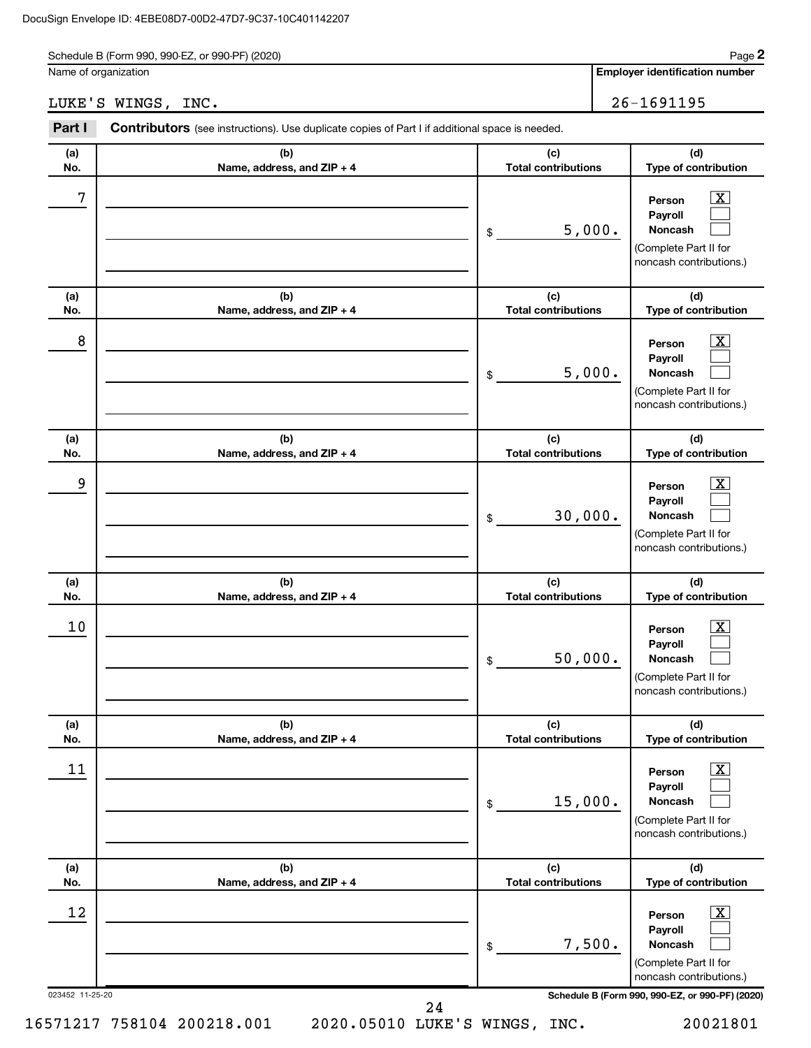|  | Name of organization |
|--|----------------------|

**Employer identification number**

LUKE'S WINGS, INC. 26-1691195

| Part I                | Contributors (see instructions). Use duplicate copies of Part I if additional space is needed. |                                   |                                                                                                                                          |
|-----------------------|------------------------------------------------------------------------------------------------|-----------------------------------|------------------------------------------------------------------------------------------------------------------------------------------|
| (a)<br>No.            | (b)<br>Name, address, and ZIP + 4                                                              | (c)<br><b>Total contributions</b> | (d)<br>Type of contribution                                                                                                              |
| 7                     |                                                                                                | 5,000.<br>\$                      | $\overline{\text{X}}$<br>Person<br>Payroll<br>Noncash<br>(Complete Part II for<br>noncash contributions.)                                |
| (a)<br>No.            | (b)<br>Name, address, and ZIP + 4                                                              | (c)<br><b>Total contributions</b> | (d)<br>Type of contribution                                                                                                              |
| 8                     |                                                                                                | 5,000.<br>\$                      | x<br>Person<br>Payroll<br>Noncash<br>(Complete Part II for<br>noncash contributions.)                                                    |
| (a)<br>No.            | (b)<br>Name, address, and ZIP + 4                                                              | (c)<br><b>Total contributions</b> | (d)<br>Type of contribution                                                                                                              |
| 9                     |                                                                                                | 30,000.<br>\$                     | X.<br>Person<br>Payroll<br>Noncash<br>(Complete Part II for<br>noncash contributions.)                                                   |
| (a)<br>No.            | (b)<br>Name, address, and ZIP + 4                                                              | (c)<br><b>Total contributions</b> | (d)<br>Type of contribution                                                                                                              |
| 10                    |                                                                                                | 50,000.<br>\$                     | X.<br>Person<br>Payroll<br>Noncash<br>(Complete Part II for<br>noncash contributions.)                                                   |
| (a)<br>No.            | (b)<br>Name, address, and ZIP + 4                                                              | (c)<br><b>Total contributions</b> | (d)<br>Type of contribution                                                                                                              |
| 11                    |                                                                                                | 15,000.<br>\$                     | х<br>Person<br>Payroll<br>Noncash<br>(Complete Part II for<br>noncash contributions.)                                                    |
| (a)<br>No.            | (b)<br>Name, address, and ZIP + 4                                                              | (c)<br><b>Total contributions</b> | (d)<br>Type of contribution                                                                                                              |
| 12<br>023452 11-25-20 |                                                                                                | 7,500.<br>\$                      | x<br>Person<br>Payroll<br>Noncash<br>(Complete Part II for<br>noncash contributions.)<br>Schedule B (Form 990, 990-EZ, or 990-PF) (2020) |
|                       | 24                                                                                             |                                   |                                                                                                                                          |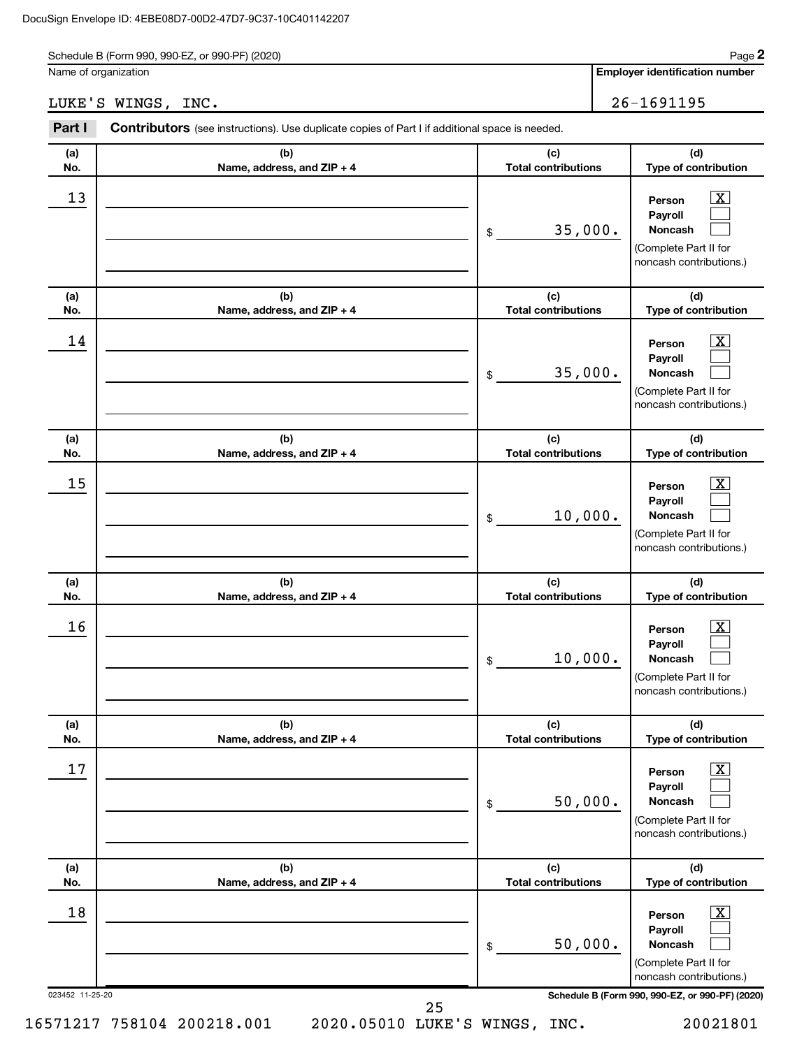Name of organization

**Employer identification number**

|                       | LUKE'S WINGS, INC.                                                                                    |                                   | 26-1691195                                                                                                                                          |
|-----------------------|-------------------------------------------------------------------------------------------------------|-----------------------------------|-----------------------------------------------------------------------------------------------------------------------------------------------------|
| Part I                | <b>Contributors</b> (see instructions). Use duplicate copies of Part I if additional space is needed. |                                   |                                                                                                                                                     |
| (a)<br>No.            | (b)<br>Name, address, and ZIP + 4                                                                     | (c)<br><b>Total contributions</b> | (d)<br>Type of contribution                                                                                                                         |
| 13                    |                                                                                                       | 35,000.<br>\$                     | X<br>Person<br>Payroll<br><b>Noncash</b><br>(Complete Part II for<br>noncash contributions.)                                                        |
| (a)<br>No.            | (b)<br>Name, address, and ZIP + 4                                                                     | (c)<br><b>Total contributions</b> | (d)<br>Type of contribution                                                                                                                         |
| 14                    |                                                                                                       | 35,000.<br>\$                     | X<br>Person<br>Payroll<br><b>Noncash</b><br>(Complete Part II for<br>noncash contributions.)                                                        |
| (a)<br>No.            | (b)<br>Name, address, and ZIP + 4                                                                     | (c)<br><b>Total contributions</b> | (d)<br>Type of contribution                                                                                                                         |
| 15                    |                                                                                                       | 10,000.<br>\$                     | x<br>Person<br>Payroll<br><b>Noncash</b><br>(Complete Part II for<br>noncash contributions.)                                                        |
| (a)<br>No.            | (b)<br>Name, address, and ZIP + 4                                                                     | (c)<br><b>Total contributions</b> | (d)<br>Type of contribution                                                                                                                         |
| 16                    |                                                                                                       | 10,000.<br>\$                     | x<br>Person<br>Payroll<br><b>Noncash</b><br>(Complete Part II for<br>noncash contributions.)                                                        |
| (a)<br>No.            | (b)<br>Name, address, and ZIP + 4                                                                     | (c)<br><b>Total contributions</b> | (d)<br>Type of contribution                                                                                                                         |
| $17$                  |                                                                                                       | 50,000.<br>\$                     | $\overline{\mathbf{X}}$<br>Person<br>Payroll<br>Noncash<br>(Complete Part II for<br>noncash contributions.)                                         |
| (a)<br>No.            | (b)<br>Name, address, and ZIP + 4                                                                     | (c)<br><b>Total contributions</b> | (d)<br>Type of contribution                                                                                                                         |
| 18<br>023452 11-25-20 |                                                                                                       | 50,000.<br>\$                     | $\mathbf{X}$<br>Person<br>Payroll<br>Noncash<br>(Complete Part II for<br>noncash contributions.)<br>Schedule B (Form 990, 990-EZ, or 990-PF) (2020) |
|                       | 25                                                                                                    |                                   |                                                                                                                                                     |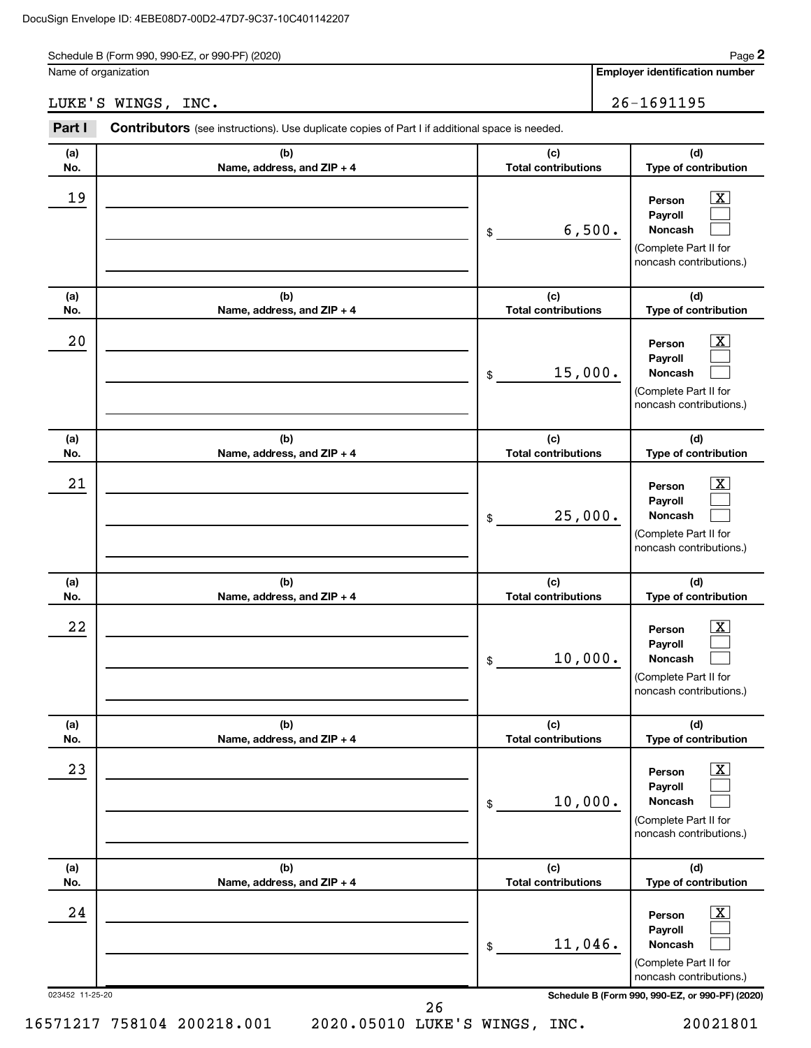**Employer identification number**

LUKE'S WINGS, INC. 26-1691195

| Part I                | Contributors (see instructions). Use duplicate copies of Part I if additional space is needed. |                                   |                                                                                                                                                              |
|-----------------------|------------------------------------------------------------------------------------------------|-----------------------------------|--------------------------------------------------------------------------------------------------------------------------------------------------------------|
| (a)<br>No.            | (b)<br>Name, address, and ZIP + 4                                                              | (c)<br><b>Total contributions</b> | (d)<br>Type of contribution                                                                                                                                  |
| 19                    |                                                                                                | 6,500.<br>\$                      | $\mathbf{X}$<br>Person<br>Payroll<br>Noncash<br>(Complete Part II for<br>noncash contributions.)                                                             |
| (a)<br>No.            | (b)<br>Name, address, and ZIP + 4                                                              | (c)<br><b>Total contributions</b> | (d)<br>Type of contribution                                                                                                                                  |
| 20                    |                                                                                                | 15,000.<br>\$                     | $\mathbf{X}$<br>Person<br>Payroll<br>Noncash<br>(Complete Part II for<br>noncash contributions.)                                                             |
| (a)<br>No.            | (b)<br>Name, address, and ZIP + 4                                                              | (c)<br><b>Total contributions</b> | (d)<br>Type of contribution                                                                                                                                  |
| 21                    |                                                                                                | 25,000.<br>\$                     | $\overline{\mathbf{X}}$<br>Person<br>Payroll<br>Noncash<br>(Complete Part II for<br>noncash contributions.)                                                  |
| (a)<br>No.            | (b)<br>Name, address, and ZIP + 4                                                              | (c)<br><b>Total contributions</b> | (d)<br>Type of contribution                                                                                                                                  |
| 22                    |                                                                                                | 10,000.<br>\$                     | $\overline{\mathbf{X}}$<br>Person<br>Payroll<br>Noncash<br>(Complete Part II for<br>noncash contributions.)                                                  |
| (a)                   |                                                                                                |                                   |                                                                                                                                                              |
| No.                   | (b)<br>Name, address, and ZIP + 4                                                              | (c)<br><b>Total contributions</b> | (d)<br>Type of contribution                                                                                                                                  |
| 23                    |                                                                                                | 10,000.<br>\$                     | $\overline{\mathbf{x}}$<br>Person<br>Payroll<br>Noncash<br>(Complete Part II for<br>noncash contributions.)                                                  |
| (a)<br>No.            | (b)<br>Name, address, and ZIP + 4                                                              | (c)<br><b>Total contributions</b> | (d)<br>Type of contribution                                                                                                                                  |
| 24<br>023452 11-25-20 | 26                                                                                             | 11,046.<br>\$                     | $\overline{\text{X}}$<br>Person<br>Payroll<br>Noncash<br>(Complete Part II for<br>noncash contributions.)<br>Schedule B (Form 990, 990-EZ, or 990-PF) (2020) |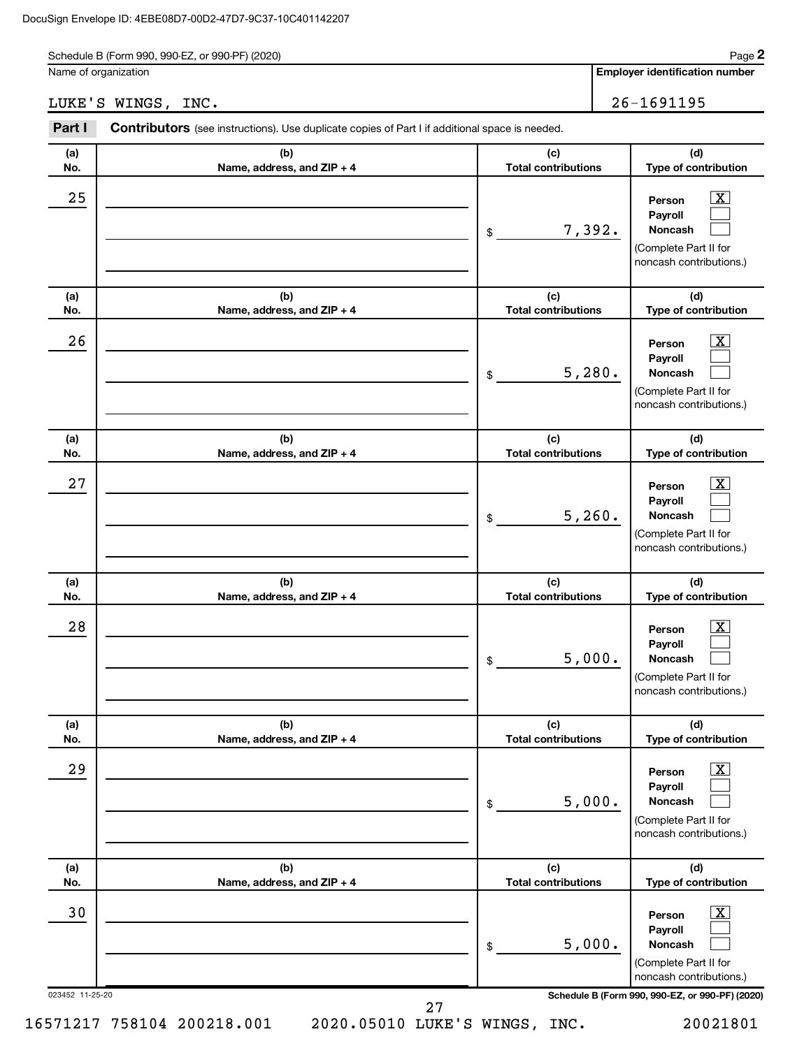**(b) Name, address, and ZIP + 4**

**Part I** Contributors (see instructions). Use duplicate copies of Part I if additional space is needed.

**(b) Name, address, and ZIP + 4**

**(b) Name, address, and ZIP + 4**

**(b) Name, address, and ZIP + 4**

**(b) Name, address, and ZIP + 4**

**(b) Name, address, and ZIP + 4**

Schedule B (Form 990, 990-EZ, or 990-PF) (2020)

**(a) No.**

**(a) No.**

**(a) No.**

**(a) No.**

**(a) No.**

**(a) No.** **Employer identification number**

LUKE'S WINGS, INC. 26-1691195

**Person Payroll Noncash**

**Person Payroll Noncash**

**Person Payroll Noncash**

**Person Payroll Noncash**

**Person Payroll Noncash**

**Person Payroll Noncash**

(Complete Part II for

**(d) Type of contribution**

> $\lfloor x \rfloor$  $\Box$  $\Box$

> $\overline{\mathbf{X}}$  $\Box$  $\Box$

> $\boxed{\textbf{X}}$  $\Box$  $\Box$

> $\boxed{\textbf{X}}$  $\Box$  $\Box$

> $\boxed{\text{X}}$  $\Box$  $\Box$

**(d) Type of contribution**

(Complete Part II for noncash contributions.)

> **(d) Type of contribution**

(Complete Part II for noncash contributions.)

**(d) Type of contribution**

(Complete Part II for noncash contributions.)

**(d) Type of contribution**

(Complete Part II for noncash contributions.)

**(d) Type of contribution**

(Complete Part II for noncash contributions.)

**(c) Total contributions**

**(c) Total contributions**

7,392.

5,280.

5,260.

5,000.

5,000.

5,000.

\$

 $25$  Person  $\overline{\text{X}}$ 

 $26$  Person  $\overline{\text{X}}$ 

 $27$  Person  $\overline{\text{X}}$ 

 $28$  Person  $\overline{\text{X}}$ 

 $29$  Person  $\overline{\text{X}}$ 

 $\overline{30}$  Person  $\overline{\text{X}}$ 

\$

\$

\$

\$

\$

**(c) Total contributions**

**(c) Total contributions**

**(c) Total contributions**

**(c) Total contributions**

| POKE S | WINGS, | INC. |
|--------|--------|------|
|        |        |      |

023452 11-25-20 **Schedule B (Form 990, 990-EZ, or 990-PF) (2020)** noncash contributions.)

16571217 758104 200218.001 2020.05010 LUKE'S WINGS, INC. 20021801 27

| WINGS | TNC. |  |
|-------|------|--|



 $\boxed{\text{X}}$  $\Box$  $\Box$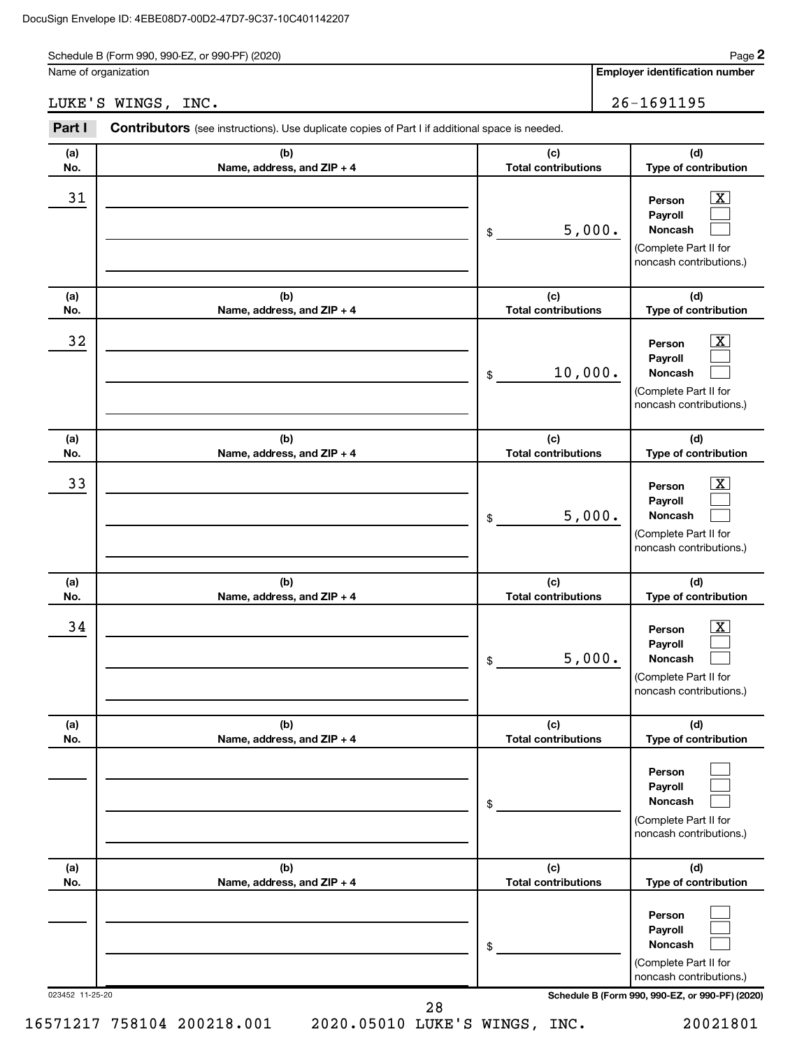**(b) Name, address, and ZIP + 4**

**Part I** Contributors (see instructions). Use duplicate copies of Part I if additional space is needed.

**(b) Name, address, and ZIP + 4**

**(b) Name, address, and ZIP + 4**

**(b) Name, address, and ZIP + 4**

**(b) Name, address, and ZIP + 4**

**(b) Name, address, and ZIP + 4**

Schedule B (Form 990, 990-EZ, or 990-PF) (2020)

| Name of organization |
|----------------------|
|----------------------|

**(a) No.**

**(a) No.**

**(a) No.**

**(a) No.**

**(a) No.**

**(a) No.** **Employer identification number**

LUKE'S WINGS, INC. 26-1691195

**Person Payroll Noncash**

**Person Payroll Noncash**

**Person Payroll Noncash**

**Person Payroll Noncash**

**Person Payroll Noncash**

**(d) Type of contribution**

> $\lfloor x \rfloor$  $\Box$  $\Box$

> $\overline{\mathbf{X}}$  $\Box$  $\Box$

> $\boxed{\textbf{X}}$  $\Box$  $\Box$

> $\boxed{\textbf{X}}$  $\Box$  $\Box$

> $\Box$  $\Box$  $\Box$

**(d) Type of contribution**

(Complete Part II for noncash contributions.)

> **(d) Type of contribution**

(Complete Part II for noncash contributions.)

**(d) Type of contribution**

(Complete Part II for noncash contributions.)

**(d) Type of contribution**

(Complete Part II for noncash contributions.)

**(d) Type of contribution**

(Complete Part II for noncash contributions.)

**(c) Total contributions**

**(c) Total contributions**

5,000.

10,000.

5,000.

5,000.

\$

 $\begin{array}{|c|c|c|c|c|}\hline \text{31} & \text{Person} & \text{X} \\\hline \end{array}$ 

 $\begin{array}{|c|c|c|c|c|}\hline \text{32} & \text{Person} & \text{X} \ \hline \end{array}$ 

 $\overline{33}$  Person  $\overline{\text{X}}$ 

 $\begin{array}{|c|c|c|c|c|}\hline \text{34} & \text{Person} & \text{X} \\\hline \end{array}$ 

\$

\$

\$

\$

\$

**(c) Total contributions**

**(c) Total contributions**

**(c) Total contributions**

**(c) Total contributions**

| ∟חמח | , GUNLW | LNC. |
|------|---------|------|
|      |         |      |

|  |  | --- --- ----            |
|--|--|-------------------------|
|  |  | noncash contributions.) |
|  |  | Complete Part II for    |

023452 11-25-20 **Schedule B (Form 990, 990-EZ, or 990-PF) (2020)**

**Person Payroll Noncash**  $\Box$  $\Box$  $\Box$ 

28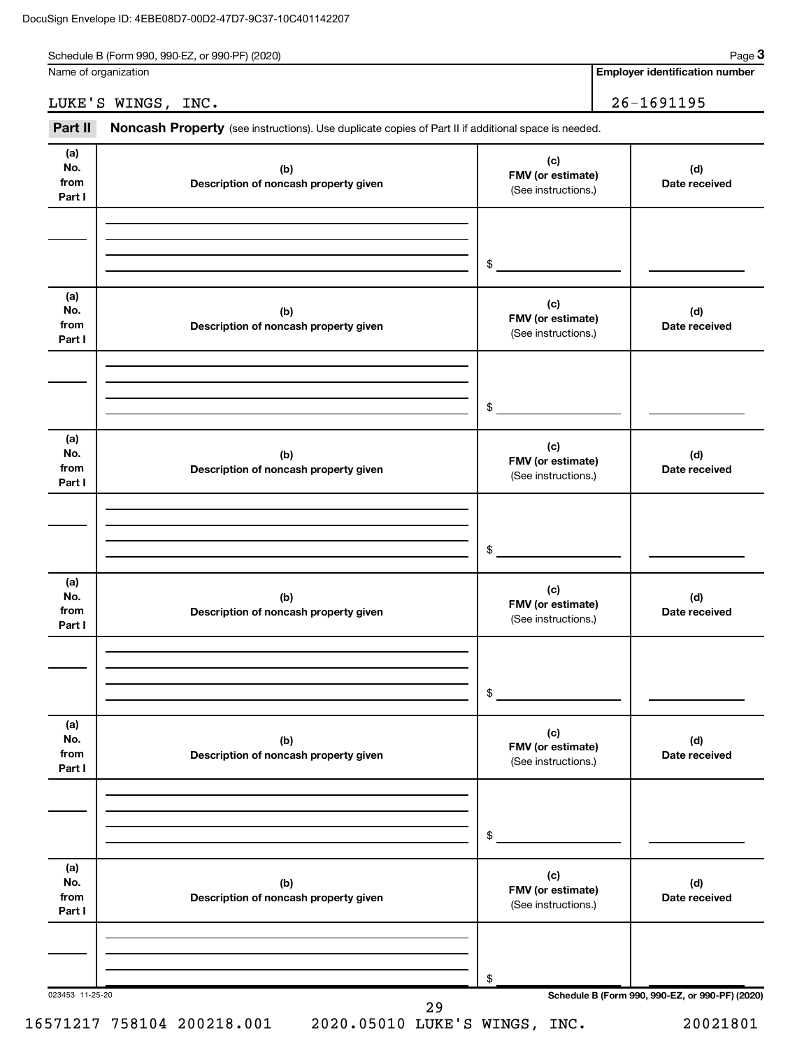| Schedule B (Form 990, 990-EZ, or 990-PF) (2020) | Page                             |
|-------------------------------------------------|----------------------------------|
| Name of organization                            | l Emplover identification number |
| LUKE'S WINGS, INC.                              | 26-1691195                       |

023453 11-25-20 **Schedule B (Form 990, 990-EZ, or 990-PF) (2020) (a) No. from Part I (c) FMV (or estimate) (b) Description of noncash property given (d) Date received (a) No. from Part I (c) FMV (or estimate) (b) Description of noncash property given (d) Date received (a) No. from Part I (c) FMV (or estimate) (b) Description of noncash property given (d) Date received (a) No. from Part I (c) FMV (or estimate) (b) Description of noncash property given (d) Date received (a) No. from Part I (c) FMV (or estimate) (b) Description of noncash property given (d) Date received (a) No. from Part I (c) FMV (or estimate) (b) Description of noncash property given (d) Date received** Part II Noncash Property (see instructions). Use duplicate copies of Part II if additional space is needed. (See instructions.) \$ (See instructions.) \$ (See instructions.) \$ (See instructions.) \$ (See instructions.) \$ (See instructions.) \$ 29

16571217 758104 200218.001 2020.05010 LUKE'S WINGS, INC. 20021801

**3**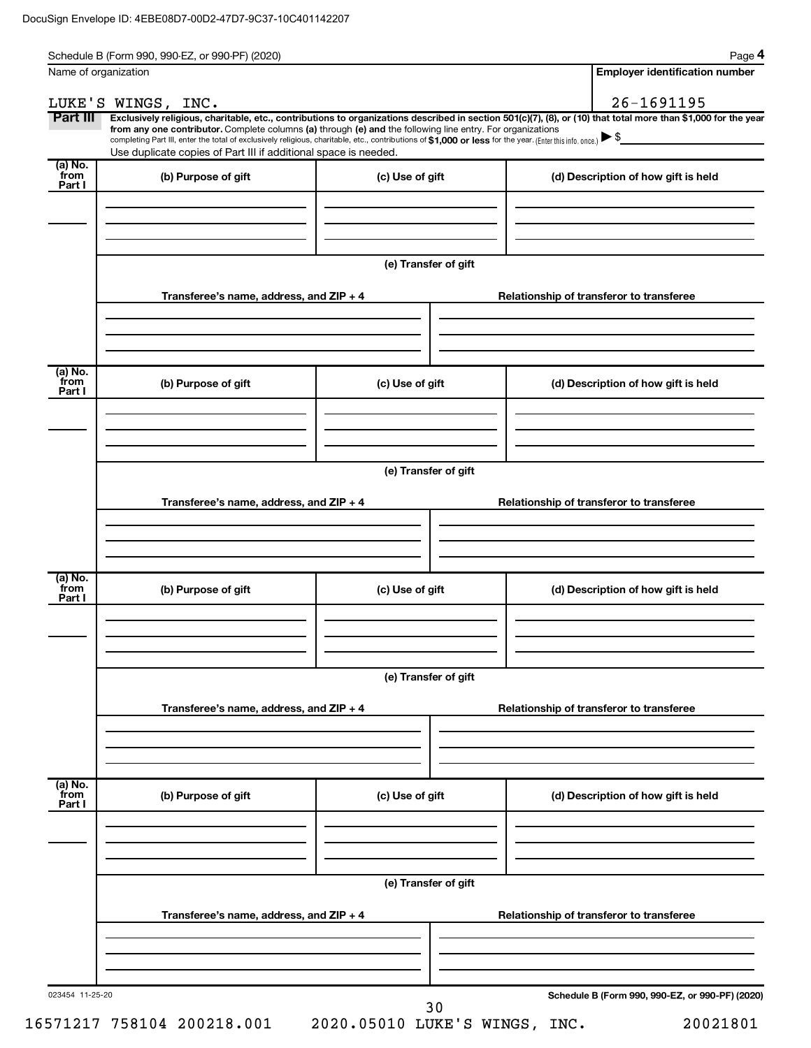| Name of organization      | Schedule B (Form 990, 990-EZ, or 990-PF) (2020)                                                                                                                                                                                                                                                                                                                                                                                                                                                                  |                      |  | Page 4<br><b>Employer identification number</b> |  |  |  |
|---------------------------|------------------------------------------------------------------------------------------------------------------------------------------------------------------------------------------------------------------------------------------------------------------------------------------------------------------------------------------------------------------------------------------------------------------------------------------------------------------------------------------------------------------|----------------------|--|-------------------------------------------------|--|--|--|
|                           |                                                                                                                                                                                                                                                                                                                                                                                                                                                                                                                  |                      |  |                                                 |  |  |  |
|                           | LUKE'S WINGS, INC.                                                                                                                                                                                                                                                                                                                                                                                                                                                                                               |                      |  | $26 - 1691195$                                  |  |  |  |
| Part III                  | Exclusively religious, charitable, etc., contributions to organizations described in section 501(c)(7), (8), or (10) that total more than \$1,000 for the year<br>from any one contributor. Complete columns (a) through (e) and the following line entry. For organizations<br>completing Part III, enter the total of exclusively religious, charitable, etc., contributions of \$1,000 or less for the year. (Enter this info. once.) ▶ \$<br>Use duplicate copies of Part III if additional space is needed. |                      |  |                                                 |  |  |  |
| (a) No.<br>from<br>Part I | (b) Purpose of gift                                                                                                                                                                                                                                                                                                                                                                                                                                                                                              | (c) Use of gift      |  | (d) Description of how gift is held             |  |  |  |
|                           |                                                                                                                                                                                                                                                                                                                                                                                                                                                                                                                  |                      |  |                                                 |  |  |  |
|                           |                                                                                                                                                                                                                                                                                                                                                                                                                                                                                                                  | (e) Transfer of gift |  |                                                 |  |  |  |
|                           | Transferee's name, address, and ZIP + 4                                                                                                                                                                                                                                                                                                                                                                                                                                                                          |                      |  | Relationship of transferor to transferee        |  |  |  |
| (a) No.<br>from           | (b) Purpose of gift                                                                                                                                                                                                                                                                                                                                                                                                                                                                                              | (c) Use of gift      |  | (d) Description of how gift is held             |  |  |  |
| Part I                    |                                                                                                                                                                                                                                                                                                                                                                                                                                                                                                                  |                      |  |                                                 |  |  |  |
|                           |                                                                                                                                                                                                                                                                                                                                                                                                                                                                                                                  | (e) Transfer of gift |  |                                                 |  |  |  |
|                           | Transferee's name, address, and ZIP + 4                                                                                                                                                                                                                                                                                                                                                                                                                                                                          |                      |  | Relationship of transferor to transferee        |  |  |  |
|                           |                                                                                                                                                                                                                                                                                                                                                                                                                                                                                                                  |                      |  |                                                 |  |  |  |
| (a) No.<br>from<br>Part I | (b) Purpose of gift                                                                                                                                                                                                                                                                                                                                                                                                                                                                                              | (c) Use of gift      |  | (d) Description of how gift is held             |  |  |  |
|                           |                                                                                                                                                                                                                                                                                                                                                                                                                                                                                                                  |                      |  |                                                 |  |  |  |
|                           | (e) Transfer of gift                                                                                                                                                                                                                                                                                                                                                                                                                                                                                             |                      |  |                                                 |  |  |  |
|                           | Transferee's name, address, and $ZIP + 4$                                                                                                                                                                                                                                                                                                                                                                                                                                                                        |                      |  | Relationship of transferor to transferee        |  |  |  |
| (a) No.<br>from           |                                                                                                                                                                                                                                                                                                                                                                                                                                                                                                                  |                      |  |                                                 |  |  |  |
| Part I                    | (b) Purpose of gift                                                                                                                                                                                                                                                                                                                                                                                                                                                                                              | (c) Use of gift      |  | (d) Description of how gift is held             |  |  |  |
|                           |                                                                                                                                                                                                                                                                                                                                                                                                                                                                                                                  |                      |  |                                                 |  |  |  |
|                           | Transferee's name, address, and ZIP + 4                                                                                                                                                                                                                                                                                                                                                                                                                                                                          | (e) Transfer of gift |  | Relationship of transferor to transferee        |  |  |  |
|                           |                                                                                                                                                                                                                                                                                                                                                                                                                                                                                                                  |                      |  |                                                 |  |  |  |
| 023454 11-25-20           |                                                                                                                                                                                                                                                                                                                                                                                                                                                                                                                  | 30                   |  | Schedule B (Form 990, 990-EZ, or 990-PF) (2020) |  |  |  |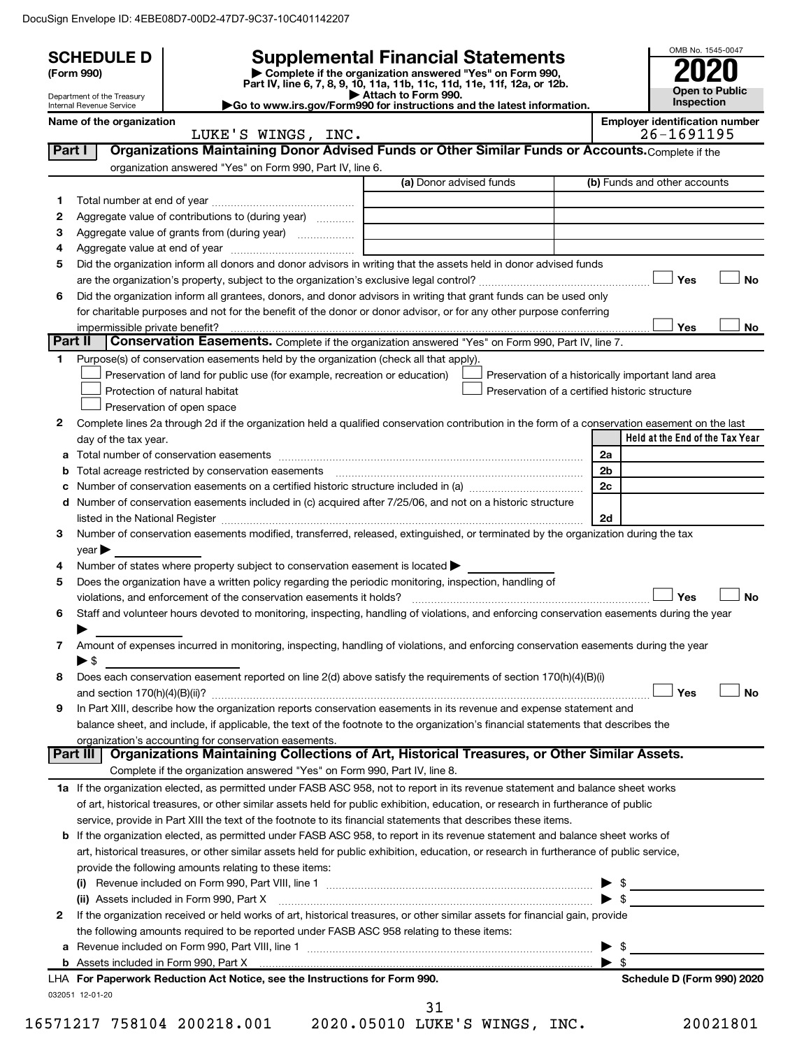DocuSign Envelope ID: 4EBE08D7-00D2-47D7-9C37-10C401142207

| <b>Supplemental Financial Statements</b><br><b>SCHEDULE D</b><br>Complete if the organization answered "Yes" on Form 990,<br>(Form 990) |                                                                                                                                                                                                                                |                                                                          |                                                                            |                                                                        |                          |                                                     | OMB No. 1545-0047     |  |
|-----------------------------------------------------------------------------------------------------------------------------------------|--------------------------------------------------------------------------------------------------------------------------------------------------------------------------------------------------------------------------------|--------------------------------------------------------------------------|----------------------------------------------------------------------------|------------------------------------------------------------------------|--------------------------|-----------------------------------------------------|-----------------------|--|
| Department of the Treasury                                                                                                              |                                                                                                                                                                                                                                | Part IV, line 6, 7, 8, 9, 10, 11a, 11b, 11c, 11d, 11e, 11f, 12a, or 12b. | Attach to Form 990.                                                        |                                                                        |                          |                                                     | <b>Open to Public</b> |  |
| Internal Revenue Service                                                                                                                |                                                                                                                                                                                                                                |                                                                          |                                                                            | Go to www.irs.gov/Form990 for instructions and the latest information. |                          | Inspection                                          |                       |  |
| Name of the organization                                                                                                                |                                                                                                                                                                                                                                |                                                                          |                                                                            |                                                                        |                          | <b>Employer identification number</b><br>26-1691195 |                       |  |
| Part I                                                                                                                                  | LUKE'S WINGS, INC.<br>Organizations Maintaining Donor Advised Funds or Other Similar Funds or Accounts. Complete if the                                                                                                        |                                                                          |                                                                            |                                                                        |                          |                                                     |                       |  |
|                                                                                                                                         | organization answered "Yes" on Form 990, Part IV, line 6.                                                                                                                                                                      |                                                                          |                                                                            |                                                                        |                          |                                                     |                       |  |
|                                                                                                                                         |                                                                                                                                                                                                                                |                                                                          | (a) Donor advised funds                                                    |                                                                        |                          | (b) Funds and other accounts                        |                       |  |
| 1                                                                                                                                       |                                                                                                                                                                                                                                |                                                                          |                                                                            |                                                                        |                          |                                                     |                       |  |
| 2                                                                                                                                       | Aggregate value of contributions to (during year)                                                                                                                                                                              |                                                                          | the control of the control of the control of the control of the control of |                                                                        |                          |                                                     |                       |  |
| З                                                                                                                                       |                                                                                                                                                                                                                                |                                                                          | the control of the control of the control of the control of the control of |                                                                        |                          |                                                     |                       |  |
| 4                                                                                                                                       |                                                                                                                                                                                                                                |                                                                          |                                                                            |                                                                        |                          |                                                     |                       |  |
| 5                                                                                                                                       | Did the organization inform all donors and donor advisors in writing that the assets held in donor advised funds                                                                                                               |                                                                          |                                                                            |                                                                        |                          |                                                     |                       |  |
|                                                                                                                                         |                                                                                                                                                                                                                                |                                                                          |                                                                            |                                                                        |                          | Yes                                                 |                       |  |
| 6                                                                                                                                       | Did the organization inform all grantees, donors, and donor advisors in writing that grant funds can be used only                                                                                                              |                                                                          |                                                                            |                                                                        |                          |                                                     |                       |  |
|                                                                                                                                         | for charitable purposes and not for the benefit of the donor or donor advisor, or for any other purpose conferring                                                                                                             |                                                                          |                                                                            |                                                                        |                          |                                                     |                       |  |
| Part II                                                                                                                                 | <b>Conservation Easements.</b> Complete if the organization answered "Yes" on Form 990, Part IV, line 7.                                                                                                                       |                                                                          |                                                                            |                                                                        |                          | <b>Yes</b>                                          |                       |  |
| 1.                                                                                                                                      | Purpose(s) of conservation easements held by the organization (check all that apply).                                                                                                                                          |                                                                          |                                                                            |                                                                        |                          |                                                     |                       |  |
|                                                                                                                                         | Preservation of land for public use (for example, recreation or education)                                                                                                                                                     |                                                                          |                                                                            | Preservation of a historically important land area                     |                          |                                                     |                       |  |
|                                                                                                                                         | Protection of natural habitat                                                                                                                                                                                                  |                                                                          |                                                                            | Preservation of a certified historic structure                         |                          |                                                     |                       |  |
|                                                                                                                                         | Preservation of open space                                                                                                                                                                                                     |                                                                          |                                                                            |                                                                        |                          |                                                     |                       |  |
| 2                                                                                                                                       | Complete lines 2a through 2d if the organization held a qualified conservation contribution in the form of a conservation easement on the last                                                                                 |                                                                          |                                                                            |                                                                        |                          |                                                     |                       |  |
| day of the tax year.                                                                                                                    |                                                                                                                                                                                                                                |                                                                          |                                                                            |                                                                        |                          | Held at the End of the Tax Year                     |                       |  |
|                                                                                                                                         |                                                                                                                                                                                                                                |                                                                          |                                                                            |                                                                        | 2a                       |                                                     |                       |  |
| b                                                                                                                                       | Total acreage restricted by conservation easements [11] matter conservation conservation of the set of the set of the set of the set of the set of the set of the set of the set of the set of the set of the set of the set o |                                                                          |                                                                            |                                                                        | 2 <sub>b</sub>           |                                                     |                       |  |
| c                                                                                                                                       | Number of conservation easements on a certified historic structure included in (a) manufacture included in (a)                                                                                                                 |                                                                          |                                                                            |                                                                        | 2c                       |                                                     |                       |  |
|                                                                                                                                         | d Number of conservation easements included in (c) acquired after 7/25/06, and not on a historic structure                                                                                                                     |                                                                          |                                                                            |                                                                        |                          |                                                     |                       |  |
|                                                                                                                                         |                                                                                                                                                                                                                                |                                                                          |                                                                            |                                                                        | 2d                       |                                                     |                       |  |
|                                                                                                                                         |                                                                                                                                                                                                                                |                                                                          |                                                                            |                                                                        |                          |                                                     |                       |  |
| 3                                                                                                                                       | Number of conservation easements modified, transferred, released, extinguished, or terminated by the organization during the tax                                                                                               |                                                                          |                                                                            |                                                                        |                          |                                                     |                       |  |
| $year \blacktriangleright$                                                                                                              |                                                                                                                                                                                                                                |                                                                          |                                                                            |                                                                        |                          |                                                     |                       |  |
| 4                                                                                                                                       | Number of states where property subject to conservation easement is located >                                                                                                                                                  |                                                                          |                                                                            |                                                                        |                          |                                                     |                       |  |
| 5                                                                                                                                       | Does the organization have a written policy regarding the periodic monitoring, inspection, handling of                                                                                                                         |                                                                          |                                                                            |                                                                        |                          |                                                     |                       |  |
|                                                                                                                                         |                                                                                                                                                                                                                                |                                                                          |                                                                            |                                                                        |                          | Yes                                                 |                       |  |
| 6                                                                                                                                       | Staff and volunteer hours devoted to monitoring, inspecting, handling of violations, and enforcing conservation easements during the year                                                                                      |                                                                          |                                                                            |                                                                        |                          |                                                     |                       |  |
|                                                                                                                                         |                                                                                                                                                                                                                                |                                                                          |                                                                            |                                                                        |                          |                                                     |                       |  |
| 7                                                                                                                                       | Amount of expenses incurred in monitoring, inspecting, handling of violations, and enforcing conservation easements during the year                                                                                            |                                                                          |                                                                            |                                                                        |                          |                                                     |                       |  |
| $\blacktriangleright$ \$                                                                                                                |                                                                                                                                                                                                                                |                                                                          |                                                                            |                                                                        |                          |                                                     |                       |  |
| 8                                                                                                                                       | Does each conservation easement reported on line 2(d) above satisfy the requirements of section 170(h)(4)(B)(i)                                                                                                                |                                                                          |                                                                            |                                                                        |                          | Yes                                                 |                       |  |
| 9                                                                                                                                       | In Part XIII, describe how the organization reports conservation easements in its revenue and expense statement and                                                                                                            |                                                                          |                                                                            |                                                                        |                          |                                                     |                       |  |
|                                                                                                                                         | balance sheet, and include, if applicable, the text of the footnote to the organization's financial statements that describes the                                                                                              |                                                                          |                                                                            |                                                                        |                          |                                                     |                       |  |
|                                                                                                                                         | organization's accounting for conservation easements.                                                                                                                                                                          |                                                                          |                                                                            |                                                                        |                          |                                                     |                       |  |
|                                                                                                                                         | Part III   Organizations Maintaining Collections of Art, Historical Treasures, or Other Similar Assets.                                                                                                                        |                                                                          |                                                                            |                                                                        |                          |                                                     |                       |  |
|                                                                                                                                         | Complete if the organization answered "Yes" on Form 990, Part IV, line 8.                                                                                                                                                      |                                                                          |                                                                            |                                                                        |                          |                                                     |                       |  |
|                                                                                                                                         | 1a If the organization elected, as permitted under FASB ASC 958, not to report in its revenue statement and balance sheet works                                                                                                |                                                                          |                                                                            |                                                                        |                          |                                                     |                       |  |
|                                                                                                                                         | of art, historical treasures, or other similar assets held for public exhibition, education, or research in furtherance of public                                                                                              |                                                                          |                                                                            |                                                                        |                          |                                                     |                       |  |
|                                                                                                                                         | service, provide in Part XIII the text of the footnote to its financial statements that describes these items.                                                                                                                 |                                                                          |                                                                            |                                                                        |                          |                                                     |                       |  |
|                                                                                                                                         | <b>b</b> If the organization elected, as permitted under FASB ASC 958, to report in its revenue statement and balance sheet works of                                                                                           |                                                                          |                                                                            |                                                                        |                          |                                                     |                       |  |
|                                                                                                                                         | art, historical treasures, or other similar assets held for public exhibition, education, or research in furtherance of public service,                                                                                        |                                                                          |                                                                            |                                                                        |                          |                                                     |                       |  |
|                                                                                                                                         | provide the following amounts relating to these items:                                                                                                                                                                         |                                                                          |                                                                            |                                                                        |                          |                                                     |                       |  |
|                                                                                                                                         | (i) Revenue included on Form 990, Part VIII, line 1 $\ldots$ $\ldots$ $\ldots$ $\ldots$ $\ldots$ $\ldots$ $\ldots$ $\ldots$ $\ldots$ $\qquad \qquad$ $\uparrow$ $\uparrow$                                                     |                                                                          |                                                                            |                                                                        |                          |                                                     |                       |  |
|                                                                                                                                         | (ii) Assets included in Form 990, Part X <b>manual construction control and construction</b> construction construction                                                                                                         |                                                                          |                                                                            |                                                                        |                          |                                                     |                       |  |
| 2                                                                                                                                       | If the organization received or held works of art, historical treasures, or other similar assets for financial gain, provide                                                                                                   |                                                                          |                                                                            |                                                                        |                          |                                                     |                       |  |
|                                                                                                                                         | the following amounts required to be reported under FASB ASC 958 relating to these items:                                                                                                                                      |                                                                          |                                                                            |                                                                        | $\blacktriangleright$ \$ |                                                     |                       |  |
|                                                                                                                                         |                                                                                                                                                                                                                                |                                                                          |                                                                            |                                                                        | $\triangleright$ s       |                                                     |                       |  |
|                                                                                                                                         | LHA For Paperwork Reduction Act Notice, see the Instructions for Form 990.                                                                                                                                                     |                                                                          |                                                                            |                                                                        |                          | Schedule D (Form 990) 2020                          |                       |  |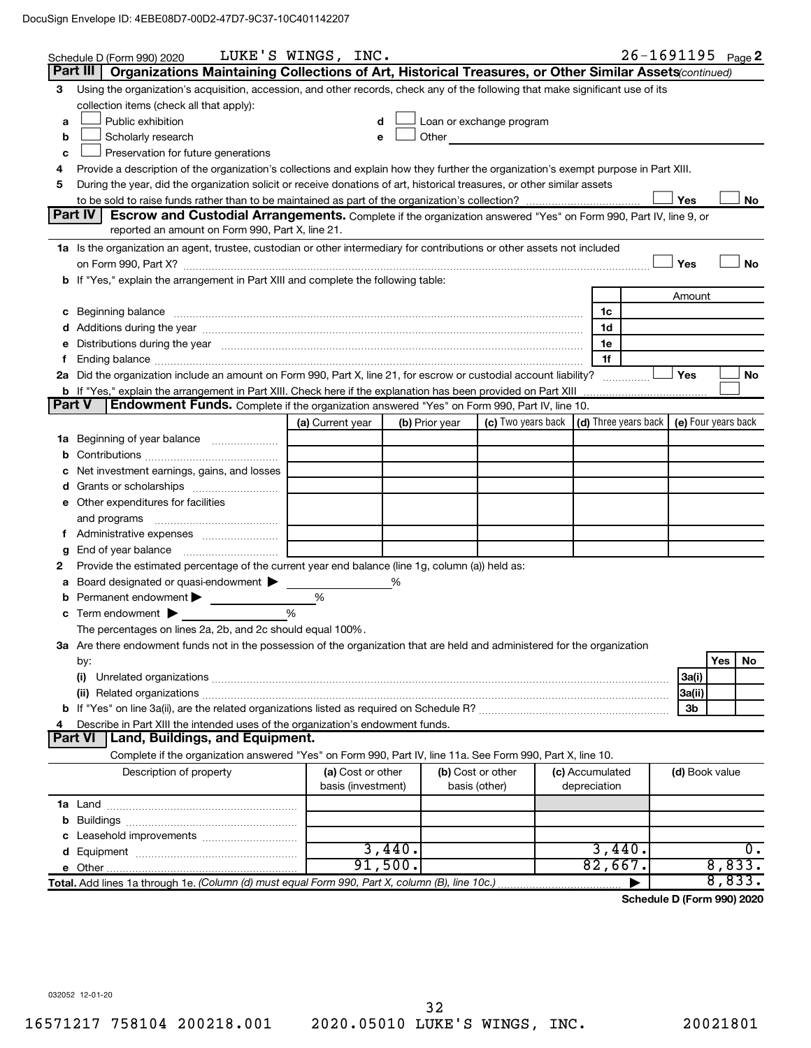DocuSign Envelope ID: 4EBE08D7-00D2-47D7-9C37-10C401142207

|    | Schedule D (Form 990) 2020<br>Part III   Organizations Maintaining Collections of Art, Historical Treasures, or Other Similar Assets (continued)                                                                                     | LUKE'S WINGS, INC.                      |         |                |                                                                                                                      |                                                         | 26-1691195 Page 2   |               |
|----|--------------------------------------------------------------------------------------------------------------------------------------------------------------------------------------------------------------------------------------|-----------------------------------------|---------|----------------|----------------------------------------------------------------------------------------------------------------------|---------------------------------------------------------|---------------------|---------------|
| 3  | Using the organization's acquisition, accession, and other records, check any of the following that make significant use of its                                                                                                      |                                         |         |                |                                                                                                                      |                                                         |                     |               |
|    | collection items (check all that apply):                                                                                                                                                                                             |                                         |         |                |                                                                                                                      |                                                         |                     |               |
| a  | Public exhibition                                                                                                                                                                                                                    |                                         | d       |                | Loan or exchange program                                                                                             |                                                         |                     |               |
| b  | Scholarly research                                                                                                                                                                                                                   |                                         | e       | Other          |                                                                                                                      |                                                         |                     |               |
|    | Preservation for future generations                                                                                                                                                                                                  |                                         |         |                | <u> 1980 - Jan Stein Stein Stein Stein Stein Stein Stein Stein Stein Stein Stein Stein Stein Stein Stein Stein S</u> |                                                         |                     |               |
| c  |                                                                                                                                                                                                                                      |                                         |         |                |                                                                                                                      |                                                         |                     |               |
| 4  | Provide a description of the organization's collections and explain how they further the organization's exempt purpose in Part XIII.                                                                                                 |                                         |         |                |                                                                                                                      |                                                         |                     |               |
| 5  | During the year, did the organization solicit or receive donations of art, historical treasures, or other similar assets                                                                                                             |                                         |         |                |                                                                                                                      |                                                         |                     |               |
|    |                                                                                                                                                                                                                                      |                                         |         |                |                                                                                                                      |                                                         | Yes                 | No            |
|    | <b>Part IV</b><br><b>Escrow and Custodial Arrangements.</b> Complete if the organization answered "Yes" on Form 990, Part IV, line 9, or                                                                                             |                                         |         |                |                                                                                                                      |                                                         |                     |               |
|    | reported an amount on Form 990, Part X, line 21.                                                                                                                                                                                     |                                         |         |                |                                                                                                                      |                                                         |                     |               |
|    | 1a Is the organization an agent, trustee, custodian or other intermediary for contributions or other assets not included                                                                                                             |                                         |         |                |                                                                                                                      |                                                         |                     |               |
|    |                                                                                                                                                                                                                                      |                                         |         |                |                                                                                                                      |                                                         | Yes                 | <b>No</b>     |
|    | b If "Yes," explain the arrangement in Part XIII and complete the following table:                                                                                                                                                   |                                         |         |                |                                                                                                                      |                                                         |                     |               |
|    |                                                                                                                                                                                                                                      |                                         |         |                |                                                                                                                      |                                                         | Amount              |               |
| с  | Beginning balance <b>contract to the contract of the contract of the contract of the contract of the contract of the contract of the contract of the contract of the contract of the contract of the contract of the contract of</b> |                                         |         |                |                                                                                                                      | 1c                                                      |                     |               |
|    |                                                                                                                                                                                                                                      |                                         |         |                |                                                                                                                      | 1d                                                      |                     |               |
|    | Distributions during the year manufactured and an account of the year manufactured and the year manufactured and the year manufactured and the year manufactured and the year manufactured and the year manufactured and the y       |                                         |         |                |                                                                                                                      | 1e                                                      |                     |               |
| f. |                                                                                                                                                                                                                                      |                                         |         |                |                                                                                                                      | 1f                                                      |                     |               |
|    | 2a Did the organization include an amount on Form 990, Part X, line 21, for escrow or custodial account liability?                                                                                                                   |                                         |         |                |                                                                                                                      |                                                         | Yes                 | No            |
|    |                                                                                                                                                                                                                                      |                                         |         |                |                                                                                                                      |                                                         |                     |               |
|    | Part V<br>Endowment Funds. Complete if the organization answered "Yes" on Form 990, Part IV, line 10.                                                                                                                                |                                         |         |                |                                                                                                                      |                                                         |                     |               |
|    |                                                                                                                                                                                                                                      | (a) Current year                        |         | (b) Prior year |                                                                                                                      | (c) Two years back $\vert$ (d) Three years back $\vert$ | (e) Four years back |               |
|    | 1a Beginning of year balance                                                                                                                                                                                                         |                                         |         |                |                                                                                                                      |                                                         |                     |               |
| b  |                                                                                                                                                                                                                                      |                                         |         |                |                                                                                                                      |                                                         |                     |               |
|    | c Net investment earnings, gains, and losses                                                                                                                                                                                         |                                         |         |                |                                                                                                                      |                                                         |                     |               |
| d  |                                                                                                                                                                                                                                      |                                         |         |                |                                                                                                                      |                                                         |                     |               |
|    | <b>e</b> Other expenditures for facilities                                                                                                                                                                                           |                                         |         |                |                                                                                                                      |                                                         |                     |               |
|    | and programs                                                                                                                                                                                                                         |                                         |         |                |                                                                                                                      |                                                         |                     |               |
| f. |                                                                                                                                                                                                                                      |                                         |         |                |                                                                                                                      |                                                         |                     |               |
| g  |                                                                                                                                                                                                                                      |                                         |         |                |                                                                                                                      |                                                         |                     |               |
| 2  | Provide the estimated percentage of the current year end balance (line 1g, column (a)) held as:                                                                                                                                      |                                         |         |                |                                                                                                                      |                                                         |                     |               |
|    | Board designated or quasi-endowment                                                                                                                                                                                                  |                                         | %       |                |                                                                                                                      |                                                         |                     |               |
|    | <b>b</b> Permanent endowment $\blacktriangleright$                                                                                                                                                                                   | %                                       |         |                |                                                                                                                      |                                                         |                     |               |
|    | c Term endowment $\blacktriangleright$                                                                                                                                                                                               | %                                       |         |                |                                                                                                                      |                                                         |                     |               |
|    |                                                                                                                                                                                                                                      |                                         |         |                |                                                                                                                      |                                                         |                     |               |
|    | The percentages on lines 2a, 2b, and 2c should equal 100%.                                                                                                                                                                           |                                         |         |                |                                                                                                                      |                                                         |                     |               |
|    | 3a Are there endowment funds not in the possession of the organization that are held and administered for the organization                                                                                                           |                                         |         |                |                                                                                                                      |                                                         |                     |               |
|    | by:                                                                                                                                                                                                                                  |                                         |         |                |                                                                                                                      |                                                         | Yes                 | No            |
|    |                                                                                                                                                                                                                                      |                                         |         |                |                                                                                                                      |                                                         | 3a(i)               |               |
|    |                                                                                                                                                                                                                                      |                                         |         |                |                                                                                                                      |                                                         | 3a(ii)              |               |
|    |                                                                                                                                                                                                                                      |                                         |         |                |                                                                                                                      |                                                         | 3b                  |               |
| 4  | Describe in Part XIII the intended uses of the organization's endowment funds.                                                                                                                                                       |                                         |         |                |                                                                                                                      |                                                         |                     |               |
|    | Part VI   Land, Buildings, and Equipment.                                                                                                                                                                                            |                                         |         |                |                                                                                                                      |                                                         |                     |               |
|    | Complete if the organization answered "Yes" on Form 990, Part IV, line 11a. See Form 990, Part X, line 10.                                                                                                                           |                                         |         |                |                                                                                                                      |                                                         |                     |               |
|    | Description of property                                                                                                                                                                                                              | (a) Cost or other<br>basis (investment) |         |                | (b) Cost or other<br>basis (other)                                                                                   | (c) Accumulated<br>depreciation                         | (d) Book value      |               |
|    |                                                                                                                                                                                                                                      |                                         |         |                |                                                                                                                      |                                                         |                     |               |
|    |                                                                                                                                                                                                                                      |                                         |         |                |                                                                                                                      |                                                         |                     |               |
|    |                                                                                                                                                                                                                                      |                                         |         |                |                                                                                                                      |                                                         |                     |               |
|    |                                                                                                                                                                                                                                      |                                         | 3,440.  |                |                                                                                                                      | 3,440.                                                  |                     | $\mathbf 0$ . |
|    |                                                                                                                                                                                                                                      |                                         | 91,500. |                |                                                                                                                      | 82,667.                                                 |                     | 8,833.        |
|    | Total. Add lines 1a through 1e. (Column (d) must equal Form 990, Part X, column (B), line 10c.)                                                                                                                                      |                                         |         |                |                                                                                                                      |                                                         |                     | 8,833.        |
|    |                                                                                                                                                                                                                                      |                                         |         |                |                                                                                                                      |                                                         |                     |               |

**Schedule D (Form 990) 2020**

032052 12-01-20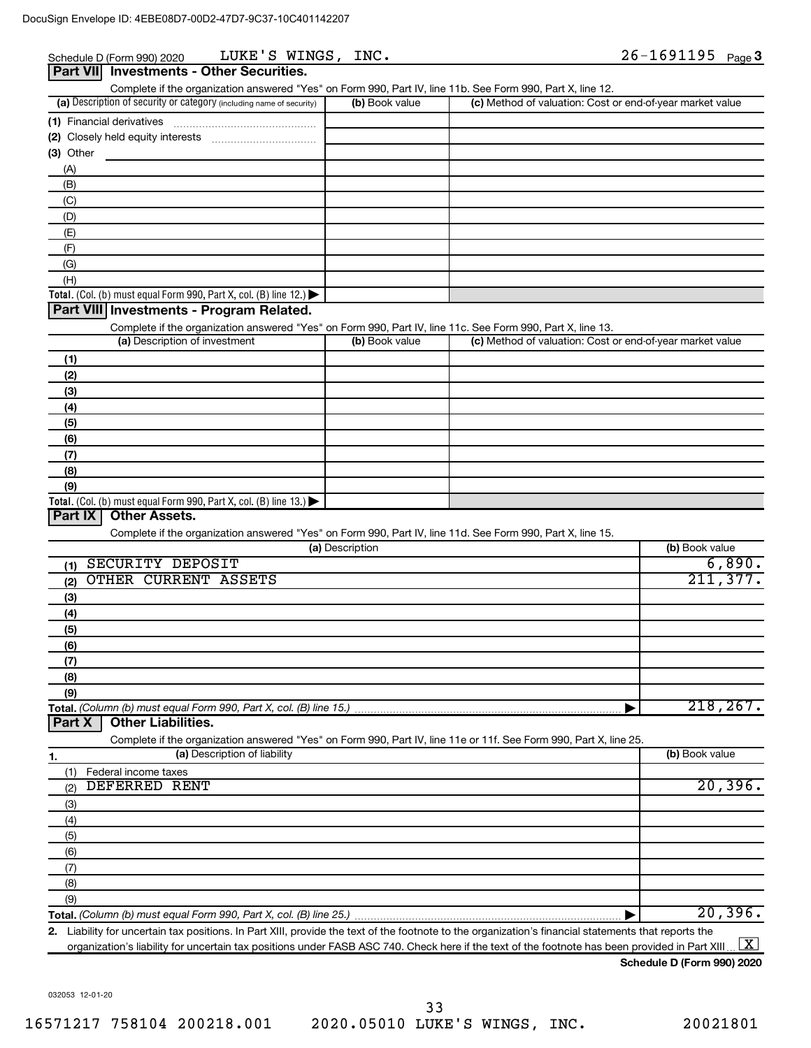| LUKE'S WINGS, INC.<br>Schedule D (Form 990) 2020                                                           |                 |                                                           | 26-1691195 Page 3 |
|------------------------------------------------------------------------------------------------------------|-----------------|-----------------------------------------------------------|-------------------|
| Part VII Investments - Other Securities.                                                                   |                 |                                                           |                   |
| Complete if the organization answered "Yes" on Form 990, Part IV, line 11b. See Form 990, Part X, line 12. |                 |                                                           |                   |
| (a) Description of security or category (including name of security)                                       | (b) Book value  | (c) Method of valuation: Cost or end-of-year market value |                   |
|                                                                                                            |                 |                                                           |                   |
|                                                                                                            |                 |                                                           |                   |
| $(3)$ Other                                                                                                |                 |                                                           |                   |
| (A)                                                                                                        |                 |                                                           |                   |
| (B)                                                                                                        |                 |                                                           |                   |
| (C)                                                                                                        |                 |                                                           |                   |
| (D)                                                                                                        |                 |                                                           |                   |
| (E)                                                                                                        |                 |                                                           |                   |
| (F)                                                                                                        |                 |                                                           |                   |
| (G)                                                                                                        |                 |                                                           |                   |
| (H)                                                                                                        |                 |                                                           |                   |
| Total. (Col. (b) must equal Form 990, Part X, col. (B) line 12.) $\blacktriangleright$                     |                 |                                                           |                   |
| Part VIII Investments - Program Related.                                                                   |                 |                                                           |                   |
| Complete if the organization answered "Yes" on Form 990, Part IV, line 11c. See Form 990, Part X, line 13. |                 |                                                           |                   |
| (a) Description of investment                                                                              | (b) Book value  | (c) Method of valuation: Cost or end-of-year market value |                   |
| (1)                                                                                                        |                 |                                                           |                   |
| (2)                                                                                                        |                 |                                                           |                   |
| (3)                                                                                                        |                 |                                                           |                   |
| (4)                                                                                                        |                 |                                                           |                   |
| (5)                                                                                                        |                 |                                                           |                   |
| (6)                                                                                                        |                 |                                                           |                   |
| (7)                                                                                                        |                 |                                                           |                   |
| (8)                                                                                                        |                 |                                                           |                   |
| (9)                                                                                                        |                 |                                                           |                   |
| Total. (Col. (b) must equal Form 990, Part X, col. (B) line 13.) $\blacktriangleright$                     |                 |                                                           |                   |
| <b>Other Assets.</b><br>Part IX                                                                            |                 |                                                           |                   |
| Complete if the organization answered "Yes" on Form 990, Part IV, line 11d. See Form 990, Part X, line 15. |                 |                                                           |                   |
|                                                                                                            | (a) Description |                                                           | (b) Book value    |
| <b>SECURITY DEPOSIT</b><br>(1)                                                                             |                 |                                                           | 6,890.            |
| <b>OTHER CURRENT ASSETS</b><br>(2)                                                                         |                 |                                                           | 211,377.          |
| (3)                                                                                                        |                 |                                                           |                   |
| (4)                                                                                                        |                 |                                                           |                   |
| (5)                                                                                                        |                 |                                                           |                   |
| (6)                                                                                                        |                 |                                                           |                   |
| (7)                                                                                                        |                 |                                                           |                   |
| (8)                                                                                                        |                 |                                                           |                   |

**Total.**  *(Column (b) must equal Form 990, Part X, col. (B) line 15.)* **Part X Other Liabilities.**

**(9)**

Complete if the organization answered "Yes" on Form 990, Part IV, line 11e or 11f. See Form 990, Part X, line 25.

|

| 1.            | (a) Description of liability | (b) Book value |
|---------------|------------------------------|----------------|
|               | Federal income taxes         |                |
| (2)           | DEFERRED RENT                | 20,396.        |
| $\frac{1}{2}$ |                              |                |
| (4)           |                              |                |
| (5)           |                              |                |
| (6)           |                              |                |
| (7)           |                              |                |
| (8)           |                              |                |
| (9)           |                              |                |
|               |                              | 20             |

**2.** Liability for uncertain tax positions. In Part XIII, provide the text of the footnote to the organization's financial statements that reports the organization's liability for uncertain tax positions under FASB ASC 740. Check here if the text of the footnote has been provided in Part XIII..  $\boxed{\text{X}}$ 

**Schedule D (Form 990) 2020**

032053 12-01-20

218,267.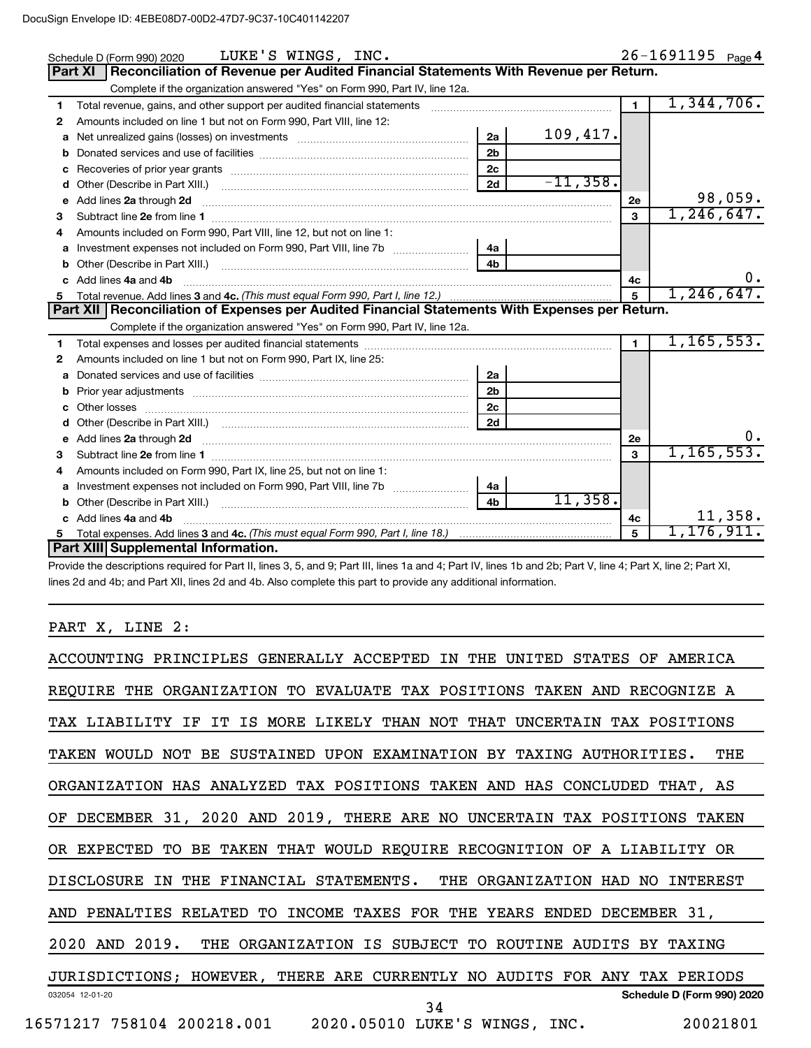|    | LUKE'S WINGS, INC.<br>Schedule D (Form 990) 2020                                                                         |                |            |                | 26-1691195 Page 4 |         |
|----|--------------------------------------------------------------------------------------------------------------------------|----------------|------------|----------------|-------------------|---------|
|    | Part XI   Reconciliation of Revenue per Audited Financial Statements With Revenue per Return.                            |                |            |                |                   |         |
|    | Complete if the organization answered "Yes" on Form 990, Part IV, line 12a.                                              |                |            |                |                   |         |
| 1  |                                                                                                                          |                |            | $\blacksquare$ | 1,344,706.        |         |
| 2  | Amounts included on line 1 but not on Form 990, Part VIII, line 12:                                                      |                |            |                |                   |         |
| a  |                                                                                                                          | 2a             | 109,417.   |                |                   |         |
| b  |                                                                                                                          | 2 <sub>b</sub> |            |                |                   |         |
| с  |                                                                                                                          | 2c             |            |                |                   |         |
| d  |                                                                                                                          | 2d             | $-11,358.$ |                |                   |         |
| е  | Add lines 2a through 2d                                                                                                  |                |            | <b>2e</b>      |                   | 98,059. |
| 3  |                                                                                                                          |                |            | 3              | 1, 246, 647.      |         |
| 4  | Amounts included on Form 990, Part VIII, line 12, but not on line 1:                                                     |                |            |                |                   |         |
| a  |                                                                                                                          | 4a l           |            |                |                   |         |
| b  |                                                                                                                          |                |            |                |                   |         |
| c  | Add lines 4a and 4b                                                                                                      |                |            | 4c             |                   | υ.      |
| 5  |                                                                                                                          |                |            | 5              | 1, 246, 647.      |         |
|    | Part XII   Reconciliation of Expenses per Audited Financial Statements With Expenses per Return.                         |                |            |                |                   |         |
|    | Complete if the organization answered "Yes" on Form 990, Part IV, line 12a.                                              |                |            |                |                   |         |
| 1  |                                                                                                                          |                |            | $\blacksquare$ | 1, 165, 553.      |         |
| 2  | Amounts included on line 1 but not on Form 990, Part IX, line 25:                                                        |                |            |                |                   |         |
| a  |                                                                                                                          | 2a             |            |                |                   |         |
| b  |                                                                                                                          | 2 <sub>b</sub> |            |                |                   |         |
|    |                                                                                                                          | 2 <sub>c</sub> |            |                |                   |         |
|    |                                                                                                                          | 2d             |            |                |                   |         |
| е  | Add lines 2a through 2d <b>must be a constructed as the constant of the constant of the constant of the construction</b> |                |            | 2е             |                   |         |
| 3  |                                                                                                                          |                |            | 3              | 1, 165, 553.      |         |
| 4  | Amounts included on Form 990, Part IX, line 25, but not on line 1:                                                       |                |            |                |                   |         |
| a  |                                                                                                                          | 4a             |            |                |                   |         |
|    |                                                                                                                          | 4 <sub>b</sub> | 11,358.    |                |                   |         |
|    |                                                                                                                          |                |            |                |                   | 11,358. |
|    | Add lines 4a and 4b                                                                                                      |                |            | 4с             |                   |         |
| 5. | Part XIII Supplemental Information.                                                                                      |                |            | 5              | 1,176,911.        |         |

Provide the descriptions required for Part II, lines 3, 5, and 9; Part III, lines 1a and 4; Part IV, lines 1b and 2b; Part V, line 4; Part X, line 2; Part XI, lines 2d and 4b; and Part XII, lines 2d and 4b. Also complete this part to provide any additional information.

## PART X, LINE 2:

| ACCOUNTING PRINCIPLES GENERALLY ACCEPTED IN THE UNITED STATES OF AMERICA    |
|-----------------------------------------------------------------------------|
| REQUIRE THE ORGANIZATION TO EVALUATE TAX POSITIONS TAKEN AND RECOGNIZE A    |
| TAX LIABILITY IF IT IS MORE LIKELY THAN NOT THAT UNCERTAIN TAX POSITIONS    |
| TAKEN WOULD NOT BE SUSTAINED UPON EXAMINATION BY TAXING AUTHORITIES.<br>THE |
| ORGANIZATION HAS ANALYZED TAX POSITIONS TAKEN AND HAS CONCLUDED THAT, AS    |
| OF DECEMBER 31, 2020 AND 2019, THERE ARE NO UNCERTAIN TAX POSITIONS TAKEN   |
| TO BE TAKEN THAT WOULD REQUIRE RECOGNITION OF A LIABILITY OR<br>OR EXPECTED |
| DISCLOSURE IN THE FINANCIAL STATEMENTS. THE ORGANIZATION HAD NO INTEREST    |
| AND PENALTIES RELATED TO INCOME TAXES FOR THE YEARS ENDED DECEMBER 31,      |
| 2020 AND 2019.<br>THE ORGANIZATION IS SUBJECT TO ROUTINE AUDITS BY TAXING   |
| JURISDICTIONS; HOWEVER, THERE ARE CURRENTLY NO AUDITS FOR ANY TAX PERIODS   |
| Schedule D (Form 990) 2020<br>032054 12-01-20<br>34                         |
| 16571217 758104 200218.001 2020.05010 LUKE'S WINGS, INC.<br>20021801        |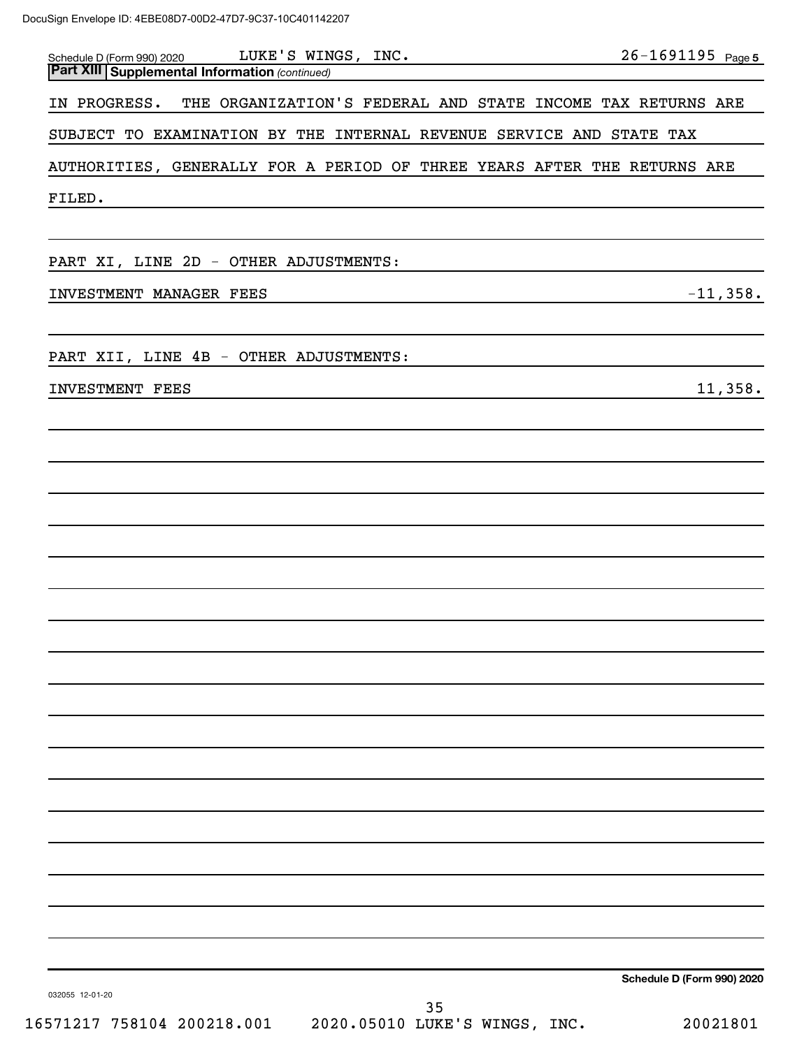| LUKE'S WINGS, INC.<br>Schedule D (Form 990) 2020                            | 26-1691195 Page 5          |
|-----------------------------------------------------------------------------|----------------------------|
| Part XIII Supplemental Information (continued)                              |                            |
| THE ORGANIZATION'S FEDERAL AND STATE INCOME TAX RETURNS ARE<br>IN PROGRESS. |                            |
| SUBJECT TO EXAMINATION BY THE INTERNAL REVENUE SERVICE AND STATE TAX        |                            |
| AUTHORITIES, GENERALLY FOR A PERIOD OF THREE YEARS AFTER THE RETURNS ARE    |                            |
| FILED.                                                                      |                            |
|                                                                             |                            |
|                                                                             |                            |
| PART XI, LINE 2D - OTHER ADJUSTMENTS:                                       |                            |
| INVESTMENT MANAGER FEES                                                     | $-11,358.$                 |
|                                                                             |                            |
| PART XII, LINE 4B - OTHER ADJUSTMENTS:                                      |                            |
| <b>INVESTMENT FEES</b>                                                      | 11,358.                    |
|                                                                             |                            |
|                                                                             |                            |
|                                                                             |                            |
|                                                                             |                            |
|                                                                             |                            |
|                                                                             |                            |
|                                                                             |                            |
|                                                                             |                            |
|                                                                             |                            |
|                                                                             |                            |
|                                                                             |                            |
|                                                                             |                            |
|                                                                             |                            |
|                                                                             |                            |
|                                                                             |                            |
|                                                                             |                            |
|                                                                             |                            |
|                                                                             |                            |
|                                                                             |                            |
|                                                                             |                            |
|                                                                             |                            |
|                                                                             |                            |
| 032055 12-01-20                                                             | Schedule D (Form 990) 2020 |
| 35<br>16571217 758104 200218.001<br>2020.05010 LUKE'S WINGS, INC.           | 20021801                   |
|                                                                             |                            |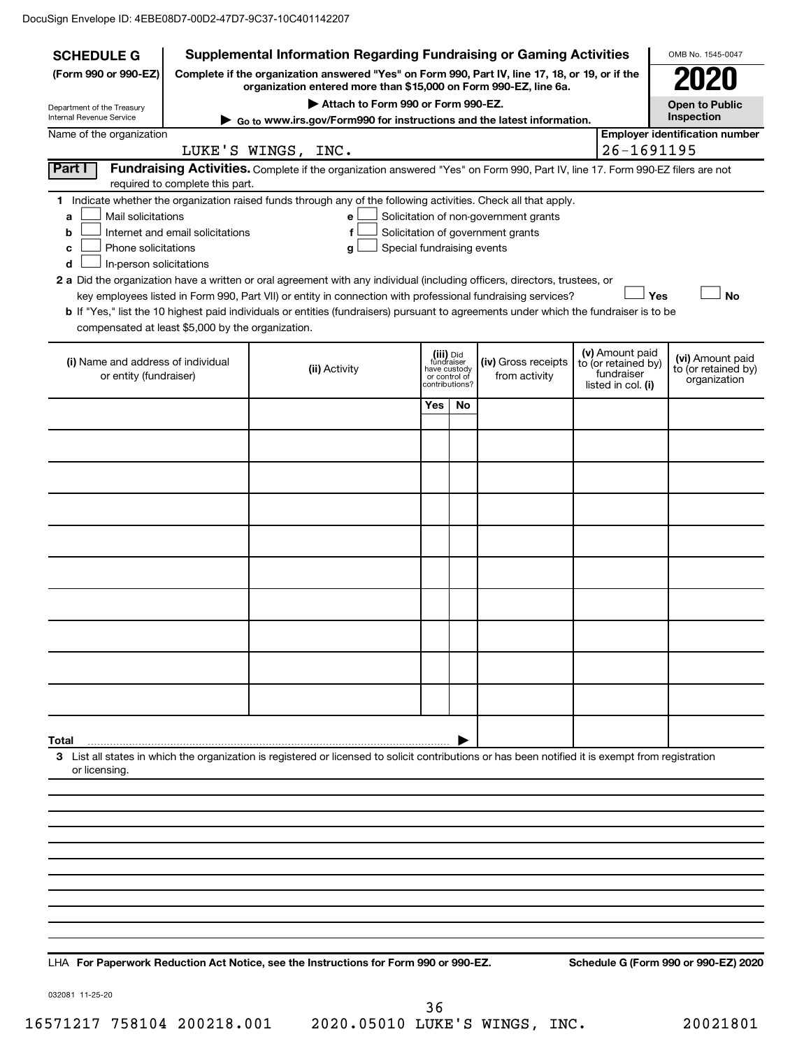| <b>SCHEDULE G</b>                                                                                                                                                                                                                                                                                                                                                                                                                                                                                                                                                                                                                                                                                                                                                                                                                    | <b>Supplemental Information Regarding Fundraising or Gaming Activities</b>                                                                                          |  |                                                                                                                                                    |                                                          |                |                                      |  | OMB No. 1545-0047                                                          |                                                         |
|--------------------------------------------------------------------------------------------------------------------------------------------------------------------------------------------------------------------------------------------------------------------------------------------------------------------------------------------------------------------------------------------------------------------------------------------------------------------------------------------------------------------------------------------------------------------------------------------------------------------------------------------------------------------------------------------------------------------------------------------------------------------------------------------------------------------------------------|---------------------------------------------------------------------------------------------------------------------------------------------------------------------|--|----------------------------------------------------------------------------------------------------------------------------------------------------|----------------------------------------------------------|----------------|--------------------------------------|--|----------------------------------------------------------------------------|---------------------------------------------------------|
| (Form 990 or 990-EZ)                                                                                                                                                                                                                                                                                                                                                                                                                                                                                                                                                                                                                                                                                                                                                                                                                 | Complete if the organization answered "Yes" on Form 990, Part IV, line 17, 18, or 19, or if the<br>organization entered more than \$15,000 on Form 990-EZ, line 6a. |  |                                                                                                                                                    |                                                          |                |                                      |  |                                                                            |                                                         |
|                                                                                                                                                                                                                                                                                                                                                                                                                                                                                                                                                                                                                                                                                                                                                                                                                                      |                                                                                                                                                                     |  | Attach to Form 990 or Form 990-EZ.                                                                                                                 |                                                          |                |                                      |  |                                                                            | <b>Open to Public</b>                                   |
| Department of the Treasury<br>Internal Revenue Service                                                                                                                                                                                                                                                                                                                                                                                                                                                                                                                                                                                                                                                                                                                                                                               |                                                                                                                                                                     |  | ► Go to www.irs.gov/Form990 for instructions and the latest information.                                                                           |                                                          |                |                                      |  |                                                                            | Inspection                                              |
| Name of the organization                                                                                                                                                                                                                                                                                                                                                                                                                                                                                                                                                                                                                                                                                                                                                                                                             | LUKE'S WINGS, INC.                                                                                                                                                  |  |                                                                                                                                                    |                                                          |                |                                      |  | 26-1691195                                                                 | <b>Employer identification number</b>                   |
| Part I<br>Fundraising Activities. Complete if the organization answered "Yes" on Form 990, Part IV, line 17. Form 990-EZ filers are not<br>required to complete this part.                                                                                                                                                                                                                                                                                                                                                                                                                                                                                                                                                                                                                                                           |                                                                                                                                                                     |  |                                                                                                                                                    |                                                          |                |                                      |  |                                                                            |                                                         |
| 1 Indicate whether the organization raised funds through any of the following activities. Check all that apply.<br>Mail solicitations<br>Solicitation of non-government grants<br>a<br>е<br>Internet and email solicitations<br>Solicitation of government grants<br>b<br>Phone solicitations<br>Special fundraising events<br>c<br>g<br>In-person solicitations<br>d<br>2 a Did the organization have a written or oral agreement with any individual (including officers, directors, trustees, or<br><b>No</b><br>key employees listed in Form 990, Part VII) or entity in connection with professional fundraising services?<br>Yes<br>b If "Yes," list the 10 highest paid individuals or entities (fundraisers) pursuant to agreements under which the fundraiser is to be<br>compensated at least \$5,000 by the organization. |                                                                                                                                                                     |  |                                                                                                                                                    |                                                          |                |                                      |  |                                                                            |                                                         |
| (i) Name and address of individual<br>or entity (fundraiser)                                                                                                                                                                                                                                                                                                                                                                                                                                                                                                                                                                                                                                                                                                                                                                         |                                                                                                                                                                     |  | (ii) Activity                                                                                                                                      | (iii) Did<br>fundraiser<br>have custody<br>or control of | contributions? | (iv) Gross receipts<br>from activity |  | (v) Amount paid<br>to (or retained by)<br>fundraiser<br>listed in col. (i) | (vi) Amount paid<br>to (or retained by)<br>organization |
|                                                                                                                                                                                                                                                                                                                                                                                                                                                                                                                                                                                                                                                                                                                                                                                                                                      |                                                                                                                                                                     |  |                                                                                                                                                    | Yes                                                      | No             |                                      |  |                                                                            |                                                         |
|                                                                                                                                                                                                                                                                                                                                                                                                                                                                                                                                                                                                                                                                                                                                                                                                                                      |                                                                                                                                                                     |  |                                                                                                                                                    |                                                          |                |                                      |  |                                                                            |                                                         |
|                                                                                                                                                                                                                                                                                                                                                                                                                                                                                                                                                                                                                                                                                                                                                                                                                                      |                                                                                                                                                                     |  |                                                                                                                                                    |                                                          |                |                                      |  |                                                                            |                                                         |
|                                                                                                                                                                                                                                                                                                                                                                                                                                                                                                                                                                                                                                                                                                                                                                                                                                      |                                                                                                                                                                     |  |                                                                                                                                                    |                                                          |                |                                      |  |                                                                            |                                                         |
|                                                                                                                                                                                                                                                                                                                                                                                                                                                                                                                                                                                                                                                                                                                                                                                                                                      |                                                                                                                                                                     |  |                                                                                                                                                    |                                                          |                |                                      |  |                                                                            |                                                         |
|                                                                                                                                                                                                                                                                                                                                                                                                                                                                                                                                                                                                                                                                                                                                                                                                                                      |                                                                                                                                                                     |  |                                                                                                                                                    |                                                          |                |                                      |  |                                                                            |                                                         |
|                                                                                                                                                                                                                                                                                                                                                                                                                                                                                                                                                                                                                                                                                                                                                                                                                                      |                                                                                                                                                                     |  |                                                                                                                                                    |                                                          |                |                                      |  |                                                                            |                                                         |
|                                                                                                                                                                                                                                                                                                                                                                                                                                                                                                                                                                                                                                                                                                                                                                                                                                      |                                                                                                                                                                     |  |                                                                                                                                                    |                                                          |                |                                      |  |                                                                            |                                                         |
|                                                                                                                                                                                                                                                                                                                                                                                                                                                                                                                                                                                                                                                                                                                                                                                                                                      |                                                                                                                                                                     |  |                                                                                                                                                    |                                                          |                |                                      |  |                                                                            |                                                         |
|                                                                                                                                                                                                                                                                                                                                                                                                                                                                                                                                                                                                                                                                                                                                                                                                                                      |                                                                                                                                                                     |  |                                                                                                                                                    |                                                          |                |                                      |  |                                                                            |                                                         |
|                                                                                                                                                                                                                                                                                                                                                                                                                                                                                                                                                                                                                                                                                                                                                                                                                                      |                                                                                                                                                                     |  |                                                                                                                                                    |                                                          |                |                                      |  |                                                                            |                                                         |
| Total                                                                                                                                                                                                                                                                                                                                                                                                                                                                                                                                                                                                                                                                                                                                                                                                                                |                                                                                                                                                                     |  |                                                                                                                                                    |                                                          |                |                                      |  |                                                                            |                                                         |
| or licensing.                                                                                                                                                                                                                                                                                                                                                                                                                                                                                                                                                                                                                                                                                                                                                                                                                        |                                                                                                                                                                     |  | 3 List all states in which the organization is registered or licensed to solicit contributions or has been notified it is exempt from registration |                                                          |                |                                      |  |                                                                            |                                                         |
|                                                                                                                                                                                                                                                                                                                                                                                                                                                                                                                                                                                                                                                                                                                                                                                                                                      |                                                                                                                                                                     |  |                                                                                                                                                    |                                                          |                |                                      |  |                                                                            |                                                         |
|                                                                                                                                                                                                                                                                                                                                                                                                                                                                                                                                                                                                                                                                                                                                                                                                                                      |                                                                                                                                                                     |  |                                                                                                                                                    |                                                          |                |                                      |  |                                                                            |                                                         |
|                                                                                                                                                                                                                                                                                                                                                                                                                                                                                                                                                                                                                                                                                                                                                                                                                                      |                                                                                                                                                                     |  |                                                                                                                                                    |                                                          |                |                                      |  |                                                                            |                                                         |
|                                                                                                                                                                                                                                                                                                                                                                                                                                                                                                                                                                                                                                                                                                                                                                                                                                      |                                                                                                                                                                     |  |                                                                                                                                                    |                                                          |                |                                      |  |                                                                            |                                                         |
|                                                                                                                                                                                                                                                                                                                                                                                                                                                                                                                                                                                                                                                                                                                                                                                                                                      |                                                                                                                                                                     |  |                                                                                                                                                    |                                                          |                |                                      |  |                                                                            |                                                         |
|                                                                                                                                                                                                                                                                                                                                                                                                                                                                                                                                                                                                                                                                                                                                                                                                                                      |                                                                                                                                                                     |  |                                                                                                                                                    |                                                          |                |                                      |  |                                                                            |                                                         |
|                                                                                                                                                                                                                                                                                                                                                                                                                                                                                                                                                                                                                                                                                                                                                                                                                                      |                                                                                                                                                                     |  |                                                                                                                                                    |                                                          |                |                                      |  |                                                                            |                                                         |
|                                                                                                                                                                                                                                                                                                                                                                                                                                                                                                                                                                                                                                                                                                                                                                                                                                      |                                                                                                                                                                     |  |                                                                                                                                                    |                                                          |                |                                      |  |                                                                            |                                                         |

**For Paperwork Reduction Act Notice, see the Instructions for Form 990 or 990-EZ. Schedule G (Form 990 or 990-EZ) 2020** LHA

032081 11-25-20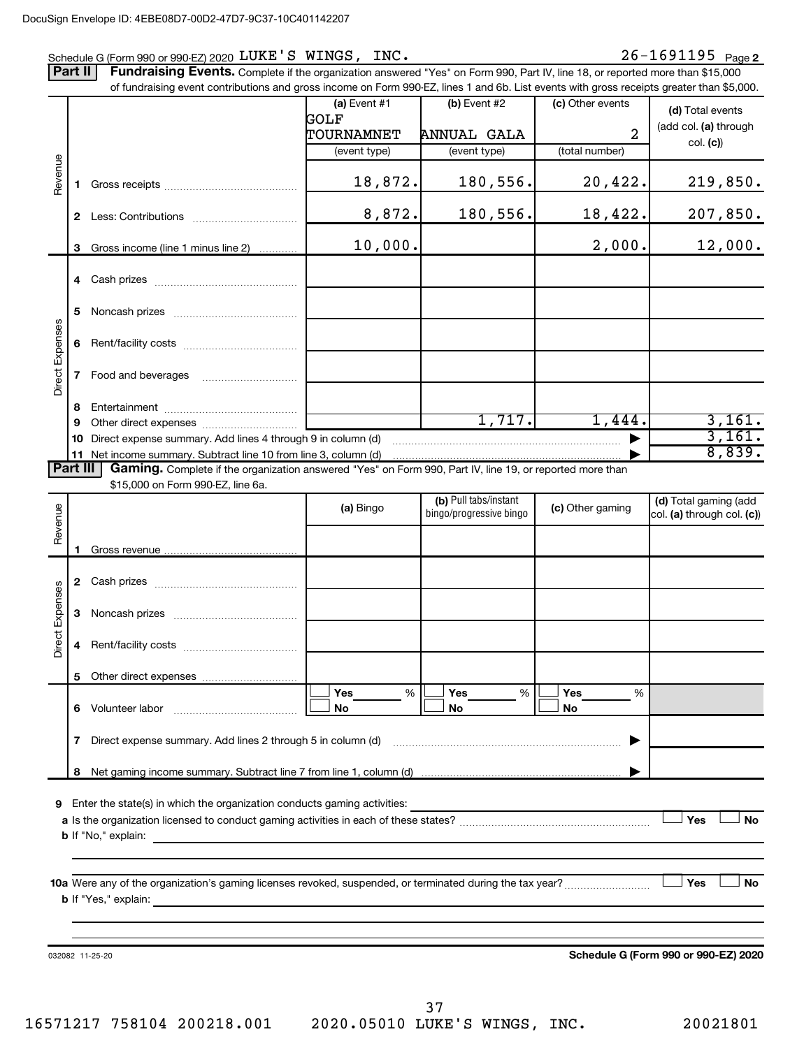|                 | Schedule G (Form 990 or 990-EZ) 2020 LUKE'S WINGS, INC.<br>Part II<br>Fundraising Events. Complete if the organization answered "Yes" on Form 990, Part IV, line 18, or reported more than \$15,000<br>of fundraising event contributions and gross income on Form 990-EZ, lines 1 and 6b. List events with gross receipts greater than \$5,000. |                                      |                                               |                                         | 26-1691195 Page 2                                     |
|-----------------|--------------------------------------------------------------------------------------------------------------------------------------------------------------------------------------------------------------------------------------------------------------------------------------------------------------------------------------------------|--------------------------------------|-----------------------------------------------|-----------------------------------------|-------------------------------------------------------|
|                 |                                                                                                                                                                                                                                                                                                                                                  | (a) Event $#1$<br>GOLF<br>TOURNAMNET | $(b)$ Event #2<br>ANNUAL GALA<br>(event type) | (c) Other events<br>2<br>(total number) | (d) Total events<br>(add col. (a) through<br>col. (c) |
| Revenue         |                                                                                                                                                                                                                                                                                                                                                  | (event type)                         |                                               |                                         |                                                       |
|                 |                                                                                                                                                                                                                                                                                                                                                  | 18,872.                              | 180,556.                                      | 20,422.                                 | 219,850.                                              |
|                 |                                                                                                                                                                                                                                                                                                                                                  | 8,872.                               | 180,556.                                      | 18,422.                                 | 207,850.                                              |
|                 | 3 Gross income (line 1 minus line 2)                                                                                                                                                                                                                                                                                                             | 10,000.                              |                                               | 2,000.                                  | 12,000.                                               |
|                 |                                                                                                                                                                                                                                                                                                                                                  |                                      |                                               |                                         |                                                       |
|                 | 5                                                                                                                                                                                                                                                                                                                                                |                                      |                                               |                                         |                                                       |
|                 |                                                                                                                                                                                                                                                                                                                                                  |                                      |                                               |                                         |                                                       |
| Direct Expenses | Food and beverages                                                                                                                                                                                                                                                                                                                               |                                      |                                               |                                         |                                                       |
|                 |                                                                                                                                                                                                                                                                                                                                                  |                                      |                                               |                                         |                                                       |
|                 |                                                                                                                                                                                                                                                                                                                                                  |                                      | 1,717.                                        | 1,444.                                  | 3,161.                                                |
|                 | 10 Direct expense summary. Add lines 4 through 9 in column (d)<br>11 Net income summary. Subtract line 10 from line 3, column (d)                                                                                                                                                                                                                |                                      |                                               |                                         | 3,161.<br>8,839.                                      |
|                 | Part III<br>Gaming. Complete if the organization answered "Yes" on Form 990, Part IV, line 19, or reported more than                                                                                                                                                                                                                             |                                      |                                               |                                         |                                                       |
|                 | \$15,000 on Form 990-EZ, line 6a.                                                                                                                                                                                                                                                                                                                |                                      | (b) Pull tabs/instant                         |                                         |                                                       |
|                 |                                                                                                                                                                                                                                                                                                                                                  | (a) Bingo                            | bingo/progressive bingo                       | (c) Other gaming                        | (d) Total gaming (add<br>col. (a) through col. (c))   |
| Revenue         |                                                                                                                                                                                                                                                                                                                                                  |                                      |                                               |                                         |                                                       |
|                 |                                                                                                                                                                                                                                                                                                                                                  |                                      |                                               |                                         |                                                       |
|                 | <b>2</b> Cash prizes                                                                                                                                                                                                                                                                                                                             |                                      |                                               |                                         |                                                       |
| nses            | 3                                                                                                                                                                                                                                                                                                                                                |                                      |                                               |                                         |                                                       |
| Direct Expe     | 4                                                                                                                                                                                                                                                                                                                                                |                                      |                                               |                                         |                                                       |
|                 |                                                                                                                                                                                                                                                                                                                                                  |                                      |                                               |                                         |                                                       |
|                 |                                                                                                                                                                                                                                                                                                                                                  |                                      |                                               |                                         |                                                       |
|                 | 5                                                                                                                                                                                                                                                                                                                                                |                                      |                                               |                                         |                                                       |
|                 |                                                                                                                                                                                                                                                                                                                                                  | Yes<br>%<br>No                       | Yes<br>%<br>No                                | Yes<br>%<br>No                          |                                                       |
|                 | 7                                                                                                                                                                                                                                                                                                                                                |                                      |                                               | ▶                                       |                                                       |
|                 |                                                                                                                                                                                                                                                                                                                                                  |                                      |                                               |                                         |                                                       |
|                 | 8                                                                                                                                                                                                                                                                                                                                                |                                      |                                               |                                         |                                                       |
| 9               | Enter the state(s) in which the organization conducts gaming activities:                                                                                                                                                                                                                                                                         |                                      |                                               |                                         |                                                       |
|                 |                                                                                                                                                                                                                                                                                                                                                  |                                      |                                               |                                         | Yes<br>No                                             |
|                 | <b>b</b> If "No," explain:<br><u> 1980 - Johann John Stein, marwolaethau (b. 1980)</u>                                                                                                                                                                                                                                                           |                                      |                                               |                                         |                                                       |
|                 |                                                                                                                                                                                                                                                                                                                                                  |                                      |                                               |                                         |                                                       |
|                 | b If "Yes," explain:<br>and the control of the control of the control of the control of the control of the control of the control of the                                                                                                                                                                                                         |                                      |                                               |                                         | Yes<br>No                                             |
|                 |                                                                                                                                                                                                                                                                                                                                                  |                                      |                                               |                                         |                                                       |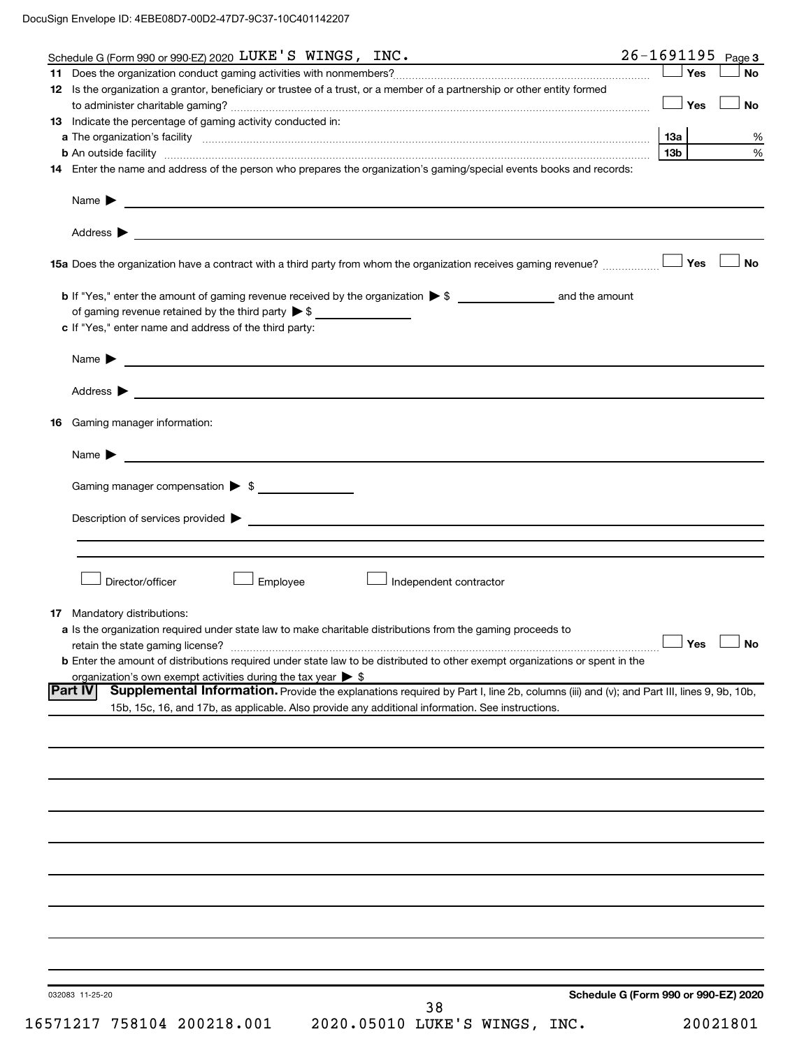|    | Schedule G (Form 990 or 990-EZ) 2020 LUKE 'S WINGS, INC.                                                                                                                                                                       |     |            | 26-1691195 Page 3 |
|----|--------------------------------------------------------------------------------------------------------------------------------------------------------------------------------------------------------------------------------|-----|------------|-------------------|
|    |                                                                                                                                                                                                                                |     | Yes        | <b>No</b>         |
|    | 12 Is the organization a grantor, beneficiary or trustee of a trust, or a member of a partnership or other entity formed                                                                                                       |     |            |                   |
|    |                                                                                                                                                                                                                                |     | $\Box$ Yes | No                |
|    | 13 Indicate the percentage of gaming activity conducted in:                                                                                                                                                                    |     |            |                   |
|    |                                                                                                                                                                                                                                | 13а |            | %                 |
|    |                                                                                                                                                                                                                                | 13b |            | %                 |
|    | 14 Enter the name and address of the person who prepares the organization's gaming/special events books and records:                                                                                                           |     |            |                   |
|    |                                                                                                                                                                                                                                |     |            |                   |
|    |                                                                                                                                                                                                                                |     |            |                   |
|    | <b>15a</b> Does the organization have a contract with a third party from whom the organization receives gaming revenue? $\ldots$                                                                                               |     |            | <b>No</b>         |
|    |                                                                                                                                                                                                                                |     |            |                   |
|    | of gaming revenue retained by the third party $\triangleright$ \$                                                                                                                                                              |     |            |                   |
|    | c If "Yes," enter name and address of the third party:                                                                                                                                                                         |     |            |                   |
|    | Name $\blacktriangleright$ $\lrcorner$                                                                                                                                                                                         |     |            |                   |
|    | Address $\triangleright$                                                                                                                                                                                                       |     |            |                   |
| 16 | Gaming manager information:                                                                                                                                                                                                    |     |            |                   |
|    | Name $\blacktriangleright$                                                                                                                                                                                                     |     |            |                   |
|    |                                                                                                                                                                                                                                |     |            |                   |
|    | Gaming manager compensation $\triangleright$ \$                                                                                                                                                                                |     |            |                   |
|    | Description of services provided states and the contract of the contract of the contract of the contract of the contract of the contract of the contract of the contract of the contract of the contract of the contract of th |     |            |                   |
|    |                                                                                                                                                                                                                                |     |            |                   |
|    |                                                                                                                                                                                                                                |     |            |                   |
|    |                                                                                                                                                                                                                                |     |            |                   |
|    | Director/officer<br>Employee<br>Independent contractor                                                                                                                                                                         |     |            |                   |
| 17 | Mandatory distributions:                                                                                                                                                                                                       |     |            |                   |
|    | a Is the organization required under state law to make charitable distributions from the gaming proceeds to                                                                                                                    |     |            |                   |
|    | retain the state gaming license? $\Box$ No                                                                                                                                                                                     |     |            |                   |
|    | <b>b</b> Enter the amount of distributions required under state law to be distributed to other exempt organizations or spent in the                                                                                            |     |            |                   |
|    | organization's own exempt activities during the tax year $\triangleright$ \$                                                                                                                                                   |     |            |                   |
|    | Supplemental Information. Provide the explanations required by Part I, line 2b, columns (iii) and (v); and Part III, lines 9, 9b, 10b,<br>Part IV                                                                              |     |            |                   |
|    | 15b, 15c, 16, and 17b, as applicable. Also provide any additional information. See instructions.                                                                                                                               |     |            |                   |
|    |                                                                                                                                                                                                                                |     |            |                   |
|    |                                                                                                                                                                                                                                |     |            |                   |
|    |                                                                                                                                                                                                                                |     |            |                   |
|    |                                                                                                                                                                                                                                |     |            |                   |
|    |                                                                                                                                                                                                                                |     |            |                   |
|    |                                                                                                                                                                                                                                |     |            |                   |
|    |                                                                                                                                                                                                                                |     |            |                   |
|    |                                                                                                                                                                                                                                |     |            |                   |
|    |                                                                                                                                                                                                                                |     |            |                   |
|    |                                                                                                                                                                                                                                |     |            |                   |
|    | Schedule G (Form 990 or 990-EZ) 2020<br>032083 11-25-20<br>38                                                                                                                                                                  |     |            |                   |
|    | 16571217 758104 200218.001<br>2020.05010 LUKE'S WINGS, INC.                                                                                                                                                                    |     |            | 20021801          |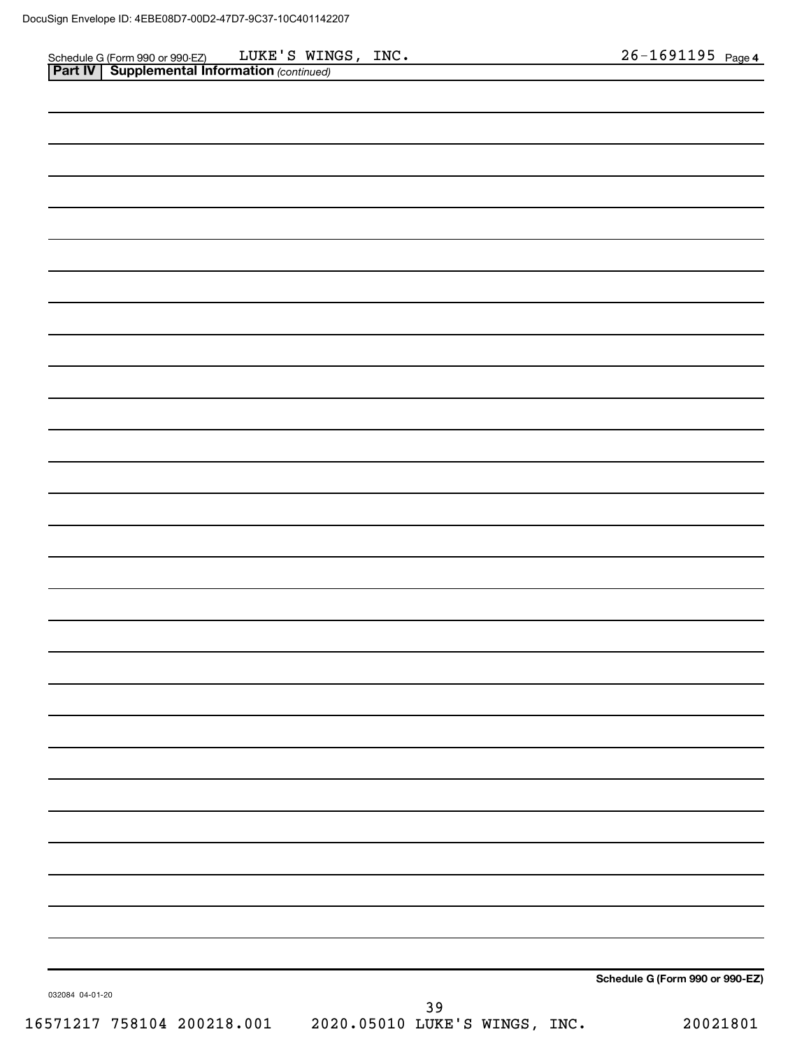| Schedule G (Form 990 or 990-EZ) LUKE'S WIN<br><b>Part IV   Supplemental Information</b> (continued) | LUKE'S WINGS, INC.                  | 26-1691195 Page 4               |
|-----------------------------------------------------------------------------------------------------|-------------------------------------|---------------------------------|
|                                                                                                     |                                     |                                 |
|                                                                                                     |                                     |                                 |
|                                                                                                     |                                     |                                 |
|                                                                                                     |                                     |                                 |
|                                                                                                     |                                     |                                 |
|                                                                                                     |                                     |                                 |
|                                                                                                     |                                     |                                 |
|                                                                                                     |                                     |                                 |
|                                                                                                     |                                     |                                 |
|                                                                                                     |                                     |                                 |
|                                                                                                     |                                     |                                 |
|                                                                                                     |                                     |                                 |
|                                                                                                     |                                     |                                 |
|                                                                                                     |                                     |                                 |
|                                                                                                     |                                     |                                 |
|                                                                                                     |                                     |                                 |
|                                                                                                     |                                     |                                 |
|                                                                                                     |                                     |                                 |
|                                                                                                     |                                     |                                 |
|                                                                                                     |                                     |                                 |
|                                                                                                     |                                     |                                 |
|                                                                                                     |                                     |                                 |
|                                                                                                     |                                     |                                 |
|                                                                                                     |                                     |                                 |
|                                                                                                     |                                     |                                 |
|                                                                                                     |                                     |                                 |
|                                                                                                     |                                     |                                 |
|                                                                                                     |                                     |                                 |
|                                                                                                     |                                     |                                 |
|                                                                                                     |                                     |                                 |
|                                                                                                     |                                     |                                 |
|                                                                                                     |                                     |                                 |
|                                                                                                     |                                     |                                 |
|                                                                                                     |                                     |                                 |
|                                                                                                     |                                     |                                 |
|                                                                                                     |                                     |                                 |
|                                                                                                     |                                     |                                 |
|                                                                                                     |                                     |                                 |
|                                                                                                     |                                     |                                 |
|                                                                                                     |                                     | Schedule G (Form 990 or 990-EZ) |
| 032084 04-01-20                                                                                     |                                     |                                 |
| 16571217 758104 200218.001                                                                          | 39<br>2020.05010 LUKE'S WINGS, INC. | 20021801                        |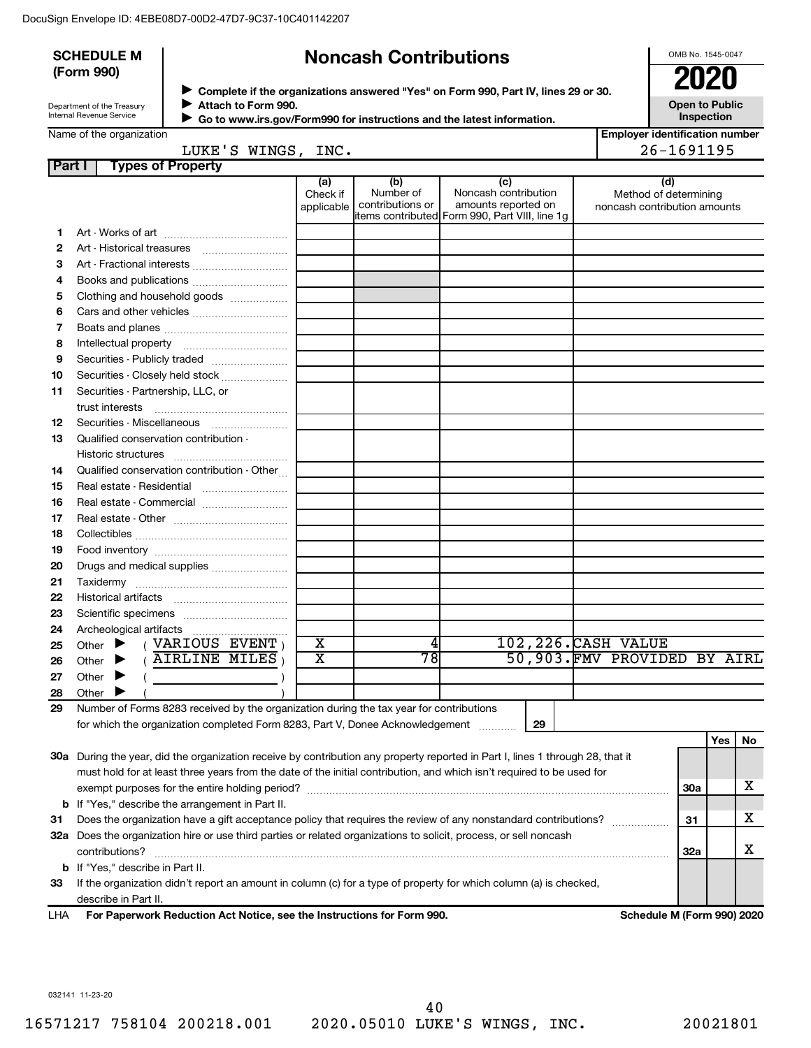|        | <b>SCHEDULE M</b><br>(Form 990)                                                                                                                                                                                                                        |                                                                                         |  |                               | <b>Noncash Contributions</b>         |                                                                                                                                |                      |                                             |                                                              | OMB No. 1545-0047 |    |
|--------|--------------------------------------------------------------------------------------------------------------------------------------------------------------------------------------------------------------------------------------------------------|-----------------------------------------------------------------------------------------|--|-------------------------------|--------------------------------------|--------------------------------------------------------------------------------------------------------------------------------|----------------------|---------------------------------------------|--------------------------------------------------------------|-------------------|----|
|        | > Complete if the organizations answered "Yes" on Form 990, Part IV, lines 29 or 30.<br>Attach to Form 990.<br>Department of the Treasury<br><b>Internal Revenue Service</b><br>Go to www.irs.gov/Form990 for instructions and the latest information. |                                                                                         |  |                               |                                      |                                                                                                                                |                      | 2020<br><b>Open to Public</b><br>Inspection |                                                              |                   |    |
|        | Name of the organization                                                                                                                                                                                                                               |                                                                                         |  |                               |                                      |                                                                                                                                |                      |                                             | <b>Employer identification number</b>                        |                   |    |
|        |                                                                                                                                                                                                                                                        | LUKE'S WINGS, INC.                                                                      |  |                               |                                      |                                                                                                                                |                      |                                             | 26-1691195                                                   |                   |    |
| Part I |                                                                                                                                                                                                                                                        | <b>Types of Property</b>                                                                |  |                               |                                      |                                                                                                                                |                      |                                             |                                                              |                   |    |
|        |                                                                                                                                                                                                                                                        |                                                                                         |  | (a)<br>Check if<br>applicable | (b)<br>Number of<br>contributions or | (c)<br>Noncash contribution<br>amounts reported on<br>items contributed Form 990, Part VIII, line 1g                           |                      |                                             | (d)<br>Method of determining<br>noncash contribution amounts |                   |    |
| 1      |                                                                                                                                                                                                                                                        |                                                                                         |  |                               |                                      |                                                                                                                                |                      |                                             |                                                              |                   |    |
| 2      |                                                                                                                                                                                                                                                        |                                                                                         |  |                               |                                      |                                                                                                                                |                      |                                             |                                                              |                   |    |
| з      |                                                                                                                                                                                                                                                        | Art - Fractional interests                                                              |  |                               |                                      |                                                                                                                                |                      |                                             |                                                              |                   |    |
| 4      |                                                                                                                                                                                                                                                        | Books and publications                                                                  |  |                               |                                      |                                                                                                                                |                      |                                             |                                                              |                   |    |
| 5      |                                                                                                                                                                                                                                                        | Clothing and household goods                                                            |  |                               |                                      |                                                                                                                                |                      |                                             |                                                              |                   |    |
| 6      |                                                                                                                                                                                                                                                        |                                                                                         |  |                               |                                      |                                                                                                                                |                      |                                             |                                                              |                   |    |
| 7      |                                                                                                                                                                                                                                                        |                                                                                         |  |                               |                                      |                                                                                                                                |                      |                                             |                                                              |                   |    |
| 8      |                                                                                                                                                                                                                                                        |                                                                                         |  |                               |                                      |                                                                                                                                |                      |                                             |                                                              |                   |    |
| 9      |                                                                                                                                                                                                                                                        | Securities - Publicly traded                                                            |  |                               |                                      |                                                                                                                                |                      |                                             |                                                              |                   |    |
| 10     |                                                                                                                                                                                                                                                        | Securities - Closely held stock                                                         |  |                               |                                      |                                                                                                                                |                      |                                             |                                                              |                   |    |
| 11     | Securities - Partnership, LLC, or                                                                                                                                                                                                                      |                                                                                         |  |                               |                                      |                                                                                                                                |                      |                                             |                                                              |                   |    |
|        | trust interests                                                                                                                                                                                                                                        |                                                                                         |  |                               |                                      |                                                                                                                                |                      |                                             |                                                              |                   |    |
| 12     |                                                                                                                                                                                                                                                        | Securities - Miscellaneous                                                              |  |                               |                                      |                                                                                                                                |                      |                                             |                                                              |                   |    |
| 13     |                                                                                                                                                                                                                                                        | Qualified conservation contribution -                                                   |  |                               |                                      |                                                                                                                                |                      |                                             |                                                              |                   |    |
|        |                                                                                                                                                                                                                                                        |                                                                                         |  |                               |                                      |                                                                                                                                |                      |                                             |                                                              |                   |    |
| 14     |                                                                                                                                                                                                                                                        | Qualified conservation contribution - Other                                             |  |                               |                                      |                                                                                                                                |                      |                                             |                                                              |                   |    |
| 15     |                                                                                                                                                                                                                                                        | Real estate - Residential                                                               |  |                               |                                      |                                                                                                                                |                      |                                             |                                                              |                   |    |
| 16     |                                                                                                                                                                                                                                                        | Real estate - Commercial                                                                |  |                               |                                      |                                                                                                                                |                      |                                             |                                                              |                   |    |
| 17     |                                                                                                                                                                                                                                                        |                                                                                         |  |                               |                                      |                                                                                                                                |                      |                                             |                                                              |                   |    |
| 18     |                                                                                                                                                                                                                                                        |                                                                                         |  |                               |                                      |                                                                                                                                |                      |                                             |                                                              |                   |    |
| 19     |                                                                                                                                                                                                                                                        |                                                                                         |  |                               |                                      |                                                                                                                                |                      |                                             |                                                              |                   |    |
| 20     |                                                                                                                                                                                                                                                        | Drugs and medical supplies                                                              |  |                               |                                      |                                                                                                                                |                      |                                             |                                                              |                   |    |
| 21     |                                                                                                                                                                                                                                                        |                                                                                         |  |                               |                                      |                                                                                                                                |                      |                                             |                                                              |                   |    |
| 22     |                                                                                                                                                                                                                                                        |                                                                                         |  |                               |                                      |                                                                                                                                |                      |                                             |                                                              |                   |    |
| 23     |                                                                                                                                                                                                                                                        |                                                                                         |  |                               |                                      |                                                                                                                                |                      |                                             |                                                              |                   |    |
| 24     | Archeological artifacts                                                                                                                                                                                                                                |                                                                                         |  |                               |                                      |                                                                                                                                |                      |                                             |                                                              |                   |    |
| 25     | Other $\blacktriangleright$                                                                                                                                                                                                                            | VARIOUS EVENT)                                                                          |  | $\overline{\mathbf{X}}$       | 4                                    |                                                                                                                                | 102, 226. CASH VALUE |                                             |                                                              |                   |    |
| 26     | Other                                                                                                                                                                                                                                                  | AIRLINE MILES                                                                           |  | Х                             | 78                                   |                                                                                                                                |                      |                                             | 50,903.FMV PROVIDED BY AIRL                                  |                   |    |
| 27     | Other<br>▸                                                                                                                                                                                                                                             |                                                                                         |  |                               |                                      |                                                                                                                                |                      |                                             |                                                              |                   |    |
| 28     | Other                                                                                                                                                                                                                                                  |                                                                                         |  |                               |                                      |                                                                                                                                |                      |                                             |                                                              |                   |    |
| 29     |                                                                                                                                                                                                                                                        | Number of Forms 8283 received by the organization during the tax year for contributions |  |                               |                                      |                                                                                                                                |                      |                                             |                                                              |                   |    |
|        |                                                                                                                                                                                                                                                        | for which the organization completed Form 8283, Part V, Donee Acknowledgement           |  |                               |                                      |                                                                                                                                | 29                   |                                             |                                                              |                   |    |
|        |                                                                                                                                                                                                                                                        |                                                                                         |  |                               |                                      |                                                                                                                                |                      |                                             |                                                              | Yes               | No |
|        |                                                                                                                                                                                                                                                        |                                                                                         |  |                               |                                      | 30a During the year, did the organization receive by contribution any property reported in Part I, lines 1 through 28, that it |                      |                                             |                                                              |                   |    |
|        |                                                                                                                                                                                                                                                        |                                                                                         |  |                               |                                      | must hold for at least three years from the date of the initial contribution, and which isn't required to be used for          |                      |                                             |                                                              |                   |    |
|        |                                                                                                                                                                                                                                                        | exempt purposes for the entire holding period?                                          |  |                               |                                      |                                                                                                                                |                      |                                             | 30a                                                          |                   | х  |
|        | <b>b</b> If "Yes," describe the arrangement in Part II.                                                                                                                                                                                                |                                                                                         |  |                               |                                      |                                                                                                                                |                      |                                             |                                                              |                   |    |
| 31     |                                                                                                                                                                                                                                                        |                                                                                         |  |                               |                                      | Does the organization have a gift acceptance policy that requires the review of any nonstandard contributions?                 |                      |                                             | 31                                                           |                   | x  |
| 32a    |                                                                                                                                                                                                                                                        |                                                                                         |  |                               |                                      | Does the organization hire or use third parties or related organizations to solicit, process, or sell noncash                  |                      |                                             |                                                              |                   |    |
|        | contributions?                                                                                                                                                                                                                                         |                                                                                         |  |                               |                                      |                                                                                                                                |                      |                                             | 32a                                                          |                   | x  |
|        | <b>b</b> If "Yes," describe in Part II.                                                                                                                                                                                                                |                                                                                         |  |                               |                                      |                                                                                                                                |                      |                                             |                                                              |                   |    |
| 33     |                                                                                                                                                                                                                                                        |                                                                                         |  |                               |                                      | If the organization didn't report an amount in column (c) for a type of property for which column (a) is checked,              |                      |                                             |                                                              |                   |    |
|        | describe in Part II.                                                                                                                                                                                                                                   | For Paperwork Reduction Act Notice, see the Instructions for Form 990.                  |  |                               |                                      |                                                                                                                                |                      |                                             |                                                              |                   |    |
| LHA    |                                                                                                                                                                                                                                                        |                                                                                         |  |                               |                                      |                                                                                                                                |                      |                                             | Schedule M (Form 990) 2020                                   |                   |    |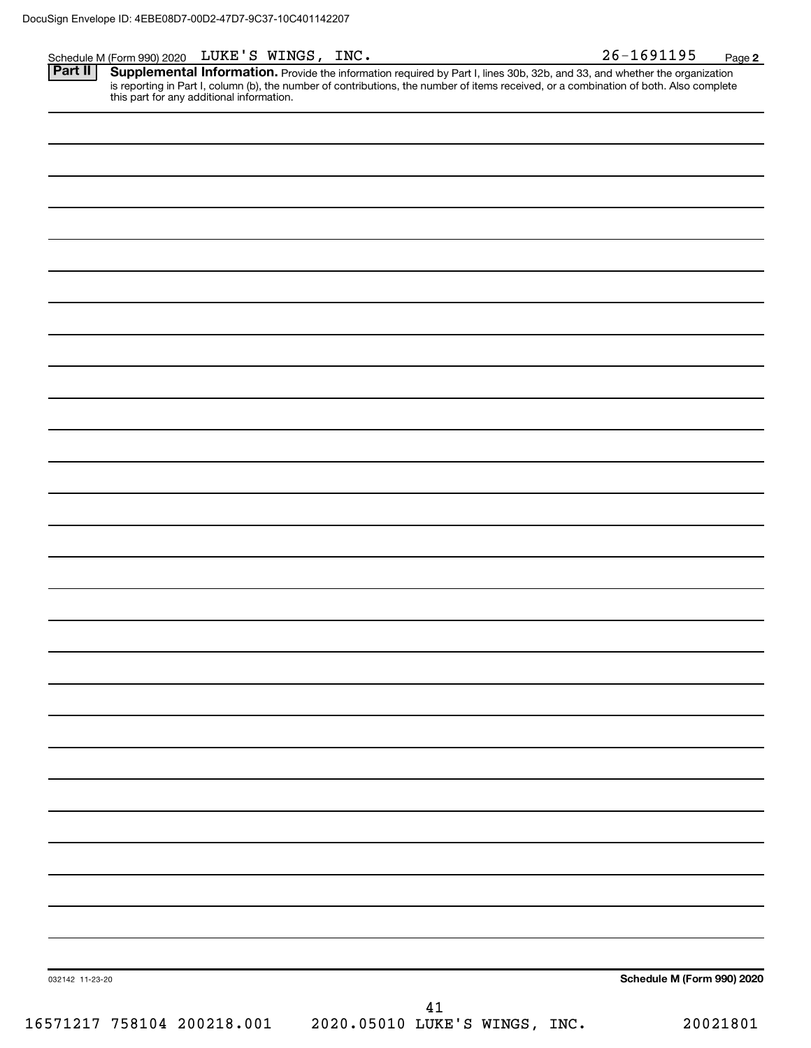|                 | Schedule M (Form 990) 2020 | LUKE'S WINGS, INC. |                                                                                                                                                                                                                                                                                                                | $26 - 1691195$             | Page 2 |
|-----------------|----------------------------|--------------------|----------------------------------------------------------------------------------------------------------------------------------------------------------------------------------------------------------------------------------------------------------------------------------------------------------------|----------------------------|--------|
| Part II         |                            |                    | Supplemental Information. Provide the information required by Part I, lines 30b, 32b, and 33, and whether the organization<br>is reporting in Part I, column (b), the number of contributions, the number of items received, or a combination of both. Also complete this part for any additional information. |                            |        |
|                 |                            |                    |                                                                                                                                                                                                                                                                                                                |                            |        |
|                 |                            |                    |                                                                                                                                                                                                                                                                                                                |                            |        |
|                 |                            |                    |                                                                                                                                                                                                                                                                                                                |                            |        |
|                 |                            |                    |                                                                                                                                                                                                                                                                                                                |                            |        |
|                 |                            |                    |                                                                                                                                                                                                                                                                                                                |                            |        |
|                 |                            |                    |                                                                                                                                                                                                                                                                                                                |                            |        |
|                 |                            |                    |                                                                                                                                                                                                                                                                                                                |                            |        |
|                 |                            |                    |                                                                                                                                                                                                                                                                                                                |                            |        |
|                 |                            |                    |                                                                                                                                                                                                                                                                                                                |                            |        |
|                 |                            |                    |                                                                                                                                                                                                                                                                                                                |                            |        |
|                 |                            |                    |                                                                                                                                                                                                                                                                                                                |                            |        |
|                 |                            |                    |                                                                                                                                                                                                                                                                                                                |                            |        |
|                 |                            |                    |                                                                                                                                                                                                                                                                                                                |                            |        |
|                 |                            |                    |                                                                                                                                                                                                                                                                                                                |                            |        |
|                 |                            |                    |                                                                                                                                                                                                                                                                                                                |                            |        |
|                 |                            |                    |                                                                                                                                                                                                                                                                                                                |                            |        |
|                 |                            |                    |                                                                                                                                                                                                                                                                                                                |                            |        |
|                 |                            |                    |                                                                                                                                                                                                                                                                                                                |                            |        |
|                 |                            |                    |                                                                                                                                                                                                                                                                                                                |                            |        |
|                 |                            |                    |                                                                                                                                                                                                                                                                                                                |                            |        |
|                 |                            |                    |                                                                                                                                                                                                                                                                                                                |                            |        |
|                 |                            |                    |                                                                                                                                                                                                                                                                                                                |                            |        |
|                 |                            |                    |                                                                                                                                                                                                                                                                                                                |                            |        |
|                 |                            |                    |                                                                                                                                                                                                                                                                                                                |                            |        |
|                 |                            |                    |                                                                                                                                                                                                                                                                                                                |                            |        |
|                 |                            |                    |                                                                                                                                                                                                                                                                                                                |                            |        |
|                 |                            |                    |                                                                                                                                                                                                                                                                                                                |                            |        |
|                 |                            |                    |                                                                                                                                                                                                                                                                                                                |                            |        |
|                 |                            |                    |                                                                                                                                                                                                                                                                                                                |                            |        |
|                 |                            |                    |                                                                                                                                                                                                                                                                                                                |                            |        |
| 032142 11-23-20 |                            |                    |                                                                                                                                                                                                                                                                                                                | Schedule M (Form 990) 2020 |        |
|                 |                            |                    | 41                                                                                                                                                                                                                                                                                                             |                            |        |
|                 | 16571217 758104 200218.001 |                    | 2020.05010 LUKE'S WINGS, INC.                                                                                                                                                                                                                                                                                  | 20021801                   |        |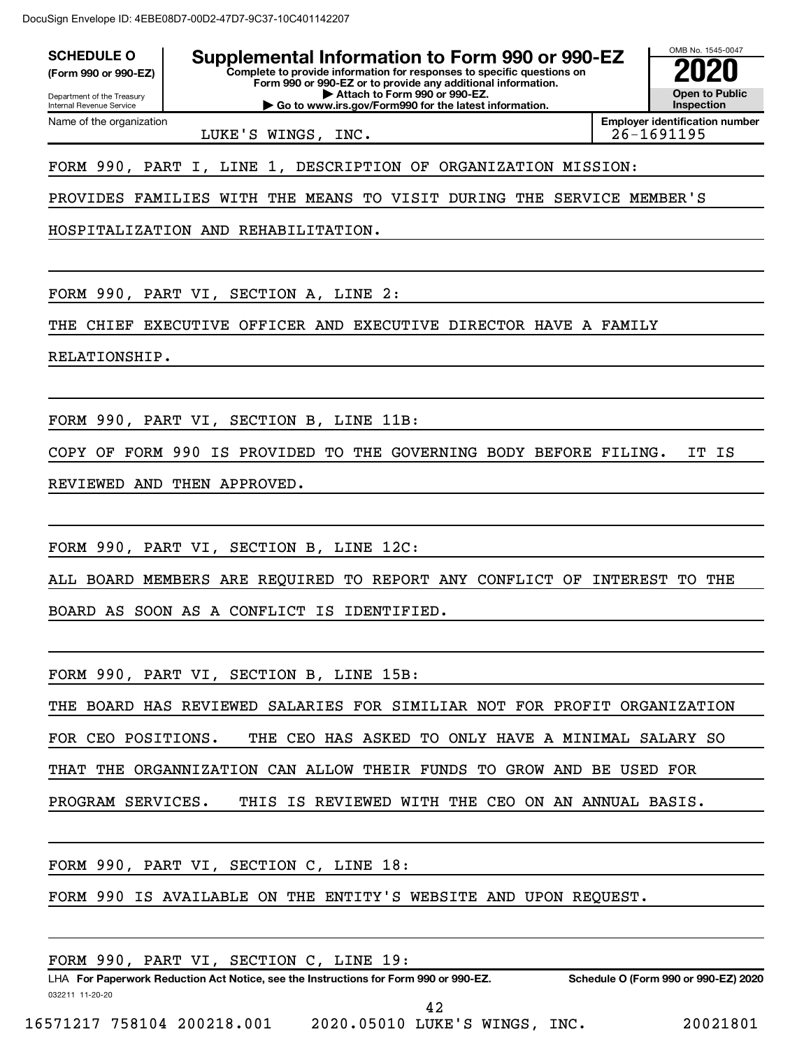DocuSign Envelope ID: 4EBE08D7-00D2-47D7-9C37-10C401142207

| <b>SCHEDULE O</b><br>(Form 990 or 990-EZ)<br>Department of the Treasury<br>Internal Revenue Service | Supplemental Information to Form 990 or 990-EZ<br>Complete to provide information for responses to specific questions on<br>Form 990 or 990-EZ or to provide any additional information.<br>Attach to Form 990 or 990-EZ.<br>Go to www.irs.gov/Form990 for the latest information. | OMB No. 1545-0047<br><b>Open to Public</b><br>Inspection |
|-----------------------------------------------------------------------------------------------------|------------------------------------------------------------------------------------------------------------------------------------------------------------------------------------------------------------------------------------------------------------------------------------|----------------------------------------------------------|
| Name of the organization                                                                            | LUKE'S WINGS, INC.                                                                                                                                                                                                                                                                 | <b>Employer identification number</b><br>26-1691195      |
|                                                                                                     | FORM 990, PART I, LINE 1, DESCRIPTION OF ORGANIZATION MISSION:                                                                                                                                                                                                                     |                                                          |
|                                                                                                     | PROVIDES FAMILIES WITH THE MEANS TO VISIT DURING THE SERVICE MEMBER'S                                                                                                                                                                                                              |                                                          |
|                                                                                                     | HOSPITALIZATION AND REHABILITATION.                                                                                                                                                                                                                                                |                                                          |
|                                                                                                     |                                                                                                                                                                                                                                                                                    |                                                          |
|                                                                                                     | FORM 990, PART VI, SECTION A, LINE 2:                                                                                                                                                                                                                                              |                                                          |
|                                                                                                     | THE CHIEF EXECUTIVE OFFICER AND EXECUTIVE DIRECTOR HAVE A FAMILY                                                                                                                                                                                                                   |                                                          |
| RELATIONSHIP.                                                                                       |                                                                                                                                                                                                                                                                                    |                                                          |
|                                                                                                     |                                                                                                                                                                                                                                                                                    |                                                          |
|                                                                                                     | FORM 990, PART VI, SECTION B, LINE 11B:                                                                                                                                                                                                                                            |                                                          |
|                                                                                                     | COPY OF FORM 990 IS PROVIDED TO THE GOVERNING BODY BEFORE FILING.                                                                                                                                                                                                                  | IT IS                                                    |
|                                                                                                     | REVIEWED AND THEN APPROVED.                                                                                                                                                                                                                                                        |                                                          |
|                                                                                                     |                                                                                                                                                                                                                                                                                    |                                                          |
|                                                                                                     | FORM 990, PART VI, SECTION B, LINE 12C:                                                                                                                                                                                                                                            |                                                          |
|                                                                                                     | ALL BOARD MEMBERS ARE REQUIRED TO REPORT ANY CONFLICT OF INTEREST TO THE                                                                                                                                                                                                           |                                                          |
|                                                                                                     | BOARD AS SOON AS A CONFLICT IS IDENTIFIED.                                                                                                                                                                                                                                         |                                                          |
|                                                                                                     |                                                                                                                                                                                                                                                                                    |                                                          |
|                                                                                                     | FORM 990, PART VI, SECTION B, LINE 15B:                                                                                                                                                                                                                                            |                                                          |
|                                                                                                     | THE BOARD HAS REVIEWED SALARIES FOR SIMILIAR NOT FOR PROFIT ORGANIZATION                                                                                                                                                                                                           |                                                          |
| FOR CEO POSITIONS.                                                                                  | THE CEO HAS ASKED TO ONLY HAVE A MINIMAL SALARY SO                                                                                                                                                                                                                                 |                                                          |
|                                                                                                     | THAT THE ORGANNIZATION CAN ALLOW THEIR FUNDS TO GROW AND BE USED FOR                                                                                                                                                                                                               |                                                          |
| PROGRAM SERVICES.                                                                                   | THIS IS REVIEWED WITH THE CEO ON AN ANNUAL BASIS.                                                                                                                                                                                                                                  |                                                          |
|                                                                                                     |                                                                                                                                                                                                                                                                                    |                                                          |
|                                                                                                     | FORM 990, PART VI, SECTION C, LINE 18:                                                                                                                                                                                                                                             |                                                          |
|                                                                                                     | FORM 990 IS AVAILABLE ON THE ENTITY'S WEBSITE AND UPON REQUEST.                                                                                                                                                                                                                    |                                                          |
|                                                                                                     |                                                                                                                                                                                                                                                                                    |                                                          |
|                                                                                                     | FORM 990, PART VI, SECTION C, LINE 19:                                                                                                                                                                                                                                             |                                                          |
| 032211 11-20-20                                                                                     | LHA For Paperwork Reduction Act Notice, see the Instructions for Form 990 or 990-EZ.                                                                                                                                                                                               | Schedule O (Form 990 or 990-EZ) 2020                     |

42